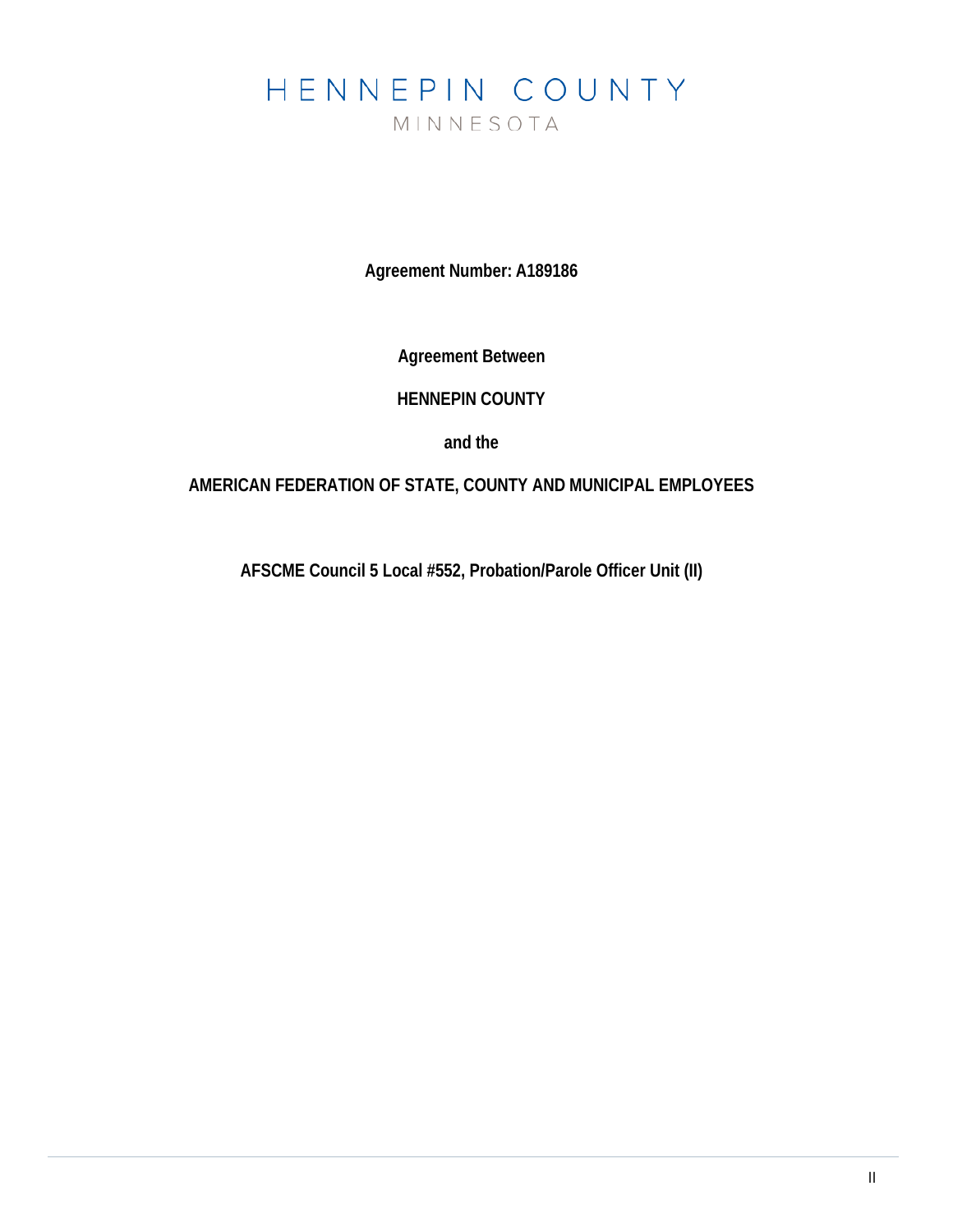# HENNEPIN COUNTY MINNESOTA

**Agreement Number: A189186**

**Agreement Between**

# **HENNEPIN COUNTY**

**and the**

# **AMERICAN FEDERATION OF STATE, COUNTY AND MUNICIPAL EMPLOYEES**

**AFSCME Council 5 Local #552, Probation/Parole Officer Unit (II)**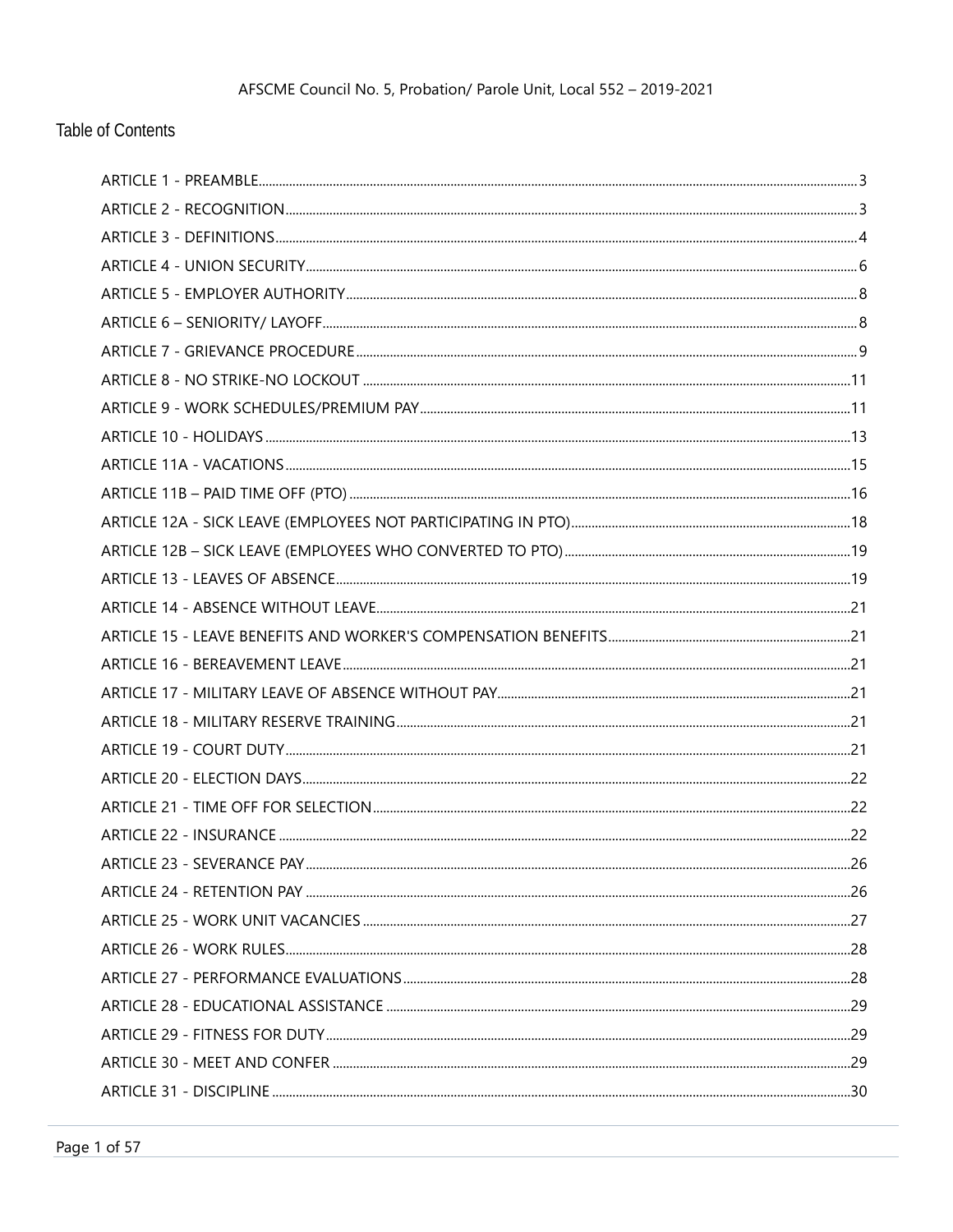# **Table of Contents**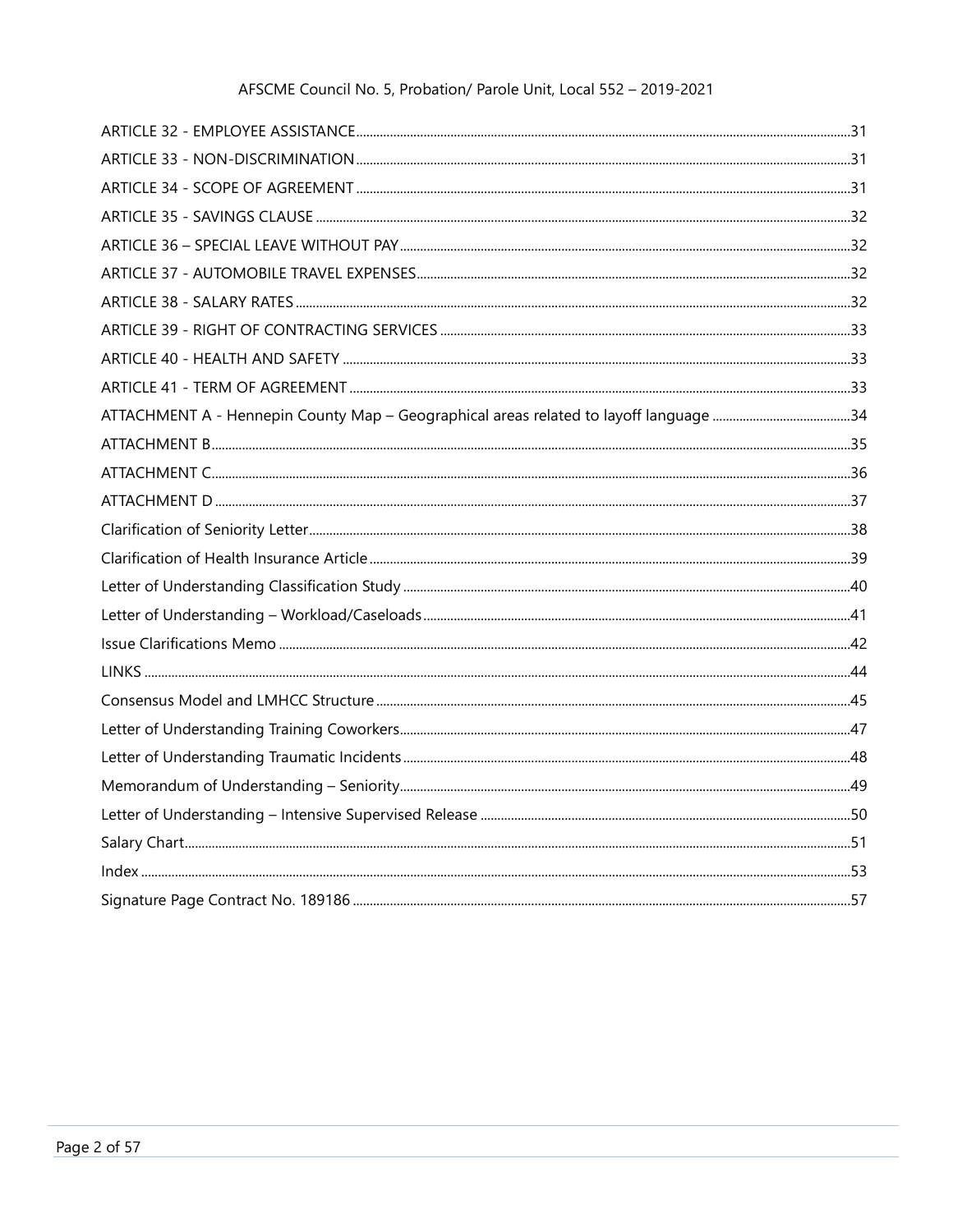| ATTACHMENT A - Hennepin County Map - Geographical areas related to layoff language 34 |  |
|---------------------------------------------------------------------------------------|--|
|                                                                                       |  |
|                                                                                       |  |
|                                                                                       |  |
|                                                                                       |  |
|                                                                                       |  |
|                                                                                       |  |
|                                                                                       |  |
|                                                                                       |  |
|                                                                                       |  |
|                                                                                       |  |
|                                                                                       |  |
|                                                                                       |  |
|                                                                                       |  |
|                                                                                       |  |
|                                                                                       |  |
|                                                                                       |  |
|                                                                                       |  |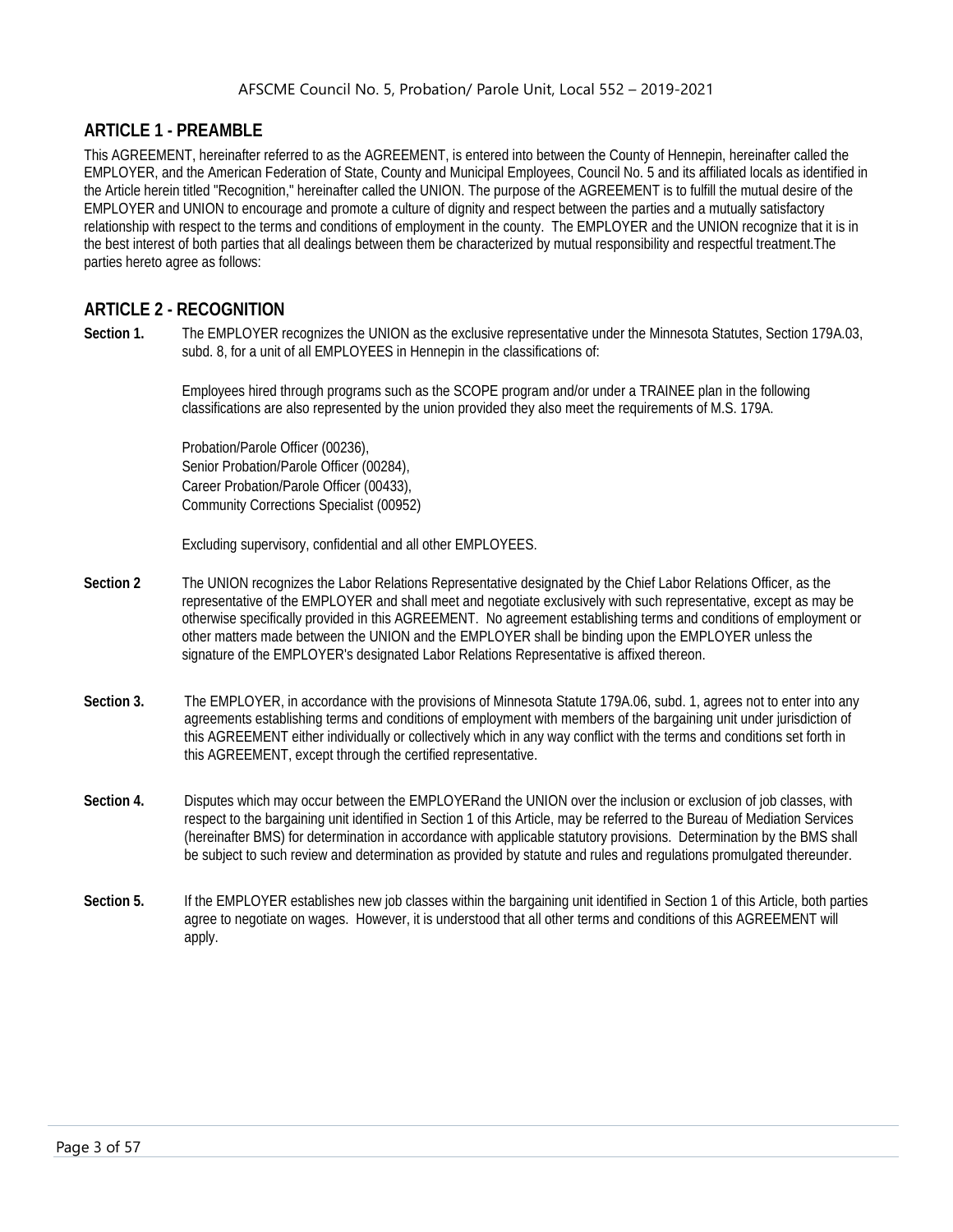# <span id="page-3-0"></span>**ARTICLE 1 - PREAMBLE**

This AGREEMENT, hereinafter referred to as the AGREEMENT, is entered into between the County of Hennepin, hereinafter called the EMPLOYER, and the American Federation of State, County and Municipal Employees, Council No. 5 and its affiliated locals as identified in the Article herein titled "Recognition," hereinafter called the UNION. The purpose of the AGREEMENT is to fulfill the mutual desire of the EMPLOYER and UNION to encourage and promote a culture of dignity and respect between the parties and a mutually satisfactory relationship with respect to the terms and conditions of employment in the county. The EMPLOYER and the UNION recognize that it is in the best interest of both parties that all dealings between them be characterized by mutual responsibility and respectful treatment.The parties hereto agree as follows:

# <span id="page-3-1"></span>**ARTICLE 2 - RECOGNITION**

**Section 1.** The EMPLOYER recognizes the UNION as the exclusive representative under the Minnesota Statutes, Section 179A.03, subd. 8, for a unit of all EMPLOYEES in Hennepin in the classifications of:

> Employees hired through programs such as the SCOPE program and/or under a TRAINEE plan in the following classifications are also represented by the union provided they also meet the requirements of M.S. 179A.

Probation/Parole Officer (00236), Senior Probation/Parole Officer (00284), Career Probation/Parole Officer (00433), Community Corrections Specialist (00952)

Excluding supervisory, confidential and all other EMPLOYEES.

- **Section 2** The UNION recognizes the Labor Relations Representative designated by the Chief Labor Relations Officer, as the representative of the EMPLOYER and shall meet and negotiate exclusively with such representative, except as may be otherwise specifically provided in this AGREEMENT. No agreement establishing terms and conditions of employment or other matters made between the UNION and the EMPLOYER shall be binding upon the EMPLOYER unless the signature of the EMPLOYER's designated Labor Relations Representative is affixed thereon.
- **Section 3.** The EMPLOYER, in accordance with the provisions of Minnesota Statute 179A.06, subd. 1, agrees not to enter into any agreements establishing terms and conditions of employment with members of the bargaining unit under jurisdiction of this AGREEMENT either individually or collectively which in any way conflict with the terms and conditions set forth in this AGREEMENT, except through the certified representative.
- **Section 4.** Disputes which may occur between the EMPLOYERand the UNION over the inclusion or exclusion of job classes, with respect to the bargaining unit identified in Section 1 of this Article, may be referred to the Bureau of Mediation Services (hereinafter BMS) for determination in accordance with applicable statutory provisions. Determination by the BMS shall be subject to such review and determination as provided by statute and rules and regulations promulgated thereunder.
- **Section 5.** If the EMPLOYER establishes new job classes within the bargaining unit identified in Section 1 of this Article, both parties agree to negotiate on wages. However, it is understood that all other terms and conditions of this AGREEMENT will apply.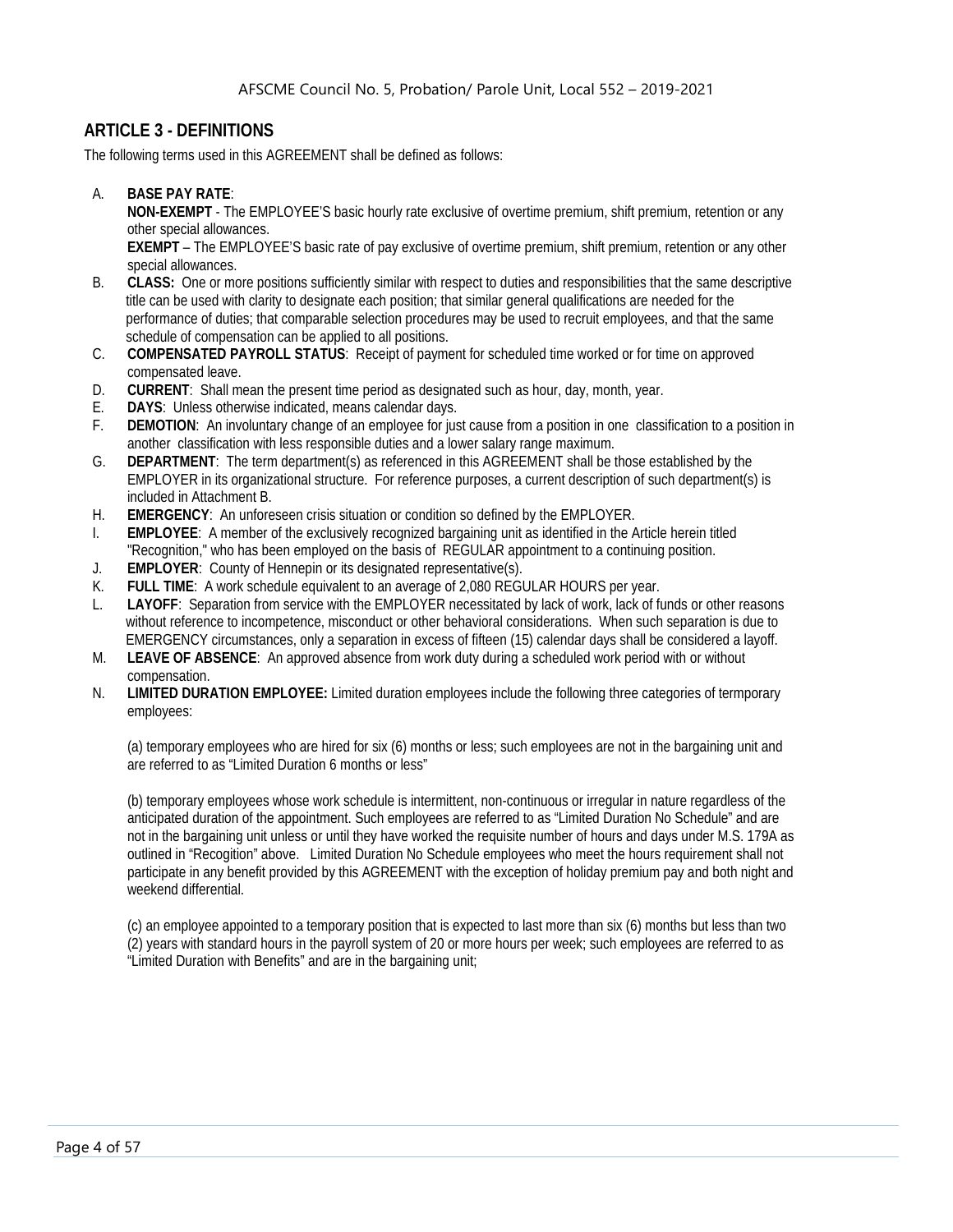# <span id="page-4-0"></span>**ARTICLE 3 - DEFINITIONS**

The following terms used in this AGREEMENT shall be defined as follows:

A. **BASE PAY RATE**:

**NON-EXEMPT** - The EMPLOYEE'S basic hourly rate exclusive of overtime premium, shift premium, retention or any other special allowances.

**EXEMPT** – The EMPLOYEE'S basic rate of pay exclusive of overtime premium, shift premium, retention or any other special allowances.

- B. **CLASS:** One or more positions sufficiently similar with respect to duties and responsibilities that the same descriptive title can be used with clarity to designate each position; that similar general qualifications are needed for the performance of duties; that comparable selection procedures may be used to recruit employees, and that the same schedule of compensation can be applied to all positions.
- C. **COMPENSATED PAYROLL STATUS**: Receipt of payment for scheduled time worked or for time on approved compensated leave.
- D. **CURRENT**: Shall mean the present time period as designated such as hour, day, month, year.
- E. **DAYS**: Unless otherwise indicated, means calendar days.
- F. **DEMOTION**: An involuntary change of an employee for just cause from a position in one classification to a position in another classification with less responsible duties and a lower salary range maximum.
- G. **DEPARTMENT**: The term department(s) as referenced in this AGREEMENT shall be those established by the EMPLOYER in its organizational structure. For reference purposes, a current description of such department(s) is included in Attachment B.
- H. **EMERGENCY**: An unforeseen crisis situation or condition so defined by the EMPLOYER.
- I. **EMPLOYEE**: A member of the exclusively recognized bargaining unit as identified in the Article herein titled "Recognition," who has been employed on the basis of REGULAR appointment to a continuing position.
- J. **EMPLOYER**: County of Hennepin or its designated representative(s).
- K. **FULL TIME**: A work schedule equivalent to an average of 2,080 REGULAR HOURS per year.
- L. **LAYOFF**: Separation from service with the EMPLOYER necessitated by lack of work, lack of funds or other reasons without reference to incompetence, misconduct or other behavioral considerations. When such separation is due to EMERGENCY circumstances, only a separation in excess of fifteen (15) calendar days shall be considered a layoff.
- M. **LEAVE OF ABSENCE**: An approved absence from work duty during a scheduled work period with or without compensation.
- N. **LIMITED DURATION EMPLOYEE:** Limited duration employees include the following three categories of termporary employees:

(a) temporary employees who are hired for six (6) months or less; such employees are not in the bargaining unit and are referred to as "Limited Duration 6 months or less"

(b) temporary employees whose work schedule is intermittent, non-continuous or irregular in nature regardless of the anticipated duration of the appointment. Such employees are referred to as "Limited Duration No Schedule" and are not in the bargaining unit unless or until they have worked the requisite number of hours and days under M.S. 179A as outlined in "Recogition" above. Limited Duration No Schedule employees who meet the hours requirement shall not participate in any benefit provided by this AGREEMENT with the exception of holiday premium pay and both night and weekend differential.

(c) an employee appointed to a temporary position that is expected to last more than six (6) months but less than two (2) years with standard hours in the payroll system of 20 or more hours per week; such employees are referred to as "Limited Duration with Benefits" and are in the bargaining unit;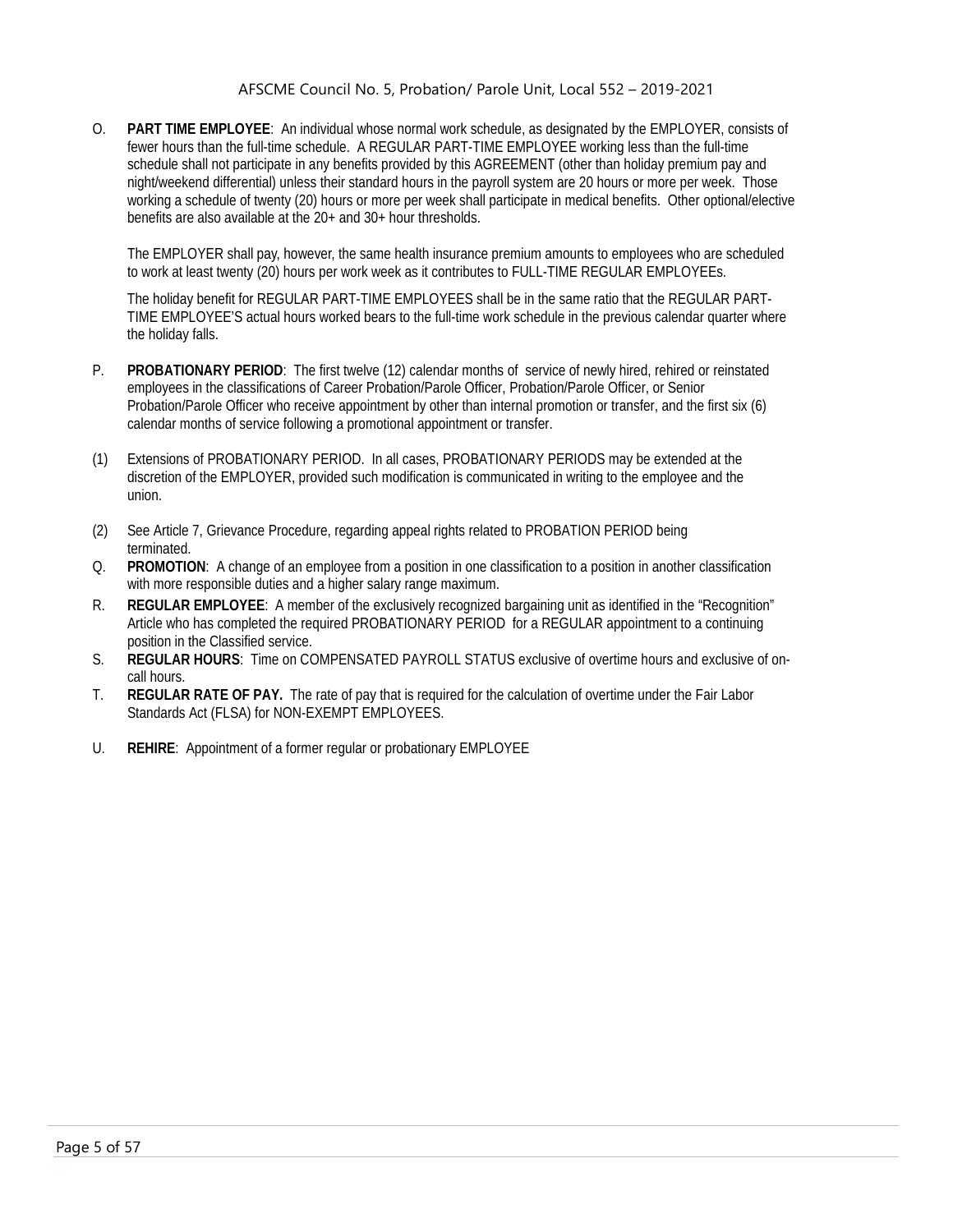O. **PART TIME EMPLOYEE**: An individual whose normal work schedule, as designated by the EMPLOYER, consists of fewer hours than the full-time schedule. A REGULAR PART-TIME EMPLOYEE working less than the full-time schedule shall not participate in any benefits provided by this AGREEMENT (other than holiday premium pay and night/weekend differential) unless their standard hours in the payroll system are 20 hours or more per week. Those working a schedule of twenty (20) hours or more per week shall participate in medical benefits. Other optional/elective benefits are also available at the 20+ and 30+ hour thresholds.

The EMPLOYER shall pay, however, the same health insurance premium amounts to employees who are scheduled to work at least twenty (20) hours per work week as it contributes to FULL-TIME REGULAR EMPLOYEEs.

The holiday benefit for REGULAR PART-TIME EMPLOYEES shall be in the same ratio that the REGULAR PART-TIME EMPLOYEE'S actual hours worked bears to the full-time work schedule in the previous calendar quarter where the holiday falls.

- P. **PROBATIONARY PERIOD**: The first twelve (12) calendar months of service of newly hired, rehired or reinstated employees in the classifications of Career Probation/Parole Officer, Probation/Parole Officer, or Senior Probation/Parole Officer who receive appointment by other than internal promotion or transfer, and the first six (6) calendar months of service following a promotional appointment or transfer.
- (1) Extensions of PROBATIONARY PERIOD. In all cases, PROBATIONARY PERIODS may be extended at the discretion of the EMPLOYER, provided such modification is communicated in writing to the employee and the union.
- (2) See Article 7, Grievance Procedure, regarding appeal rights related to PROBATION PERIOD being terminated.
- Q. **PROMOTION**: A change of an employee from a position in one classification to a position in another classification with more responsible duties and a higher salary range maximum.
- R. **REGULAR EMPLOYEE**: A member of the exclusively recognized bargaining unit as identified in the "Recognition" Article who has completed the required PROBATIONARY PERIOD for a REGULAR appointment to a continuing position in the Classified service.
- S. **REGULAR HOURS**: Time on COMPENSATED PAYROLL STATUS exclusive of overtime hours and exclusive of oncall hours.
- T. **REGULAR RATE OF PAY.** The rate of pay that is required for the calculation of overtime under the Fair Labor Standards Act (FLSA) for NON-EXEMPT EMPLOYEES.
- $U_{\cdot}$ **REHIRE**: Appointment of a former regular or probationary EMPLOYEE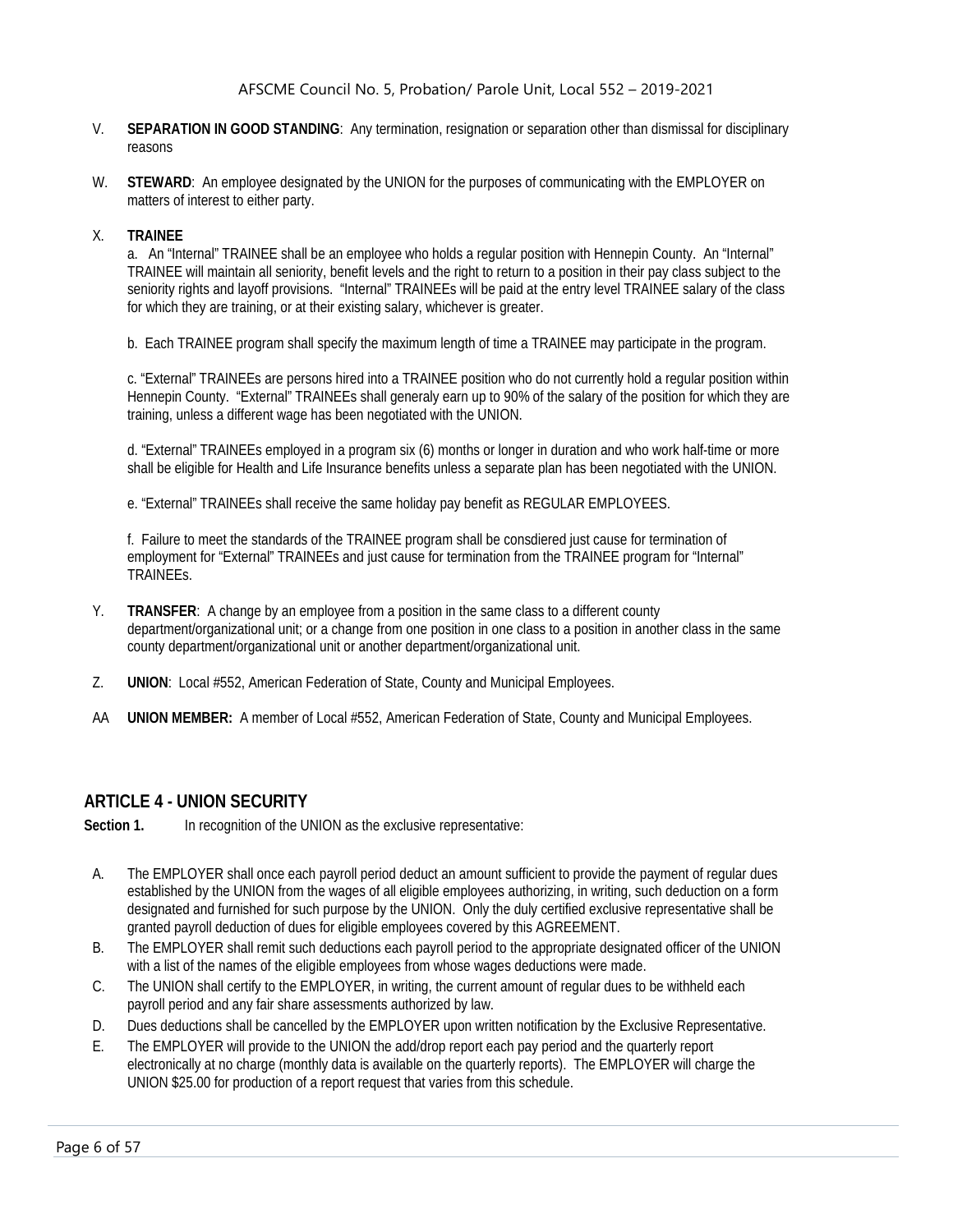- V. **SEPARATION IN GOOD STANDING**: Any termination, resignation or separation other than dismissal for disciplinary reasons
- W. **STEWARD**: An employee designated by the UNION for the purposes of communicating with the EMPLOYER on matters of interest to either party.

#### X. **TRAINEE**

a. An "Internal" TRAINEE shall be an employee who holds a regular position with Hennepin County. An "Internal" TRAINEE will maintain all seniority, benefit levels and the right to return to a position in their pay class subject to the seniority rights and layoff provisions. "Internal" TRAINEEs will be paid at the entry level TRAINEE salary of the class for which they are training, or at their existing salary, whichever is greater.

b. Each TRAINEE program shall specify the maximum length of time a TRAINEE may participate in the program.

c. "External" TRAINEEs are persons hired into a TRAINEE position who do not currently hold a regular position within Hennepin County. "External" TRAINEEs shall generaly earn up to 90% of the salary of the position for which they are training, unless a different wage has been negotiated with the UNION.

d. "External" TRAINEEs employed in a program six (6) months or longer in duration and who work half-time or more shall be eligible for Health and Life Insurance benefits unless a separate plan has been negotiated with the UNION.

e. "External" TRAINEEs shall receive the same holiday pay benefit as REGULAR EMPLOYEES.

f. Failure to meet the standards of the TRAINEE program shall be consdiered just cause for termination of employment for "External" TRAINEEs and just cause for termination from the TRAINEE program for "Internal" TRAINEEs.

- Y. **TRANSFER**: A change by an employee from a position in the same class to a different county department/organizational unit; or a change from one position in one class to a position in another class in the same county department/organizational unit or another department/organizational unit.
- Z. **UNION**: Local #552, American Federation of State, County and Municipal Employees.
- AA **UNION MEMBER:** A member of Local #552, American Federation of State, County and Municipal Employees.

# <span id="page-6-0"></span>**ARTICLE 4 - UNION SECURITY**

Section 1. In recognition of the UNION as the exclusive representative:

- A. The EMPLOYER shall once each payroll period deduct an amount sufficient to provide the payment of regular dues established by the UNION from the wages of all eligible employees authorizing, in writing, such deduction on a form designated and furnished for such purpose by the UNION. Only the duly certified exclusive representative shall be granted payroll deduction of dues for eligible employees covered by this AGREEMENT.
- B. The EMPLOYER shall remit such deductions each payroll period to the appropriate designated officer of the UNION with a list of the names of the eligible employees from whose wages deductions were made.
- C. The UNION shall certify to the EMPLOYER, in writing, the current amount of regular dues to be withheld each payroll period and any fair share assessments authorized by law.
- D. Dues deductions shall be cancelled by the EMPLOYER upon written notification by the Exclusive Representative.
- E. The EMPLOYER will provide to the UNION the add/drop report each pay period and the quarterly report electronically at no charge (monthly data is available on the quarterly reports). The EMPLOYER will charge the UNION \$25.00 for production of a report request that varies from this schedule.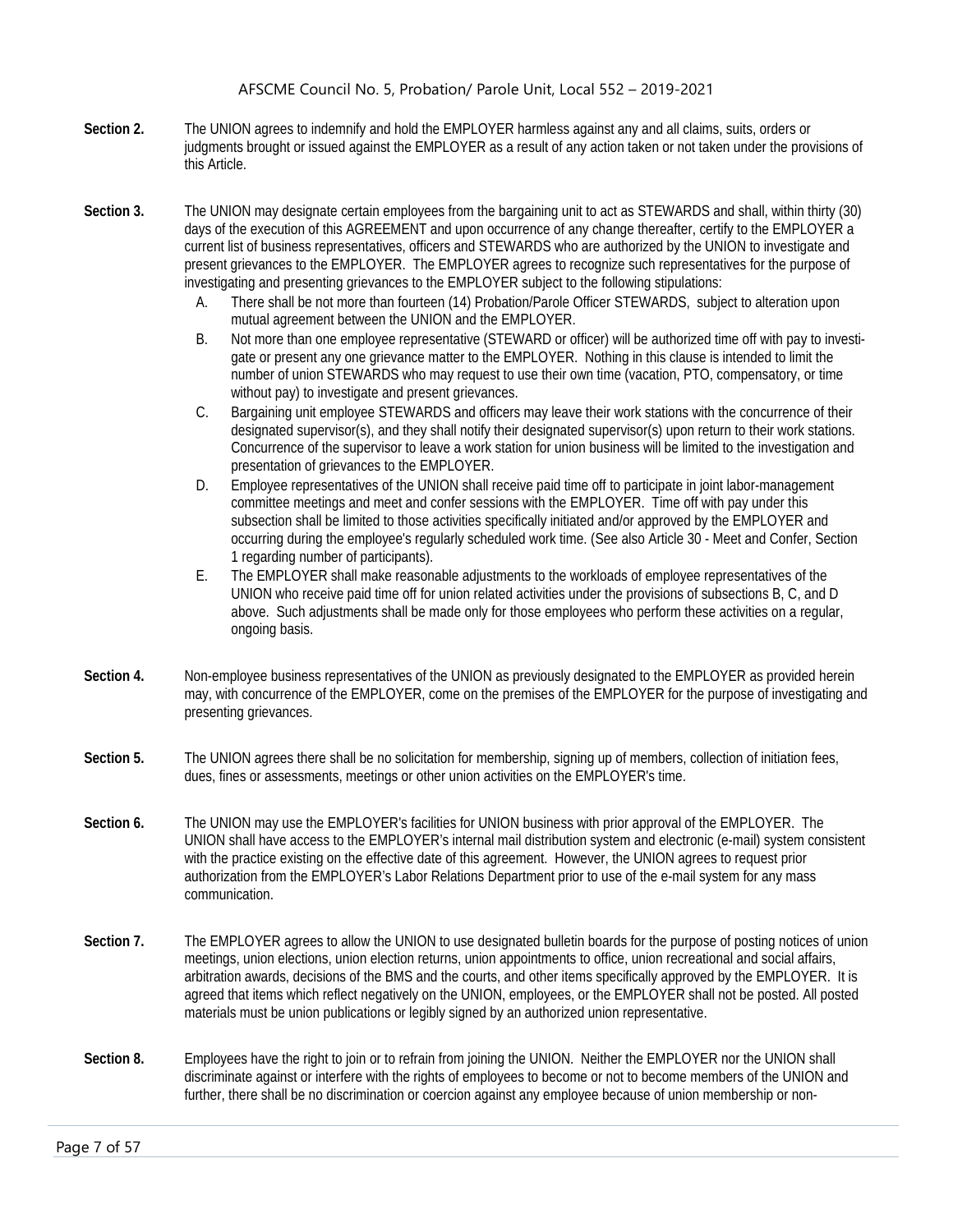- **Section 2.** The UNION agrees to indemnify and hold the EMPLOYER harmless against any and all claims, suits, orders or judgments brought or issued against the EMPLOYER as a result of any action taken or not taken under the provisions of this Article.
- **Section 3.** The UNION may designate certain employees from the bargaining unit to act as STEWARDS and shall, within thirty (30) days of the execution of this AGREEMENT and upon occurrence of any change thereafter, certify to the EMPLOYER a current list of business representatives, officers and STEWARDS who are authorized by the UNION to investigate and present grievances to the EMPLOYER. The EMPLOYER agrees to recognize such representatives for the purpose of investigating and presenting grievances to the EMPLOYER subject to the following stipulations:
	- A. There shall be not more than fourteen (14) Probation/Parole Officer STEWARDS, subject to alteration upon mutual agreement between the UNION and the EMPLOYER.
	- B. Not more than one employee representative (STEWARD or officer) will be authorized time off with pay to investigate or present any one grievance matter to the EMPLOYER. Nothing in this clause is intended to limit the number of union STEWARDS who may request to use their own time (vacation, PTO, compensatory, or time without pay) to investigate and present grievances.
	- C. Bargaining unit employee STEWARDS and officers may leave their work stations with the concurrence of their designated supervisor(s), and they shall notify their designated supervisor(s) upon return to their work stations. Concurrence of the supervisor to leave a work station for union business will be limited to the investigation and presentation of grievances to the EMPLOYER.
	- D. Employee representatives of the UNION shall receive paid time off to participate in joint labor-management committee meetings and meet and confer sessions with the EMPLOYER. Time off with pay under this subsection shall be limited to those activities specifically initiated and/or approved by the EMPLOYER and occurring during the employee's regularly scheduled work time. (See also Article 30 - Meet and Confer, Section 1 regarding number of participants).
	- E. The EMPLOYER shall make reasonable adjustments to the workloads of employee representatives of the UNION who receive paid time off for union related activities under the provisions of subsections B, C, and D above. Such adjustments shall be made only for those employees who perform these activities on a regular, ongoing basis.
- **Section 4.** Non-employee business representatives of the UNION as previously designated to the EMPLOYER as provided herein may, with concurrence of the EMPLOYER, come on the premises of the EMPLOYER for the purpose of investigating and presenting grievances.
- **Section 5.** The UNION agrees there shall be no solicitation for membership, signing up of members, collection of initiation fees, dues, fines or assessments, meetings or other union activities on the EMPLOYER's time.
- **Section 6.** The UNION may use the EMPLOYER's facilities for UNION business with prior approval of the EMPLOYER. The UNION shall have access to the EMPLOYER's internal mail distribution system and electronic (e-mail) system consistent with the practice existing on the effective date of this agreement. However, the UNION agrees to request prior authorization from the EMPLOYER's Labor Relations Department prior to use of the e-mail system for any mass communication.
- **Section 7.** The EMPLOYER agrees to allow the UNION to use designated bulletin boards for the purpose of posting notices of union meetings, union elections, union election returns, union appointments to office, union recreational and social affairs, arbitration awards, decisions of the BMS and the courts, and other items specifically approved by the EMPLOYER. It is agreed that items which reflect negatively on the UNION, employees, or the EMPLOYER shall not be posted. All posted materials must be union publications or legibly signed by an authorized union representative.
- **Section 8.** Employees have the right to join or to refrain from joining the UNION. Neither the EMPLOYER nor the UNION shall discriminate against or interfere with the rights of employees to become or not to become members of the UNION and further, there shall be no discrimination or coercion against any employee because of union membership or non-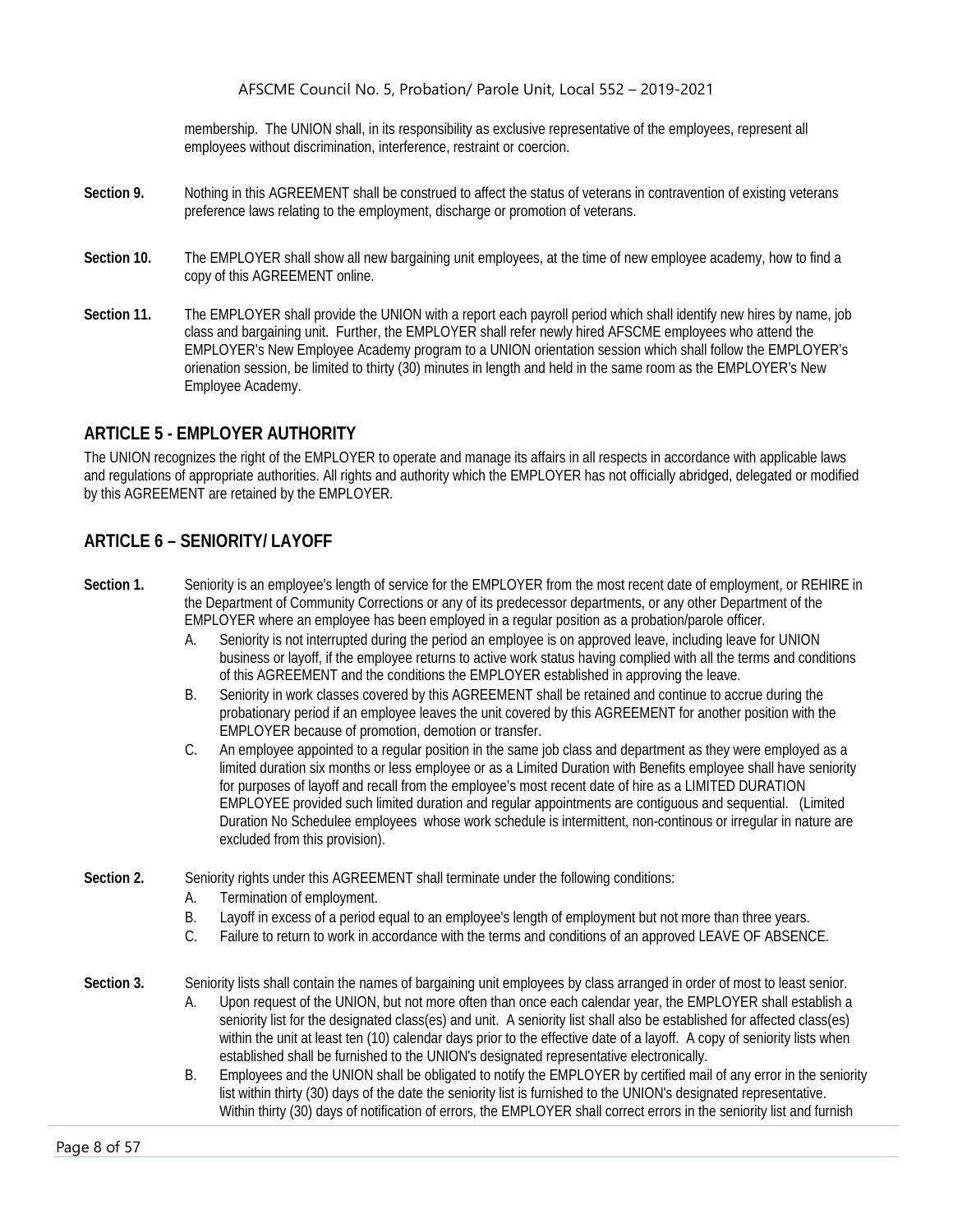membership. The UNION shall, in its responsibility as exclusive representative of the employees, represent all employees without discrimination, interference, restraint or coercion.

- **Section 9.** Nothing in this AGREEMENT shall be construed to affect the status of veterans in contravention of existing veterans preference laws relating to the employment, discharge or promotion of veterans.
- **Section 10.** The EMPLOYER shall show all new bargaining unit employees, at the time of new employee academy, how to find a copy of this AGREEMENT online.
- **Section 11.** The EMPLOYER shall provide the UNION with a report each payroll period which shall identify new hires by name, job class and bargaining unit. Further, the EMPLOYER shall refer newly hired AFSCME employees who attend the EMPLOYER's New Employee Academy program to a UNION orientation session which shall follow the EMPLOYER's orienation session, be limited to thirty (30) minutes in length and held in the same room as the EMPLOYER's New Employee Academy.

#### <span id="page-8-0"></span>**ARTICLE 5 - EMPLOYER AUTHORITY**

The UNION recognizes the right of the EMPLOYER to operate and manage its affairs in all respects in accordance with applicable laws and regulations of appropriate authorities. All rights and authority which the EMPLOYER has not officially abridged, delegated or modified by this AGREEMENT are retained by the EMPLOYER.

### <span id="page-8-1"></span>**ARTICLE 6 – SENIORITY/ LAYOFF**

- **Section 1.** Seniority is an employee's length of service for the EMPLOYER from the most recent date of employment, or REHIRE in the Department of Community Corrections or any of its predecessor departments, or any other Department of the EMPLOYER where an employee has been employed in a regular position as a probation/parole officer.
	- A. Seniority is not interrupted during the period an employee is on approved leave, including leave for UNION business or layoff, if the employee returns to active work status having complied with all the terms and conditions of this AGREEMENT and the conditions the EMPLOYER established in approving the leave.
	- B. Seniority in work classes covered by this AGREEMENT shall be retained and continue to accrue during the probationary period if an employee leaves the unit covered by this AGREEMENT for another position with the EMPLOYER because of promotion, demotion or transfer.
	- C. An employee appointed to a regular position in the same job class and department as they were employed as a limited duration six months or less employee or as a Limited Duration with Benefits employee shall have seniority for purposes of layoff and recall from the employee's most recent date of hire as a LIMITED DURATION EMPLOYEE provided such limited duration and regular appointments are contiguous and sequential. (Limited Duration No Schedulee employees whose work schedule is intermittent, non-continous or irregular in nature are excluded from this provision).
- Section 2. Seniority rights under this AGREEMENT shall terminate under the following conditions:
	- A. Termination of employment.
	- B. Layoff in excess of a period equal to an employee's length of employment but not more than three years.
	- C. Failure to return to work in accordance with the terms and conditions of an approved LEAVE OF ABSENCE.
- **Section 3.** Seniority lists shall contain the names of bargaining unit employees by class arranged in order of most to least senior.
	- A. Upon request of the UNION, but not more often than once each calendar year, the EMPLOYER shall establish a seniority list for the designated class(es) and unit. A seniority list shall also be established for affected class(es) within the unit at least ten (10) calendar days prior to the effective date of a layoff. A copy of seniority lists when established shall be furnished to the UNION's designated representative electronically.
	- B. Employees and the UNION shall be obligated to notify the EMPLOYER by certified mail of any error in the seniority list within thirty (30) days of the date the seniority list is furnished to the UNION's designated representative. Within thirty (30) days of notification of errors, the EMPLOYER shall correct errors in the seniority list and furnish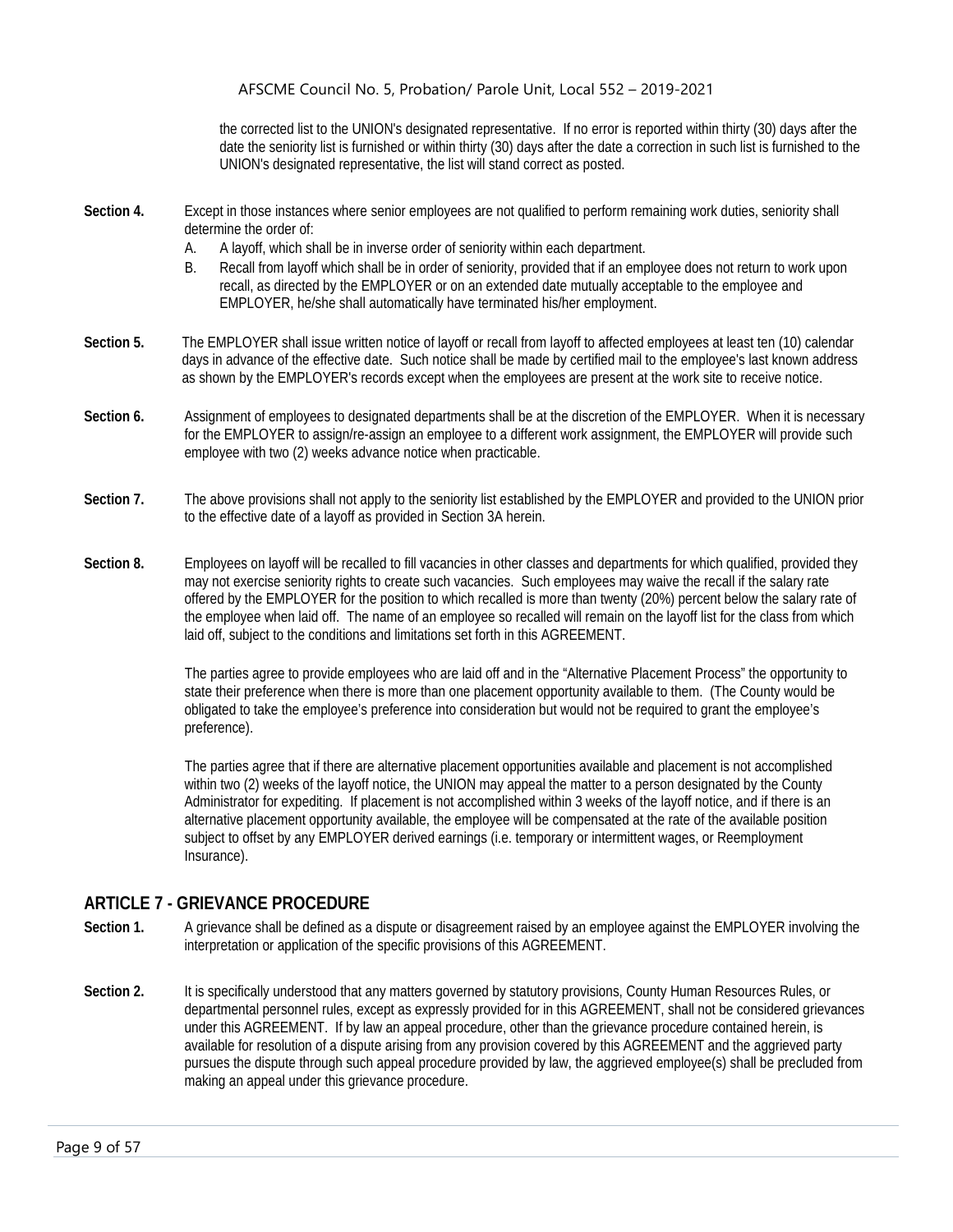the corrected list to the UNION's designated representative. If no error is reported within thirty (30) days after the date the seniority list is furnished or within thirty (30) days after the date a correction in such list is furnished to the UNION's designated representative, the list will stand correct as posted.

- **Section 4.** Except in those instances where senior employees are not qualified to perform remaining work duties, seniority shall determine the order of:
	- A. A layoff, which shall be in inverse order of seniority within each department.
	- B. Recall from layoff which shall be in order of seniority, provided that if an employee does not return to work upon recall, as directed by the EMPLOYER or on an extended date mutually acceptable to the employee and EMPLOYER, he/she shall automatically have terminated his/her employment.
- **Section 5.** The EMPLOYER shall issue written notice of layoff or recall from layoff to affected employees at least ten (10) calendar days in advance of the effective date. Such notice shall be made by certified mail to the employee's last known address as shown by the EMPLOYER's records except when the employees are present at the work site to receive notice.
- **Section 6.** Assignment of employees to designated departments shall be at the discretion of the EMPLOYER. When it is necessary for the EMPLOYER to assign/re-assign an employee to a different work assignment, the EMPLOYER will provide such employee with two (2) weeks advance notice when practicable.
- **Section 7.** The above provisions shall not apply to the seniority list established by the EMPLOYER and provided to the UNION prior to the effective date of a layoff as provided in Section 3A herein.
- **Section 8.** Employees on layoff will be recalled to fill vacancies in other classes and departments for which qualified, provided they may not exercise seniority rights to create such vacancies. Such employees may waive the recall if the salary rate offered by the EMPLOYER for the position to which recalled is more than twenty (20%) percent below the salary rate of the employee when laid off. The name of an employee so recalled will remain on the layoff list for the class from which laid off, subject to the conditions and limitations set forth in this AGREEMENT.

The parties agree to provide employees who are laid off and in the "Alternative Placement Process" the opportunity to state their preference when there is more than one placement opportunity available to them. (The County would be obligated to take the employee's preference into consideration but would not be required to grant the employee's preference).

The parties agree that if there are alternative placement opportunities available and placement is not accomplished within two (2) weeks of the layoff notice, the UNION may appeal the matter to a person designated by the County Administrator for expediting. If placement is not accomplished within 3 weeks of the layoff notice, and if there is an alternative placement opportunity available, the employee will be compensated at the rate of the available position subject to offset by any EMPLOYER derived earnings (i.e. temporary or intermittent wages, or Reemployment Insurance).

# <span id="page-9-0"></span>**ARTICLE 7 - GRIEVANCE PROCEDURE**

- **Section 1.** A grievance shall be defined as a dispute or disagreement raised by an employee against the EMPLOYER involving the interpretation or application of the specific provisions of this AGREEMENT.
- **Section 2.** It is specifically understood that any matters governed by statutory provisions, County Human Resources Rules, or departmental personnel rules, except as expressly provided for in this AGREEMENT, shall not be considered grievances under this AGREEMENT. If by law an appeal procedure, other than the grievance procedure contained herein, is available for resolution of a dispute arising from any provision covered by this AGREEMENT and the aggrieved party pursues the dispute through such appeal procedure provided by law, the aggrieved employee(s) shall be precluded from making an appeal under this grievance procedure.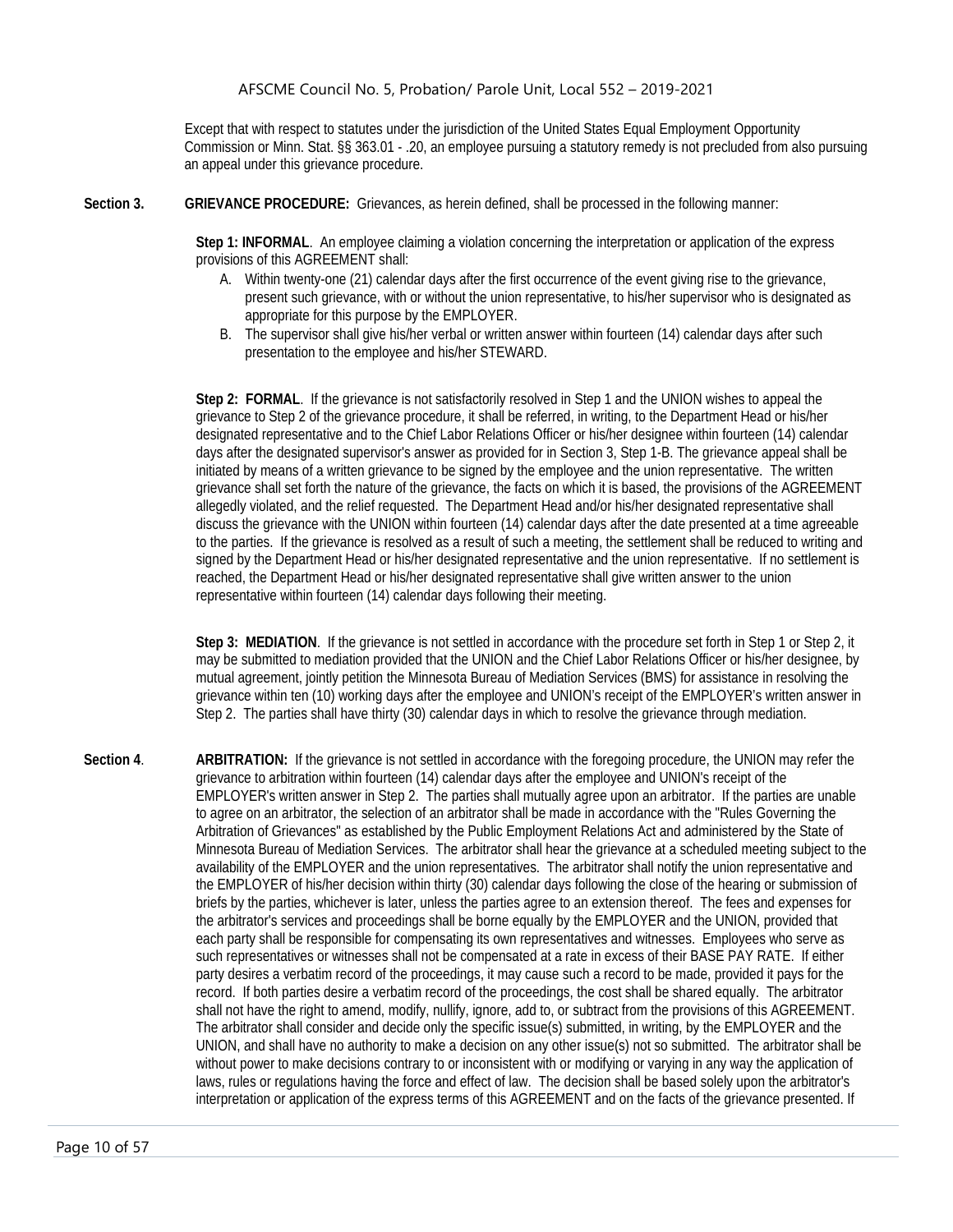Except that with respect to statutes under the jurisdiction of the United States Equal Employment Opportunity Commission or Minn. Stat. §§ 363.01 - .20, an employee pursuing a statutory remedy is not precluded from also pursuing an appeal under this grievance procedure.

**Section 3. GRIEVANCE PROCEDURE:** Grievances, as herein defined, shall be processed in the following manner:

**Step 1: INFORMAL**. An employee claiming a violation concerning the interpretation or application of the express provisions of this AGREEMENT shall:

- A. Within twenty-one (21) calendar days after the first occurrence of the event giving rise to the grievance, present such grievance, with or without the union representative, to his/her supervisor who is designated as appropriate for this purpose by the EMPLOYER.
- B. The supervisor shall give his/her verbal or written answer within fourteen (14) calendar days after such presentation to the employee and his/her STEWARD.

**Step 2: FORMAL**. If the grievance is not satisfactorily resolved in Step 1 and the UNION wishes to appeal the grievance to Step 2 of the grievance procedure, it shall be referred, in writing, to the Department Head or his/her designated representative and to the Chief Labor Relations Officer or his/her designee within fourteen (14) calendar days after the designated supervisor's answer as provided for in Section 3, Step 1-B. The grievance appeal shall be initiated by means of a written grievance to be signed by the employee and the union representative. The written grievance shall set forth the nature of the grievance, the facts on which it is based, the provisions of the AGREEMENT allegedly violated, and the relief requested. The Department Head and/or his/her designated representative shall discuss the grievance with the UNION within fourteen (14) calendar days after the date presented at a time agreeable to the parties. If the grievance is resolved as a result of such a meeting, the settlement shall be reduced to writing and signed by the Department Head or his/her designated representative and the union representative. If no settlement is reached, the Department Head or his/her designated representative shall give written answer to the union representative within fourteen (14) calendar days following their meeting.

Step 3: MEDIATION. If the grievance is not settled in accordance with the procedure set forth in Step 1 or Step 2, it may be submitted to mediation provided that the UNION and the Chief Labor Relations Officer or his/her designee, by mutual agreement, jointly petition the Minnesota Bureau of Mediation Services (BMS) for assistance in resolving the grievance within ten (10) working days after the employee and UNION's receipt of the EMPLOYER's written answer in Step 2. The parties shall have thirty (30) calendar days in which to resolve the grievance through mediation.

**Section 4**. **ARBITRATION:** If the grievance is not settled in accordance with the foregoing procedure, the UNION may refer the grievance to arbitration within fourteen (14) calendar days after the employee and UNION's receipt of the EMPLOYER's written answer in Step 2. The parties shall mutually agree upon an arbitrator. If the parties are unable to agree on an arbitrator, the selection of an arbitrator shall be made in accordance with the "Rules Governing the Arbitration of Grievances" as established by the Public Employment Relations Act and administered by the State of Minnesota Bureau of Mediation Services. The arbitrator shall hear the grievance at a scheduled meeting subject to the availability of the EMPLOYER and the union representatives. The arbitrator shall notify the union representative and the EMPLOYER of his/her decision within thirty (30) calendar days following the close of the hearing or submission of briefs by the parties, whichever is later, unless the parties agree to an extension thereof. The fees and expenses for the arbitrator's services and proceedings shall be borne equally by the EMPLOYER and the UNION, provided that each party shall be responsible for compensating its own representatives and witnesses. Employees who serve as such representatives or witnesses shall not be compensated at a rate in excess of their BASE PAY RATE. If either party desires a verbatim record of the proceedings, it may cause such a record to be made, provided it pays for the record. If both parties desire a verbatim record of the proceedings, the cost shall be shared equally. The arbitrator shall not have the right to amend, modify, nullify, ignore, add to, or subtract from the provisions of this AGREEMENT. The arbitrator shall consider and decide only the specific issue(s) submitted, in writing, by the EMPLOYER and the UNION, and shall have no authority to make a decision on any other issue(s) not so submitted. The arbitrator shall be without power to make decisions contrary to or inconsistent with or modifying or varying in any way the application of laws, rules or regulations having the force and effect of law. The decision shall be based solely upon the arbitrator's interpretation or application of the express terms of this AGREEMENT and on the facts of the grievance presented. If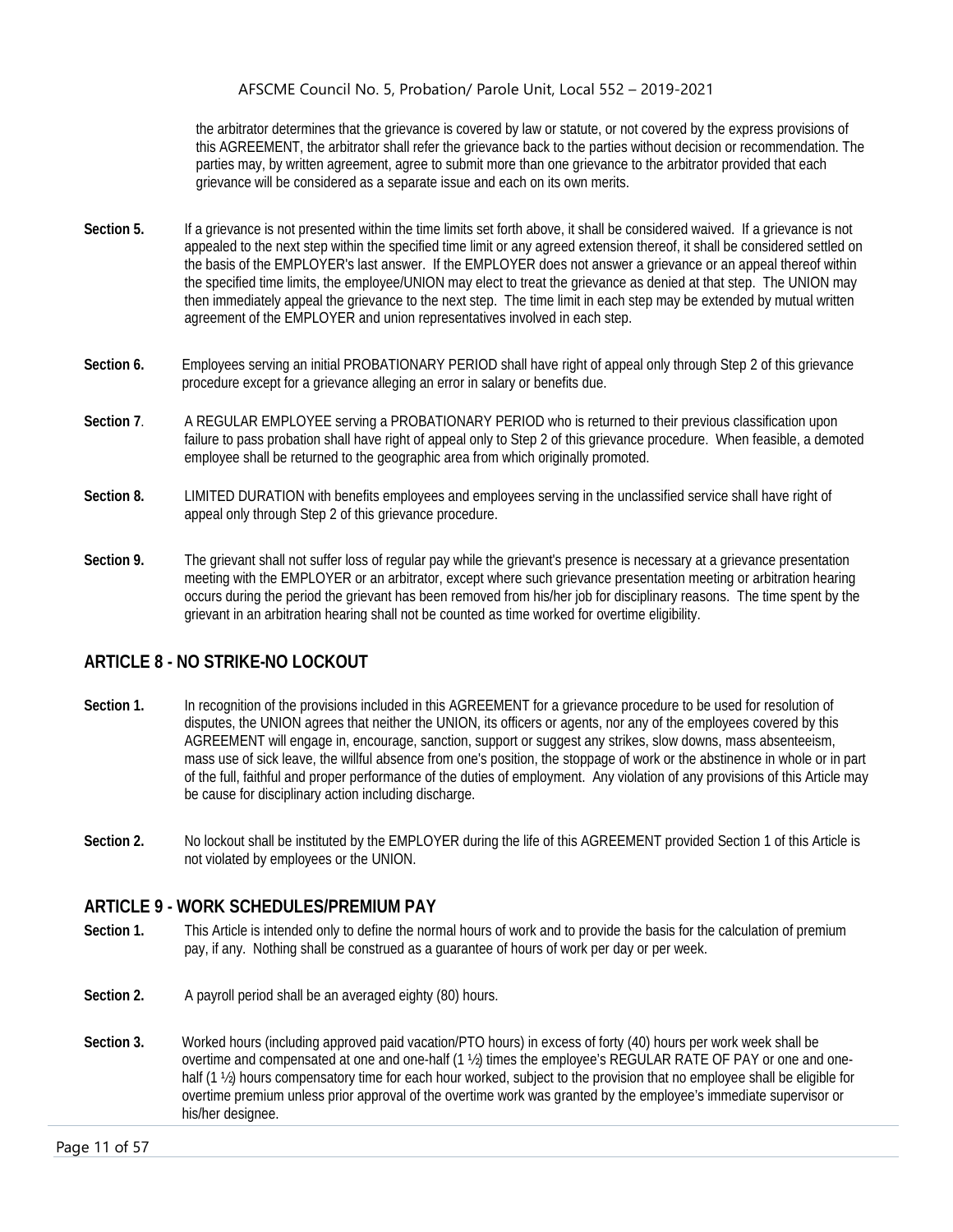the arbitrator determines that the grievance is covered by law or statute, or not covered by the express provisions of this AGREEMENT, the arbitrator shall refer the grievance back to the parties without decision or recommendation. The parties may, by written agreement, agree to submit more than one grievance to the arbitrator provided that each grievance will be considered as a separate issue and each on its own merits.

- **Section 5.** If a grievance is not presented within the time limits set forth above, it shall be considered waived. If a grievance is not appealed to the next step within the specified time limit or any agreed extension thereof, it shall be considered settled on the basis of the EMPLOYER's last answer. If the EMPLOYER does not answer a grievance or an appeal thereof within the specified time limits, the employee/UNION may elect to treat the grievance as denied at that step. The UNION may then immediately appeal the grievance to the next step. The time limit in each step may be extended by mutual written agreement of the EMPLOYER and union representatives involved in each step.
- **Section 6.** Employees serving an initial PROBATIONARY PERIOD shall have right of appeal only through Step 2 of this grievance procedure except for a grievance alleging an error in salary or benefits due.
- **Section 7**. A REGULAR EMPLOYEE serving a PROBATIONARY PERIOD who is returned to their previous classification upon failure to pass probation shall have right of appeal only to Step 2 of this grievance procedure. When feasible, a demoted employee shall be returned to the geographic area from which originally promoted.
- **Section 8.** LIMITED DURATION with benefits employees and employees serving in the unclassified service shall have right of appeal only through Step 2 of this grievance procedure.
- **Section 9.** The grievant shall not suffer loss of regular pay while the grievant's presence is necessary at a grievance presentation meeting with the EMPLOYER or an arbitrator, except where such grievance presentation meeting or arbitration hearing occurs during the period the grievant has been removed from his/her job for disciplinary reasons. The time spent by the grievant in an arbitration hearing shall not be counted as time worked for overtime eligibility.

# <span id="page-11-0"></span>**ARTICLE 8 - NO STRIKE-NO LOCKOUT**

- Section 1. In recognition of the provisions included in this AGREEMENT for a grievance procedure to be used for resolution of disputes, the UNION agrees that neither the UNION, its officers or agents, nor any of the employees covered by this AGREEMENT will engage in, encourage, sanction, support or suggest any strikes, slow downs, mass absenteeism, mass use of sick leave, the willful absence from one's position, the stoppage of work or the abstinence in whole or in part of the full, faithful and proper performance of the duties of employment. Any violation of any provisions of this Article may be cause for disciplinary action including discharge.
- **Section 2.** No lockout shall be instituted by the EMPLOYER during the life of this AGREEMENT provided Section 1 of this Article is not violated by employees or the UNION.

#### <span id="page-11-1"></span>**ARTICLE 9 - WORK SCHEDULES/PREMIUM PAY**

- **Section 1.** This Article is intended only to define the normal hours of work and to provide the basis for the calculation of premium pay, if any. Nothing shall be construed as a guarantee of hours of work per day or per week.
- Section 2. A payroll period shall be an averaged eighty (80) hours.
- **Section 3.** Worked hours (including approved paid vacation/PTO hours) in excess of forty (40) hours per work week shall be overtime and compensated at one and one-half (1 ½) times the employee's REGULAR RATE OF PAY or one and onehalf (1  $\frac{1}{2}$ ) hours compensatory time for each hour worked, subject to the provision that no employee shall be eligible for overtime premium unless prior approval of the overtime work was granted by the employee's immediate supervisor or his/her designee.

Page 11 of 57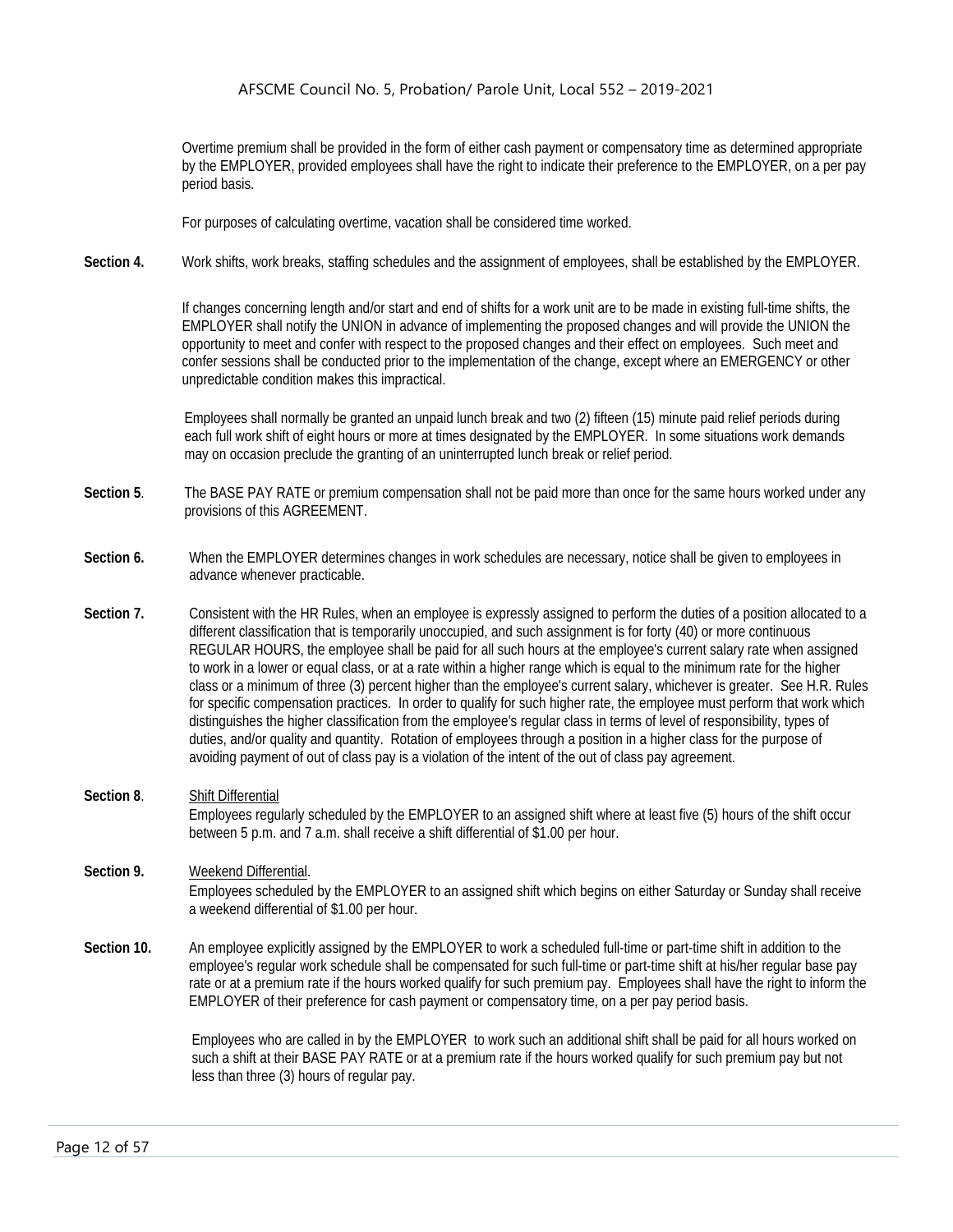Overtime premium shall be provided in the form of either cash payment or compensatory time as determined appropriate by the EMPLOYER, provided employees shall have the right to indicate their preference to the EMPLOYER, on a per pay period basis.

For purposes of calculating overtime, vacation shall be considered time worked.

**Section 4.** Work shifts, work breaks, staffing schedules and the assignment of employees, shall be established by the EMPLOYER.

If changes concerning length and/or start and end of shifts for a work unit are to be made in existing full-time shifts, the EMPLOYER shall notify the UNION in advance of implementing the proposed changes and will provide the UNION the opportunity to meet and confer with respect to the proposed changes and their effect on employees. Such meet and confer sessions shall be conducted prior to the implementation of the change, except where an EMERGENCY or other unpredictable condition makes this impractical.

Employees shall normally be granted an unpaid lunch break and two (2) fifteen (15) minute paid relief periods during each full work shift of eight hours or more at times designated by the EMPLOYER. In some situations work demands may on occasion preclude the granting of an uninterrupted lunch break or relief period.

- **Section 5**. The BASE PAY RATE or premium compensation shall not be paid more than once for the same hours worked under any provisions of this AGREEMENT.
- **Section 6.** When the EMPLOYER determines changes in work schedules are necessary, notice shall be given to employees in advance whenever practicable.
- **Section 7.** Consistent with the HR Rules, when an employee is expressly assigned to perform the duties of a position allocated to a different classification that is temporarily unoccupied, and such assignment is for forty (40) or more continuous REGULAR HOURS, the employee shall be paid for all such hours at the employee's current salary rate when assigned to work in a lower or equal class, or at a rate within a higher range which is equal to the minimum rate for the higher class or a minimum of three (3) percent higher than the employee's current salary, whichever is greater. See H.R. Rules for specific compensation practices. In order to qualify for such higher rate, the employee must perform that work which distinguishes the higher classification from the employee's regular class in terms of level of responsibility, types of duties, and/or quality and quantity. Rotation of employees through a position in a higher class for the purpose of avoiding payment of out of class pay is a violation of the intent of the out of class pay agreement.
- **Section 8**. Shift Differential Employees regularly scheduled by the EMPLOYER to an assigned shift where at least five (5) hours of the shift occur between 5 p.m. and 7 a.m. shall receive a shift differential of \$1.00 per hour.
- **Section 9.** Weekend Differential. Employees scheduled by the EMPLOYER to an assigned shift which begins on either Saturday or Sunday shall receive a weekend differential of \$1.00 per hour.
- **Section 10.** An employee explicitly assigned by the EMPLOYER to work a scheduled full-time or part-time shift in addition to the employee's regular work schedule shall be compensated for such full-time or part-time shift at his/her regular base pay rate or at a premium rate if the hours worked qualify for such premium pay. Employees shall have the right to inform the EMPLOYER of their preference for cash payment or compensatory time, on a per pay period basis.

Employees who are called in by the EMPLOYER to work such an additional shift shall be paid for all hours worked on such a shift at their BASE PAY RATE or at a premium rate if the hours worked qualify for such premium pay but not less than three (3) hours of regular pay.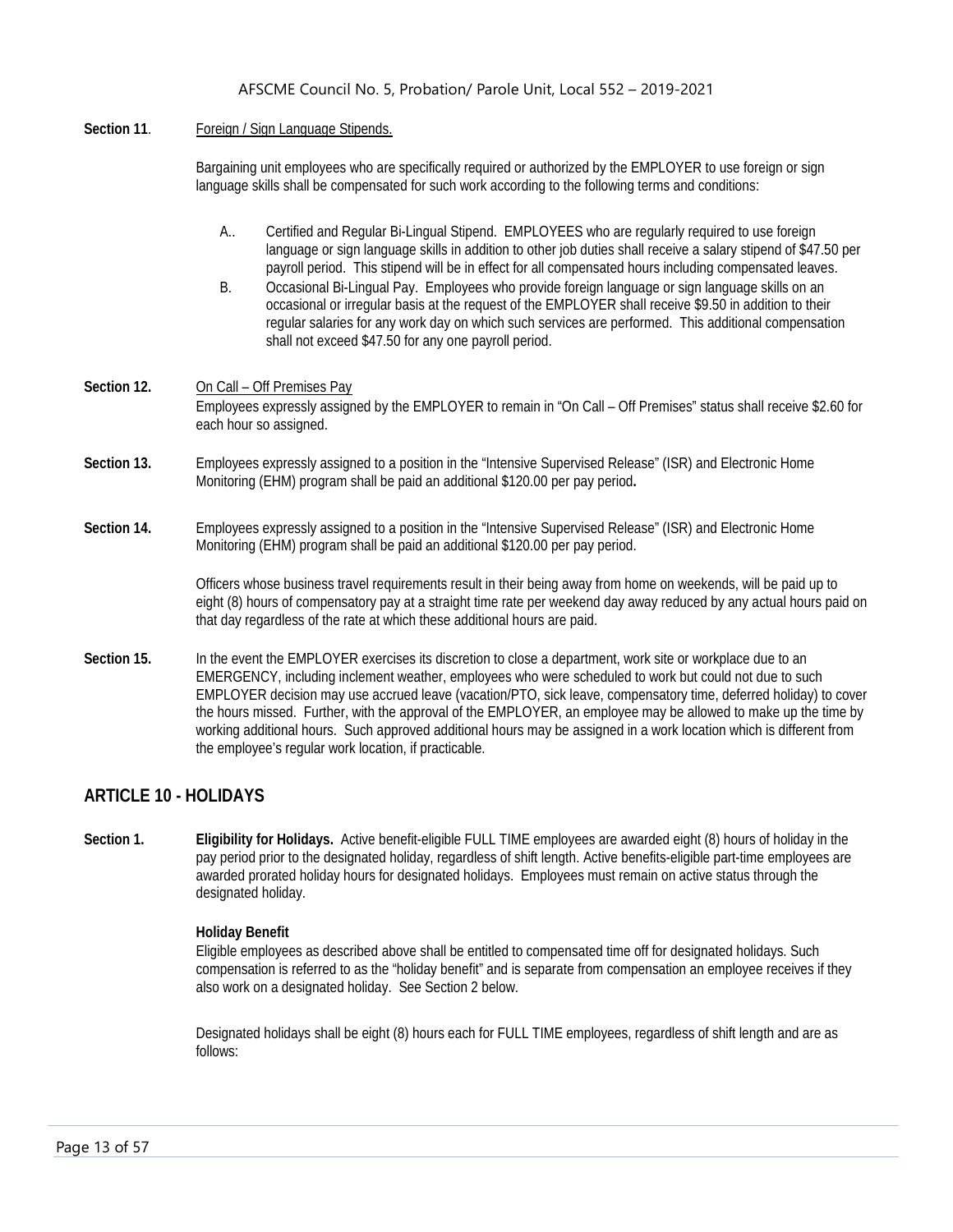Section 11. Foreign / Sign Language Stipends.

Bargaining unit employees who are specifically required or authorized by the EMPLOYER to use foreign or sign language skills shall be compensated for such work according to the following terms and conditions:

- A.. Certified and Regular Bi-Lingual Stipend. EMPLOYEES who are regularly required to use foreign language or sign language skills in addition to other job duties shall receive a salary stipend of \$47.50 per payroll period. This stipend will be in effect for all compensated hours including compensated leaves.
- B. Occasional Bi-Lingual Pay. Employees who provide foreign language or sign language skills on an occasional or irregular basis at the request of the EMPLOYER shall receive \$9.50 in addition to their regular salaries for any work day on which such services are performed. This additional compensation shall not exceed \$47.50 for any one payroll period.
- Section 12. On Call Off Premises Pay Employees expressly assigned by the EMPLOYER to remain in "On Call – Off Premises" status shall receive \$2.60 for each hour so assigned.
- **Section 13.** Employees expressly assigned to a position in the "Intensive Supervised Release" (ISR) and Electronic Home Monitoring (EHM) program shall be paid an additional \$120.00 per pay period**.**
- **Section 14.** Employees expressly assigned to a position in the "Intensive Supervised Release" (ISR) and Electronic Home Monitoring (EHM) program shall be paid an additional \$120.00 per pay period.

Officers whose business travel requirements result in their being away from home on weekends, will be paid up to eight (8) hours of compensatory pay at a straight time rate per weekend day away reduced by any actual hours paid on that day regardless of the rate at which these additional hours are paid.

**Section 15.** In the event the EMPLOYER exercises its discretion to close a department, work site or workplace due to an EMERGENCY, including inclement weather, employees who were scheduled to work but could not due to such EMPLOYER decision may use accrued leave (vacation/PTO, sick leave, compensatory time, deferred holiday) to cover the hours missed. Further, with the approval of the EMPLOYER, an employee may be allowed to make up the time by working additional hours. Such approved additional hours may be assigned in a work location which is different from the employee's regular work location, if practicable.

# <span id="page-13-0"></span>**ARTICLE 10 - HOLIDAYS**

**Section 1. Eligibility for Holidays.** Active benefit-eligible FULL TIME employees are awarded eight (8) hours of holiday in the pay period prior to the designated holiday, regardless of shift length. Active benefits-eligible part-time employees are awarded prorated holiday hours for designated holidays. Employees must remain on active status through the designated holiday.

#### **Holiday Benefit**

Eligible employees as described above shall be entitled to compensated time off for designated holidays. Such compensation is referred to as the "holiday benefit" and is separate from compensation an employee receives if they also work on a designated holiday. See Section 2 below.

Designated holidays shall be eight (8) hours each for FULL TIME employees, regardless of shift length and are as follows: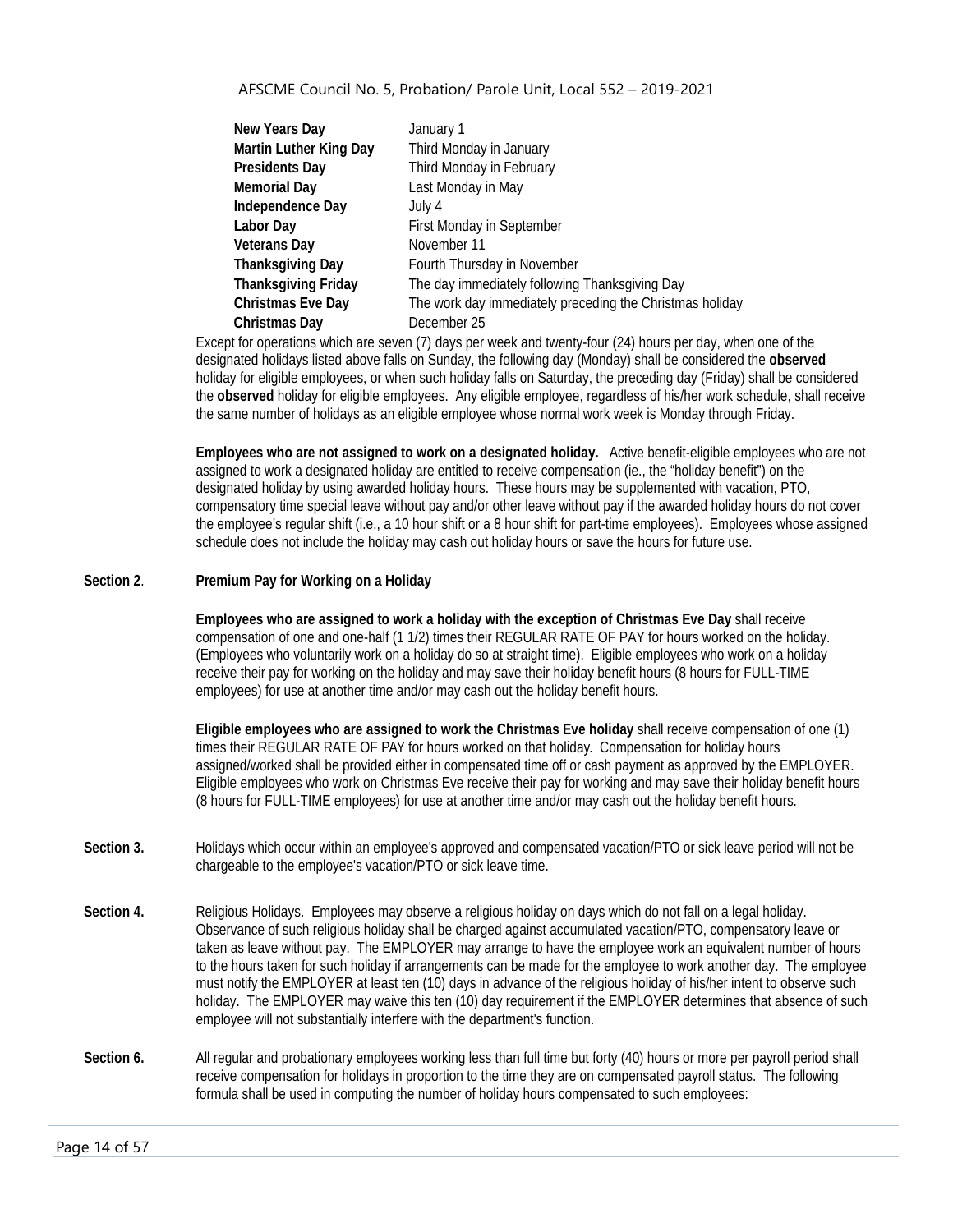| New Years Day              | January 1                                                |
|----------------------------|----------------------------------------------------------|
| Martin Luther King Day     | Third Monday in January                                  |
| <b>Presidents Day</b>      | Third Monday in February                                 |
| <b>Memorial Day</b>        | Last Monday in May                                       |
| Independence Day           | July 4                                                   |
| Labor Day                  | <b>First Monday in September</b>                         |
| <b>Veterans Day</b>        | November 11                                              |
| <b>Thanksgiving Day</b>    | Fourth Thursday in November                              |
| <b>Thanksgiving Friday</b> | The day immediately following Thanksgiving Day           |
| <b>Christmas Eve Day</b>   | The work day immediately preceding the Christmas holiday |
| Christmas Day              | December 25                                              |

Except for operations which are seven (7) days per week and twenty-four (24) hours per day, when one of the designated holidays listed above falls on Sunday, the following day (Monday) shall be considered the **observed** holiday for eligible employees, or when such holiday falls on Saturday, the preceding day (Friday) shall be considered the **observed** holiday for eligible employees. Any eligible employee, regardless of his/her work schedule, shall receive the same number of holidays as an eligible employee whose normal work week is Monday through Friday.

**Employees who are not assigned to work on a designated holiday.** Active benefit-eligible employees who are not assigned to work a designated holiday are entitled to receive compensation (ie., the "holiday benefit") on the designated holiday by using awarded holiday hours. These hours may be supplemented with vacation, PTO, compensatory time special leave without pay and/or other leave without pay if the awarded holiday hours do not cover the employee's regular shift (i.e., a 10 hour shift or a 8 hour shift for part-time employees). Employees whose assigned schedule does not include the holiday may cash out holiday hours or save the hours for future use.

#### **Section 2**. **Premium Pay for Working on a Holiday**

**Employees who are assigned to work a holiday with the exception of Christmas Eve Day** shall receive compensation of one and one-half (1 1/2) times their REGULAR RATE OF PAY for hours worked on the holiday. (Employees who voluntarily work on a holiday do so at straight time). Eligible employees who work on a holiday receive their pay for working on the holiday and may save their holiday benefit hours (8 hours for FULL-TIME employees) for use at another time and/or may cash out the holiday benefit hours.

**Eligible employees who are assigned to work the Christmas Eve holiday** shall receive compensation of one (1) times their REGULAR RATE OF PAY for hours worked on that holiday. Compensation for holiday hours assigned/worked shall be provided either in compensated time off or cash payment as approved by the EMPLOYER. Eligible employees who work on Christmas Eve receive their pay for working and may save their holiday benefit hours (8 hours for FULL-TIME employees) for use at another time and/or may cash out the holiday benefit hours.

- **Section 3.** Holidays which occur within an employee's approved and compensated vacation/PTO or sick leave period will not be chargeable to the employee's vacation/PTO or sick leave time.
- **Section 4.** Religious Holidays. Employees may observe a religious holiday on days which do not fall on a legal holiday. Observance of such religious holiday shall be charged against accumulated vacation/PTO, compensatory leave or taken as leave without pay. The EMPLOYER may arrange to have the employee work an equivalent number of hours to the hours taken for such holiday if arrangements can be made for the employee to work another day. The employee must notify the EMPLOYER at least ten (10) days in advance of the religious holiday of his/her intent to observe such holiday. The EMPLOYER may waive this ten (10) day requirement if the EMPLOYER determines that absence of such employee will not substantially interfere with the department's function.
- Section 6. All regular and probationary employees working less than full time but forty (40) hours or more per payroll period shall receive compensation for holidays in proportion to the time they are on compensated payroll status. The following formula shall be used in computing the number of holiday hours compensated to such employees: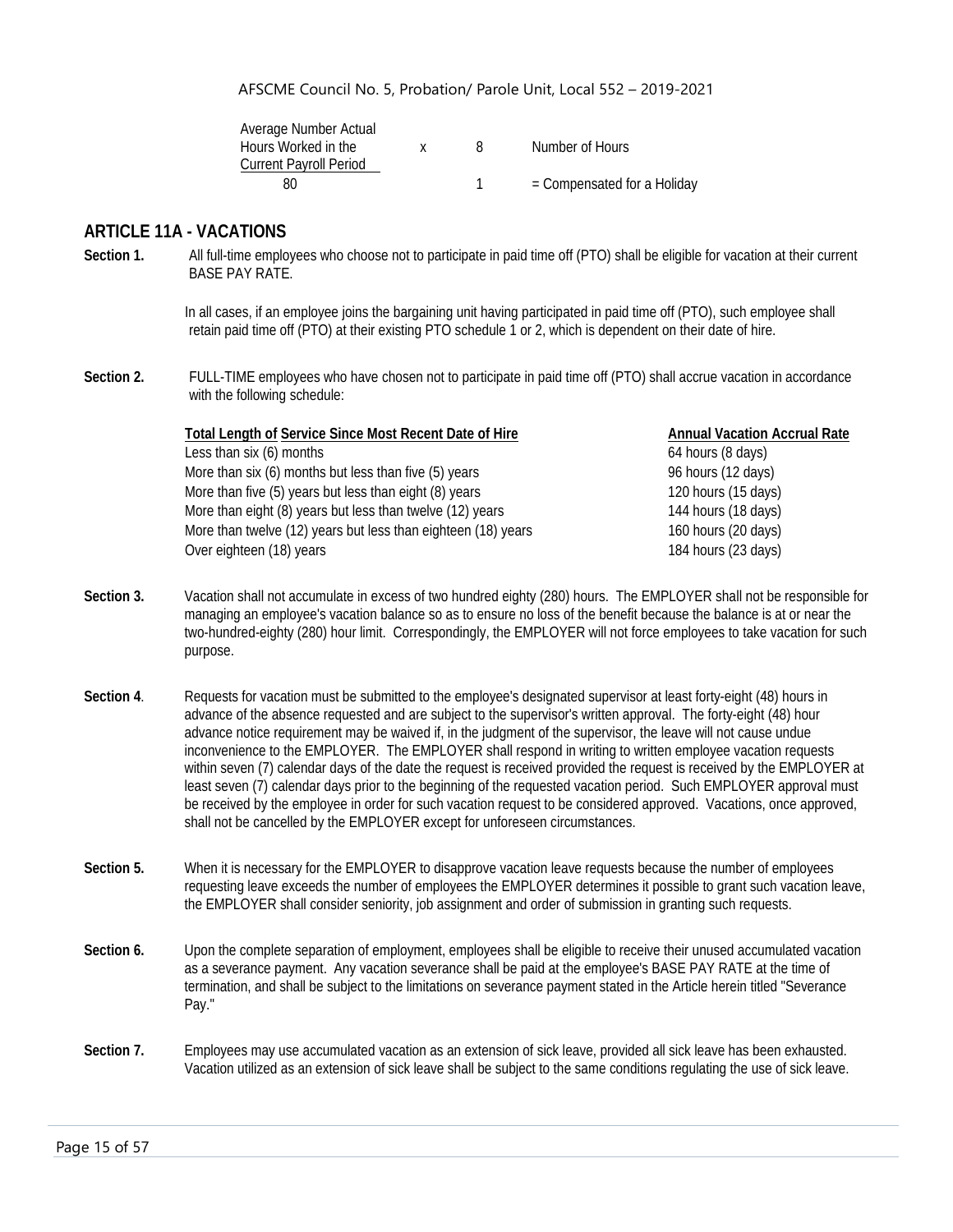| Average Number Actual         |  |                               |
|-------------------------------|--|-------------------------------|
| Hours Worked in the           |  | Number of Hours               |
| <b>Current Payroll Period</b> |  |                               |
| 80                            |  | $=$ Compensated for a Holiday |

#### <span id="page-15-0"></span>**ARTICLE 11A - VACATIONS**

**Section 1.** All full-time employees who choose not to participate in paid time off (PTO) shall be eligible for vacation at their current BASE PAY RATE.

> In all cases, if an employee joins the bargaining unit having participated in paid time off (PTO), such employee shall retain paid time off (PTO) at their existing PTO schedule 1 or 2, which is dependent on their date of hire.

**Section 2.** FULL-TIME employees who have chosen not to participate in paid time off (PTO) shall accrue vacation in accordance with the following schedule:

| <b>Total Length of Service Since Most Recent Date of Hire</b> | <b>Annual Vacation Accrual Rate</b> |
|---------------------------------------------------------------|-------------------------------------|
| Less than six (6) months                                      | 64 hours (8 days)                   |
| More than six (6) months but less than five (5) years         | 96 hours (12 days)                  |
| More than five (5) years but less than eight (8) years        | 120 hours (15 days)                 |
| More than eight (8) years but less than twelve (12) years     | 144 hours (18 days)                 |
| More than twelve (12) years but less than eighteen (18) years | 160 hours (20 days)                 |
| Over eighteen (18) years                                      | 184 hours (23 days)                 |
|                                                               |                                     |

- **Section 3.** Vacation shall not accumulate in excess of two hundred eighty (280) hours. The EMPLOYER shall not be responsible for managing an employee's vacation balance so as to ensure no loss of the benefit because the balance is at or near the two-hundred-eighty (280) hour limit. Correspondingly, the EMPLOYER will not force employees to take vacation for such purpose.
- Section 4. Requests for vacation must be submitted to the employee's designated supervisor at least forty-eight (48) hours in advance of the absence requested and are subject to the supervisor's written approval. The forty-eight (48) hour advance notice requirement may be waived if, in the judgment of the supervisor, the leave will not cause undue inconvenience to the EMPLOYER. The EMPLOYER shall respond in writing to written employee vacation requests within seven (7) calendar days of the date the request is received provided the request is received by the EMPLOYER at least seven (7) calendar days prior to the beginning of the requested vacation period. Such EMPLOYER approval must be received by the employee in order for such vacation request to be considered approved. Vacations, once approved, shall not be cancelled by the EMPLOYER except for unforeseen circumstances.
- **Section 5.** When it is necessary for the EMPLOYER to disapprove vacation leave requests because the number of employees requesting leave exceeds the number of employees the EMPLOYER determines it possible to grant such vacation leave, the EMPLOYER shall consider seniority, job assignment and order of submission in granting such requests.
- Section 6. Upon the complete separation of employment, employees shall be eligible to receive their unused accumulated vacation as a severance payment. Any vacation severance shall be paid at the employee's BASE PAY RATE at the time of termination, and shall be subject to the limitations on severance payment stated in the Article herein titled "Severance Pay."
- Section 7. Employees may use accumulated vacation as an extension of sick leave, provided all sick leave has been exhausted. Vacation utilized as an extension of sick leave shall be subject to the same conditions regulating the use of sick leave.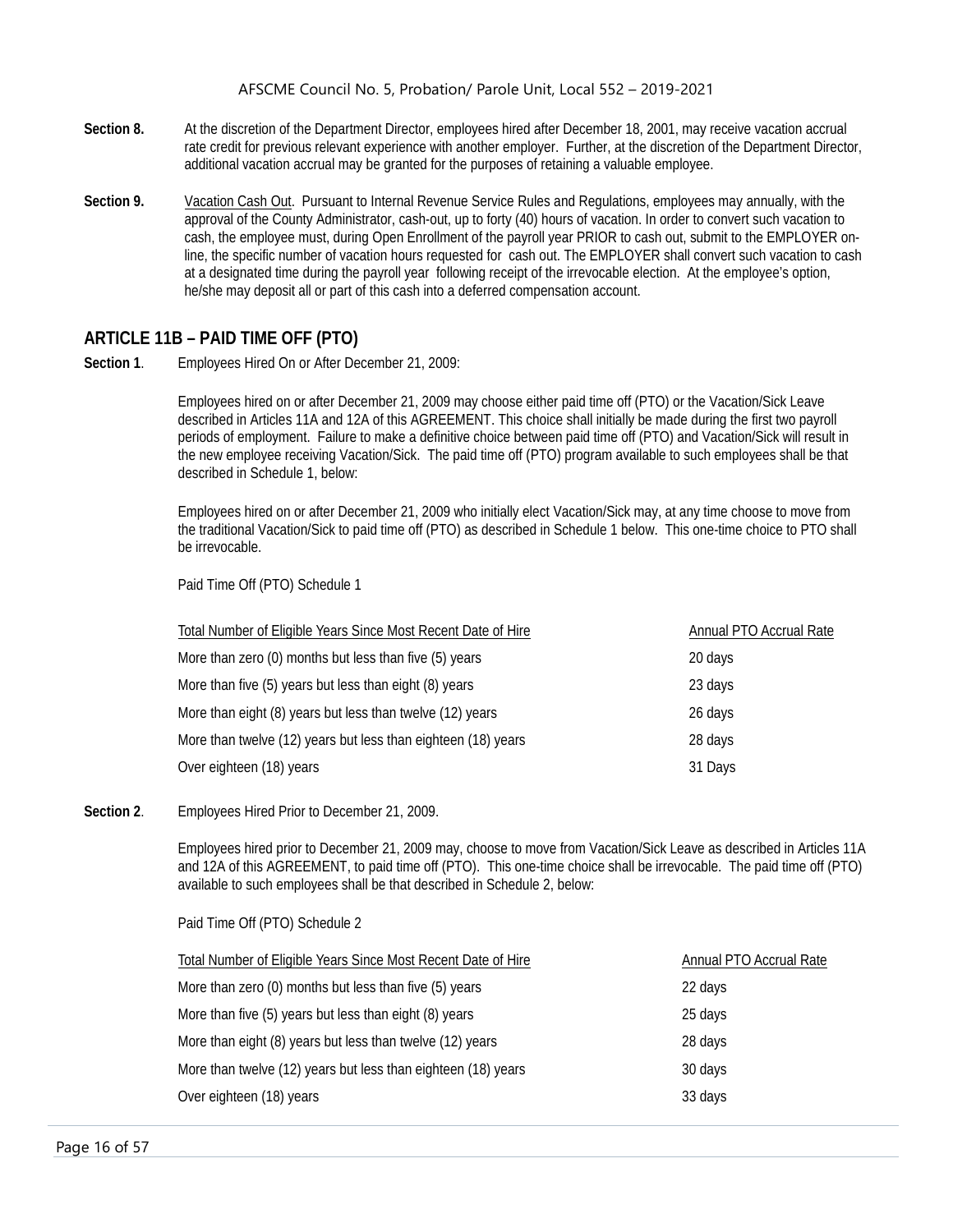- **Section 8.** At the discretion of the Department Director, employees hired after December 18, 2001, may receive vacation accrual rate credit for previous relevant experience with another employer. Further, at the discretion of the Department Director, additional vacation accrual may be granted for the purposes of retaining a valuable employee.
- **Section 9.** Vacation Cash Out. Pursuant to Internal Revenue Service Rules and Regulations, employees may annually, with the approval of the County Administrator, cash-out, up to forty (40) hours of vacation. In order to convert such vacation to cash, the employee must, during Open Enrollment of the payroll year PRIOR to cash out, submit to the EMPLOYER online, the specific number of vacation hours requested for cash out. The EMPLOYER shall convert such vacation to cash at a designated time during the payroll year following receipt of the irrevocable election. At the employee's option, he/she may deposit all or part of this cash into a deferred compensation account.

# <span id="page-16-0"></span>**ARTICLE 11B – PAID TIME OFF (PTO)**

**Section 1**. Employees Hired On or After December 21, 2009:

Employees hired on or after December 21, 2009 may choose either paid time off (PTO) or the Vacation/Sick Leave described in Articles 11A and 12A of this AGREEMENT. This choice shall initially be made during the first two payroll periods of employment. Failure to make a definitive choice between paid time off (PTO) and Vacation/Sick will result in the new employee receiving Vacation/Sick. The paid time off (PTO) program available to such employees shall be that described in Schedule 1, below:

Employees hired on or after December 21, 2009 who initially elect Vacation/Sick may, at any time choose to move from the traditional Vacation/Sick to paid time off (PTO) as described in Schedule 1 below. This one-time choice to PTO shall be irrevocable.

Paid Time Off (PTO) Schedule 1

| Total Number of Eligible Years Since Most Recent Date of Hire | Annual PTO Accrual Rate |
|---------------------------------------------------------------|-------------------------|
| More than zero (0) months but less than five (5) years        | 20 days                 |
| More than five (5) years but less than eight (8) years        | 23 days                 |
| More than eight (8) years but less than twelve (12) years     | 26 days                 |
| More than twelve (12) years but less than eighteen (18) years | 28 days                 |
| Over eighteen (18) years                                      | 31 Days                 |

#### **Section 2**. Employees Hired Prior to December 21, 2009.

Employees hired prior to December 21, 2009 may, choose to move from Vacation/Sick Leave as described in Articles 11A and 12A of this AGREEMENT, to paid time off (PTO). This one-time choice shall be irrevocable. The paid time off (PTO) available to such employees shall be that described in Schedule 2, below:

Paid Time Off (PTO) Schedule 2

| Total Number of Eligible Years Since Most Recent Date of Hire | Annual PTO Accrual Rate |
|---------------------------------------------------------------|-------------------------|
| More than zero (0) months but less than five (5) years        | 22 days                 |
| More than five (5) years but less than eight (8) years        | 25 days                 |
| More than eight (8) years but less than twelve (12) years     | 28 days                 |
| More than twelve (12) years but less than eighteen (18) years | 30 days                 |
| Over eighteen (18) years                                      | 33 days                 |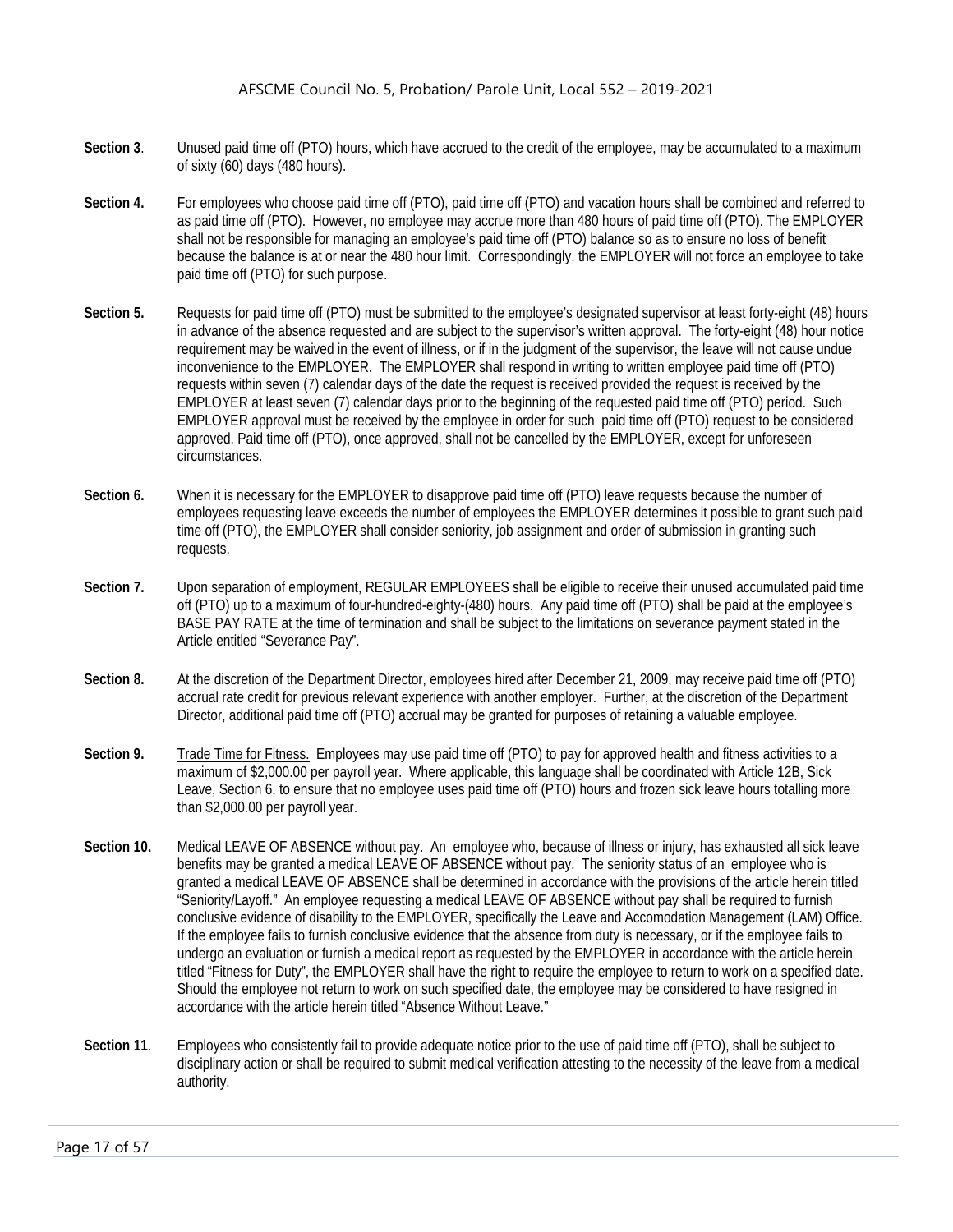- **Section 3**. Unused paid time off (PTO) hours, which have accrued to the credit of the employee, may be accumulated to a maximum of sixty (60) days (480 hours).
- Section 4. For employees who choose paid time off (PTO), paid time off (PTO) and vacation hours shall be combined and referred to as paid time off (PTO). However, no employee may accrue more than 480 hours of paid time off (PTO). The EMPLOYER shall not be responsible for managing an employee's paid time off (PTO) balance so as to ensure no loss of benefit because the balance is at or near the 480 hour limit. Correspondingly, the EMPLOYER will not force an employee to take paid time off (PTO) for such purpose.
- Section 5. Requests for paid time off (PTO) must be submitted to the employee's designated supervisor at least forty-eight (48) hours in advance of the absence requested and are subject to the supervisor's written approval. The forty-eight (48) hour notice requirement may be waived in the event of illness, or if in the judgment of the supervisor, the leave will not cause undue inconvenience to the EMPLOYER. The EMPLOYER shall respond in writing to written employee paid time off (PTO) requests within seven (7) calendar days of the date the request is received provided the request is received by the EMPLOYER at least seven (7) calendar days prior to the beginning of the requested paid time off (PTO) period. Such EMPLOYER approval must be received by the employee in order for such paid time off (PTO) request to be considered approved. Paid time off (PTO), once approved, shall not be cancelled by the EMPLOYER, except for unforeseen circumstances.
- **Section 6.** When it is necessary for the EMPLOYER to disapprove paid time off (PTO) leave requests because the number of employees requesting leave exceeds the number of employees the EMPLOYER determines it possible to grant such paid time off (PTO), the EMPLOYER shall consider seniority, job assignment and order of submission in granting such requests.
- **Section 7.** Upon separation of employment, REGULAR EMPLOYEES shall be eligible to receive their unused accumulated paid time off (PTO) up to a maximum of four-hundred-eighty-(480) hours. Any paid time off (PTO) shall be paid at the employee's BASE PAY RATE at the time of termination and shall be subject to the limitations on severance payment stated in the Article entitled "Severance Pay".
- **Section 8.** At the discretion of the Department Director, employees hired after December 21, 2009, may receive paid time off (PTO) accrual rate credit for previous relevant experience with another employer. Further, at the discretion of the Department Director, additional paid time off (PTO) accrual may be granted for purposes of retaining a valuable employee.
- Section 9. Trade Time for Fitness. Employees may use paid time off (PTO) to pay for approved health and fitness activities to a maximum of \$2,000.00 per payroll year. Where applicable, this language shall be coordinated with Article 12B, Sick Leave, Section 6, to ensure that no employee uses paid time off (PTO) hours and frozen sick leave hours totalling more than \$2,000.00 per payroll year.
- **Section 10.** Medical LEAVE OF ABSENCE without pay. An employee who, because of illness or injury, has exhausted all sick leave benefits may be granted a medical LEAVE OF ABSENCE without pay. The seniority status of an employee who is granted a medical LEAVE OF ABSENCE shall be determined in accordance with the provisions of the article herein titled "Seniority/Layoff." An employee requesting a medical LEAVE OF ABSENCE without pay shall be required to furnish conclusive evidence of disability to the EMPLOYER, specifically the Leave and Accomodation Management (LAM) Office. If the employee fails to furnish conclusive evidence that the absence from duty is necessary, or if the employee fails to undergo an evaluation or furnish a medical report as requested by the EMPLOYER in accordance with the article herein titled "Fitness for Duty", the EMPLOYER shall have the right to require the employee to return to work on a specified date. Should the employee not return to work on such specified date, the employee may be considered to have resigned in accordance with the article herein titled "Absence Without Leave."
- **Section 11**. Employees who consistently fail to provide adequate notice prior to the use of paid time off (PTO), shall be subject to disciplinary action or shall be required to submit medical verification attesting to the necessity of the leave from a medical authority.

Page 17 of 57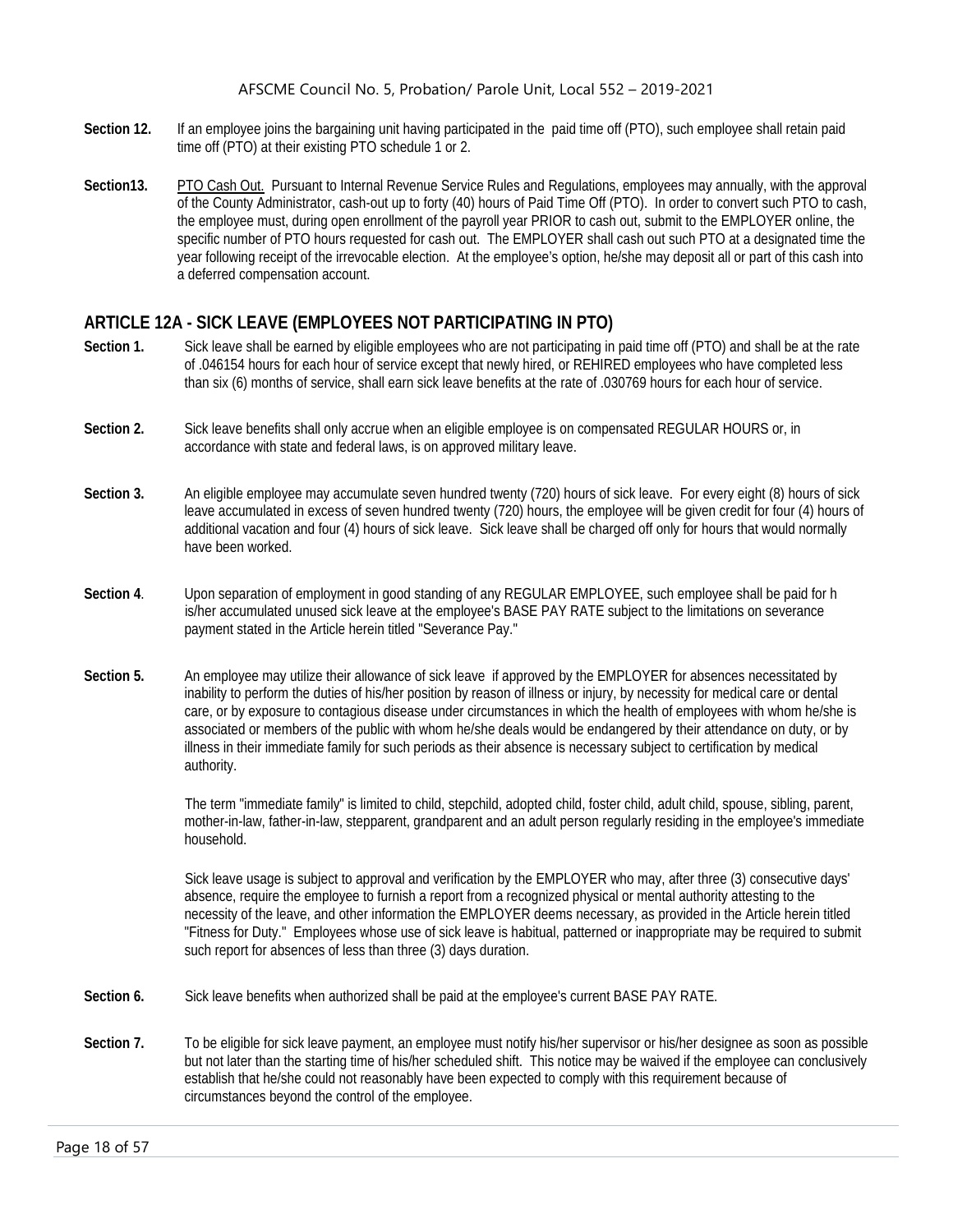- **Section 12.** If an employee joins the bargaining unit having participated in the paid time off (PTO), such employee shall retain paid time off (PTO) at their existing PTO schedule 1 or 2.
- **Section13.** PTO Cash Out. Pursuant to Internal Revenue Service Rules and Regulations, employees may annually, with the approval of the County Administrator, cash-out up to forty (40) hours of Paid Time Off (PTO). In order to convert such PTO to cash, the employee must, during open enrollment of the payroll year PRIOR to cash out, submit to the EMPLOYER online, the specific number of PTO hours requested for cash out. The EMPLOYER shall cash out such PTO at a designated time the year following receipt of the irrevocable election. At the employee's option, he/she may deposit all or part of this cash into a deferred compensation account.

# <span id="page-18-0"></span>**ARTICLE 12A - SICK LEAVE (EMPLOYEES NOT PARTICIPATING IN PTO)**

- **Section 1.** Sick leave shall be earned by eligible employees who are not participating in paid time off (PTO) and shall be at the rate of .046154 hours for each hour of service except that newly hired, or REHIRED employees who have completed less than six (6) months of service, shall earn sick leave benefits at the rate of .030769 hours for each hour of service.
- **Section 2.** Sick leave benefits shall only accrue when an eligible employee is on compensated REGULAR HOURS or, in accordance with state and federal laws, is on approved military leave.
- **Section 3.** An eligible employee may accumulate seven hundred twenty (720) hours of sick leave. For every eight (8) hours of sick leave accumulated in excess of seven hundred twenty (720) hours, the employee will be given credit for four (4) hours of additional vacation and four (4) hours of sick leave. Sick leave shall be charged off only for hours that would normally have been worked.
- **Section 4**. Upon separation of employment in good standing of any REGULAR EMPLOYEE, such employee shall be paid for h is/her accumulated unused sick leave at the employee's BASE PAY RATE subject to the limitations on severance payment stated in the Article herein titled "Severance Pay."
- **Section 5.** An employee may utilize their allowance of sick leave if approved by the EMPLOYER for absences necessitated by inability to perform the duties of his/her position by reason of illness or injury, by necessity for medical care or dental care, or by exposure to contagious disease under circumstances in which the health of employees with whom he/she is associated or members of the public with whom he/she deals would be endangered by their attendance on duty, or by illness in their immediate family for such periods as their absence is necessary subject to certification by medical authority.

The term "immediate family" is limited to child, stepchild, adopted child, foster child, adult child, spouse, sibling, parent, mother-in-law, father-in-law, stepparent, grandparent and an adult person regularly residing in the employee's immediate household.

Sick leave usage is subject to approval and verification by the EMPLOYER who may, after three (3) consecutive days' absence, require the employee to furnish a report from a recognized physical or mental authority attesting to the necessity of the leave, and other information the EMPLOYER deems necessary, as provided in the Article herein titled "Fitness for Duty." Employees whose use of sick leave is habitual, patterned or inappropriate may be required to submit such report for absences of less than three (3) days duration.

- **Section 6.** Sick leave benefits when authorized shall be paid at the employee's current BASE PAY RATE.
- Section 7. To be eligible for sick leave payment, an employee must notify his/her supervisor or his/her designee as soon as possible but not later than the starting time of his/her scheduled shift. This notice may be waived if the employee can conclusively establish that he/she could not reasonably have been expected to comply with this requirement because of circumstances beyond the control of the employee.

Page 18 of 57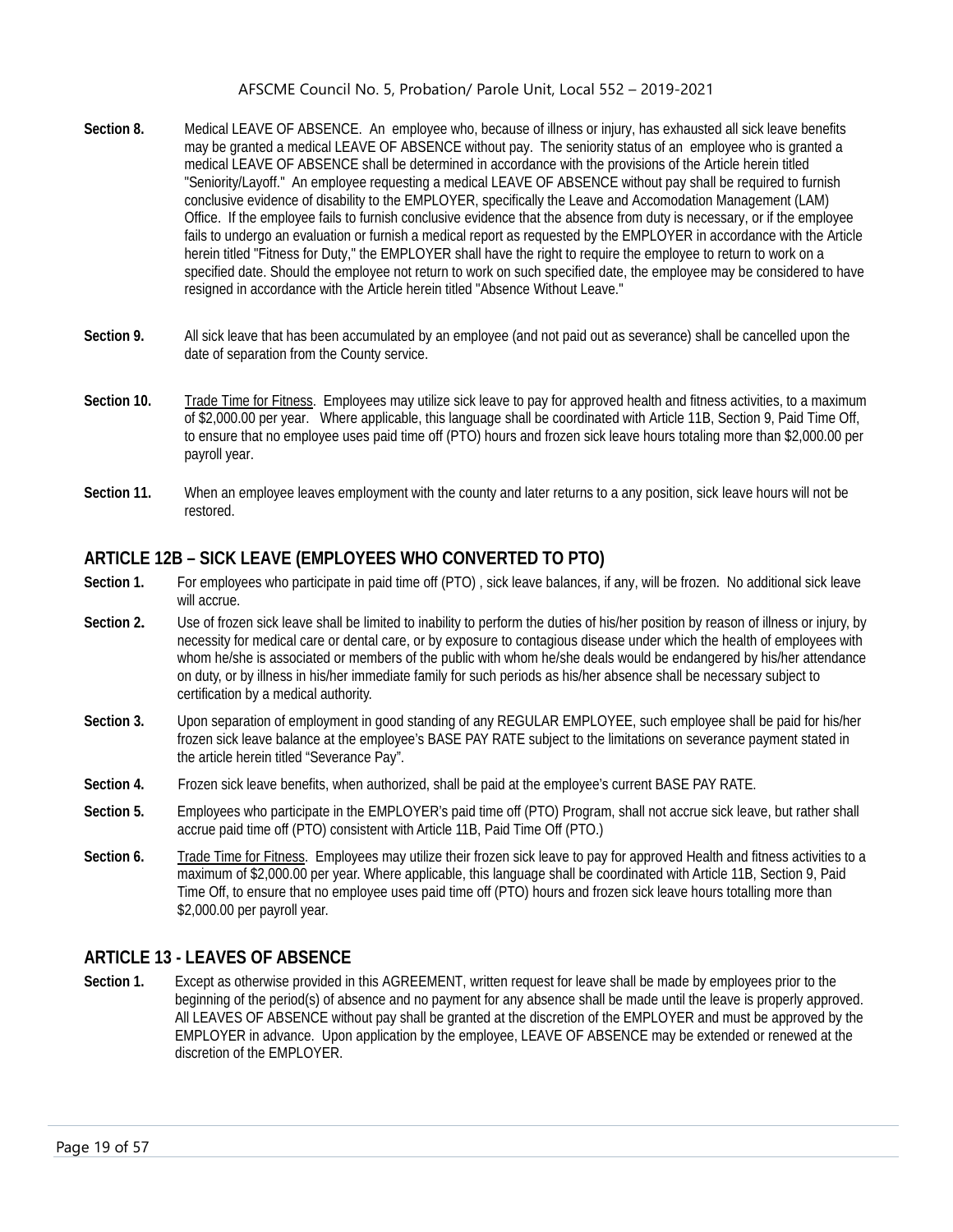- **Section 8.** Medical LEAVE OF ABSENCE. An employee who, because of illness or injury, has exhausted all sick leave benefits may be granted a medical LEAVE OF ABSENCE without pay. The seniority status of an employee who is granted a medical LEAVE OF ABSENCE shall be determined in accordance with the provisions of the Article herein titled "Seniority/Layoff." An employee requesting a medical LEAVE OF ABSENCE without pay shall be required to furnish conclusive evidence of disability to the EMPLOYER, specifically the Leave and Accomodation Management (LAM) Office. If the employee fails to furnish conclusive evidence that the absence from duty is necessary, or if the employee fails to undergo an evaluation or furnish a medical report as requested by the EMPLOYER in accordance with the Article herein titled "Fitness for Duty," the EMPLOYER shall have the right to require the employee to return to work on a specified date. Should the employee not return to work on such specified date, the employee may be considered to have resigned in accordance with the Article herein titled "Absence Without Leave."
- **Section 9.** All sick leave that has been accumulated by an employee (and not paid out as severance) shall be cancelled upon the date of separation from the County service.
- Section 10. Trade Time for Fitness. Employees may utilize sick leave to pay for approved health and fitness activities, to a maximum of \$2,000.00 per year. Where applicable, this language shall be coordinated with Article 11B, Section 9, Paid Time Off, to ensure that no employee uses paid time off (PTO) hours and frozen sick leave hours totaling more than \$2,000.00 per payroll year.
- **Section 11.** When an employee leaves employment with the county and later returns to a any position, sick leave hours will not be restored.

# <span id="page-19-0"></span>**ARTICLE 12B – SICK LEAVE (EMPLOYEES WHO CONVERTED TO PTO)**

- Section 1. For employees who participate in paid time off (PTO), sick leave balances, if any, will be frozen. No additional sick leave will accrue.
- **Section 2.** Use of frozen sick leave shall be limited to inability to perform the duties of his/her position by reason of illness or injury, by necessity for medical care or dental care, or by exposure to contagious disease under which the health of employees with whom he/she is associated or members of the public with whom he/she deals would be endangered by his/her attendance on duty, or by illness in his/her immediate family for such periods as his/her absence shall be necessary subject to certification by a medical authority.
- **Section 3.** Upon separation of employment in good standing of any REGULAR EMPLOYEE, such employee shall be paid for his/her frozen sick leave balance at the employee's BASE PAY RATE subject to the limitations on severance payment stated in the article herein titled "Severance Pay".
- **Section 4.** Frozen sick leave benefits, when authorized, shall be paid at the employee's current BASE PAY RATE.
- **Section 5.** Employees who participate in the EMPLOYER's paid time off (PTO) Program, shall not accrue sick leave, but rather shall accrue paid time off (PTO) consistent with Article 11B, Paid Time Off (PTO.)
- **Section 6.** Trade Time for Fitness. Employees may utilize their frozen sick leave to pay for approved Health and fitness activities to a maximum of \$2,000.00 per year. Where applicable, this language shall be coordinated with Article 11B, Section 9, Paid Time Off, to ensure that no employee uses paid time off (PTO) hours and frozen sick leave hours totalling more than \$2,000.00 per payroll year.

#### <span id="page-19-1"></span>**ARTICLE 13 - LEAVES OF ABSENCE**

**Section 1.** Except as otherwise provided in this AGREEMENT, written request for leave shall be made by employees prior to the beginning of the period(s) of absence and no payment for any absence shall be made until the leave is properly approved. All LEAVES OF ABSENCE without pay shall be granted at the discretion of the EMPLOYER and must be approved by the EMPLOYER in advance. Upon application by the employee, LEAVE OF ABSENCE may be extended or renewed at the discretion of the EMPLOYER.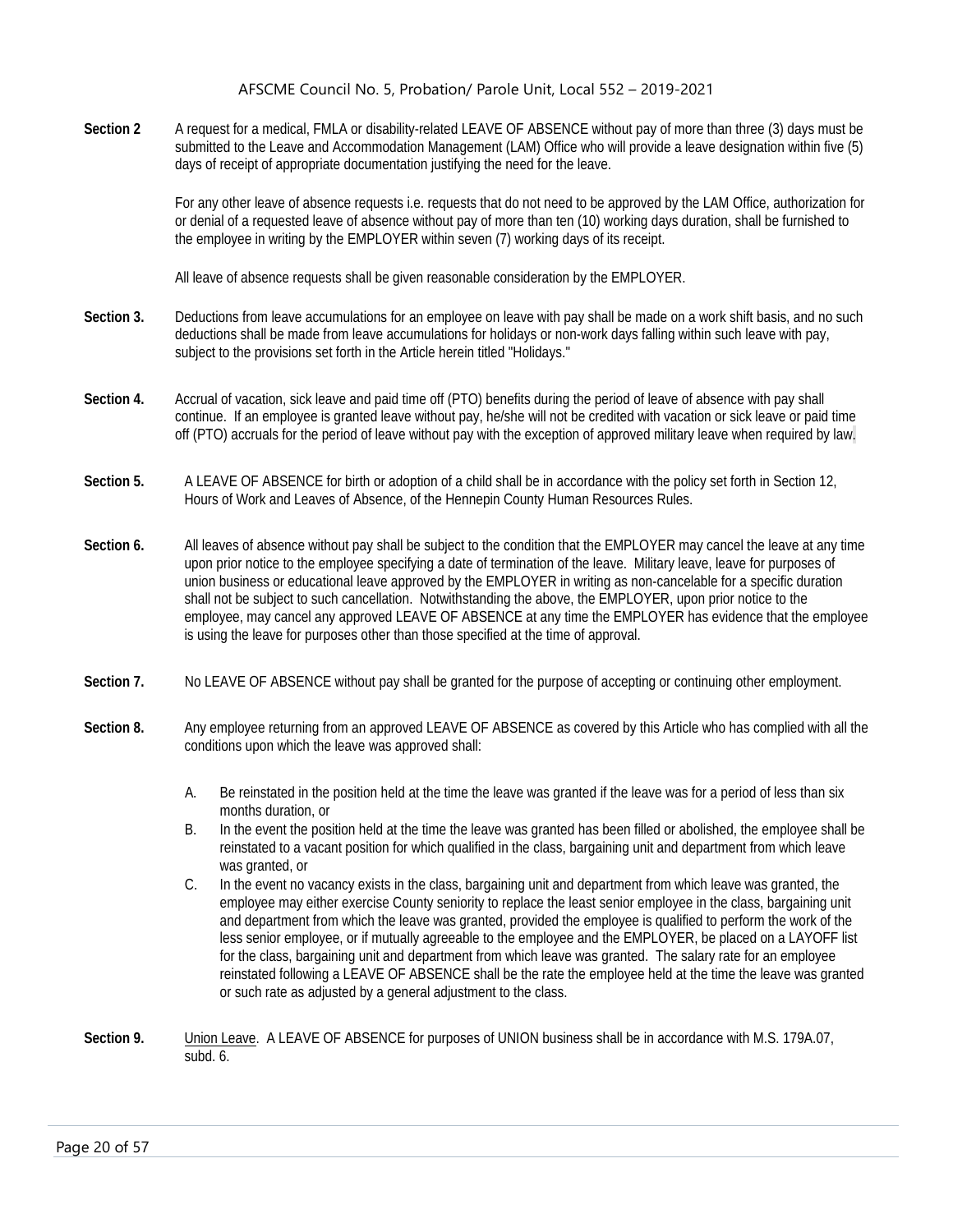**Section 2** A request for a medical, FMLA or disability-related LEAVE OF ABSENCE without pay of more than three (3) days must be submitted to the Leave and Accommodation Management (LAM) Office who will provide a leave designation within five (5) days of receipt of appropriate documentation justifying the need for the leave.

> For any other leave of absence requests i.e. requests that do not need to be approved by the LAM Office, authorization for or denial of a requested leave of absence without pay of more than ten (10) working days duration, shall be furnished to the employee in writing by the EMPLOYER within seven (7) working days of its receipt.

All leave of absence requests shall be given reasonable consideration by the EMPLOYER.

- **Section 3.** Deductions from leave accumulations for an employee on leave with pay shall be made on a work shift basis, and no such deductions shall be made from leave accumulations for holidays or non-work days falling within such leave with pay, subject to the provisions set forth in the Article herein titled "Holidays."
- **Section 4.** Accrual of vacation, sick leave and paid time off (PTO) benefits during the period of leave of absence with pay shall continue. If an employee is granted leave without pay, he/she will not be credited with vacation or sick leave or paid time off (PTO) accruals for the period of leave without pay with the exception of approved military leave when required by law.
- **Section 5.** A LEAVE OF ABSENCE for birth or adoption of a child shall be in accordance with the policy set forth in Section 12, Hours of Work and Leaves of Absence, of the Hennepin County Human Resources Rules.
- **Section 6.** All leaves of absence without pay shall be subject to the condition that the EMPLOYER may cancel the leave at any time upon prior notice to the employee specifying a date of termination of the leave. Military leave, leave for purposes of union business or educational leave approved by the EMPLOYER in writing as non-cancelable for a specific duration shall not be subject to such cancellation. Notwithstanding the above, the EMPLOYER, upon prior notice to the employee, may cancel any approved LEAVE OF ABSENCE at any time the EMPLOYER has evidence that the employee is using the leave for purposes other than those specified at the time of approval.
- **Section 7.** No LEAVE OF ABSENCE without pay shall be granted for the purpose of accepting or continuing other employment.
- **Section 8.** Any employee returning from an approved LEAVE OF ABSENCE as covered by this Article who has complied with all the conditions upon which the leave was approved shall:
	- A. Be reinstated in the position held at the time the leave was granted if the leave was for a period of less than six months duration, or
	- B. In the event the position held at the time the leave was granted has been filled or abolished, the employee shall be reinstated to a vacant position for which qualified in the class, bargaining unit and department from which leave was granted, or
	- C. In the event no vacancy exists in the class, bargaining unit and department from which leave was granted, the employee may either exercise County seniority to replace the least senior employee in the class, bargaining unit and department from which the leave was granted, provided the employee is qualified to perform the work of the less senior employee, or if mutually agreeable to the employee and the EMPLOYER, be placed on a LAYOFF list for the class, bargaining unit and department from which leave was granted. The salary rate for an employee reinstated following a LEAVE OF ABSENCE shall be the rate the employee held at the time the leave was granted or such rate as adjusted by a general adjustment to the class.
- **Section 9.** Union Leave. A LEAVE OF ABSENCE for purposes of UNION business shall be in accordance with M.S. 179A.07, subd. 6.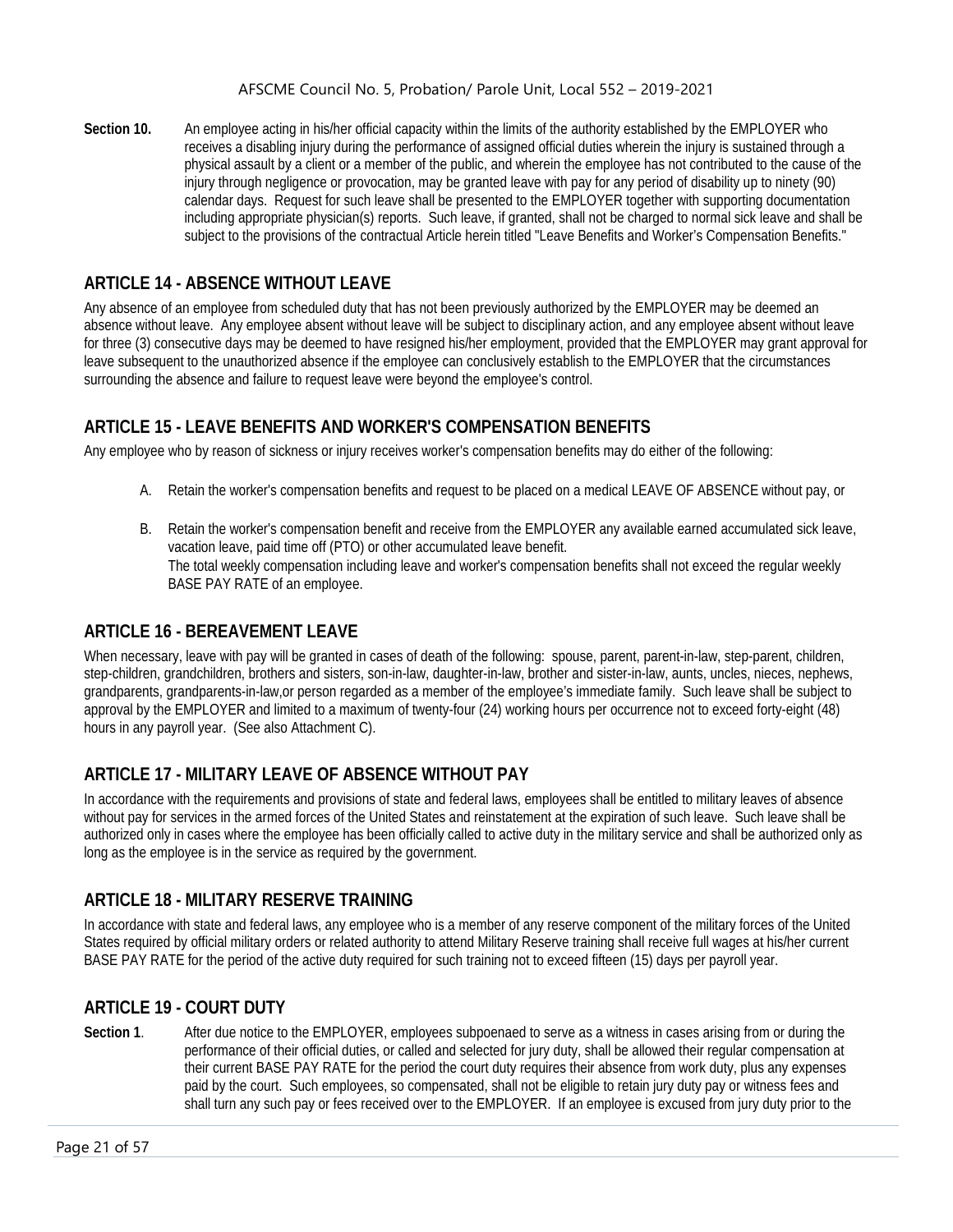**Section 10.** An employee acting in his/her official capacity within the limits of the authority established by the EMPLOYER who receives a disabling injury during the performance of assigned official duties wherein the injury is sustained through a physical assault by a client or a member of the public, and wherein the employee has not contributed to the cause of the injury through negligence or provocation, may be granted leave with pay for any period of disability up to ninety (90) calendar days. Request for such leave shall be presented to the EMPLOYER together with supporting documentation including appropriate physician(s) reports. Such leave, if granted, shall not be charged to normal sick leave and shall be subject to the provisions of the contractual Article herein titled "Leave Benefits and Worker's Compensation Benefits."

# <span id="page-21-0"></span>**ARTICLE 14 - ABSENCE WITHOUT LEAVE**

Any absence of an employee from scheduled duty that has not been previously authorized by the EMPLOYER may be deemed an absence without leave. Any employee absent without leave will be subject to disciplinary action, and any employee absent without leave for three (3) consecutive days may be deemed to have resigned his/her employment, provided that the EMPLOYER may grant approval for leave subsequent to the unauthorized absence if the employee can conclusively establish to the EMPLOYER that the circumstances surrounding the absence and failure to request leave were beyond the employee's control.

# <span id="page-21-1"></span>**ARTICLE 15 - LEAVE BENEFITS AND WORKER'S COMPENSATION BENEFITS**

Any employee who by reason of sickness or injury receives worker's compensation benefits may do either of the following:

- A. Retain the worker's compensation benefits and request to be placed on a medical LEAVE OF ABSENCE without pay, or
- B. Retain the worker's compensation benefit and receive from the EMPLOYER any available earned accumulated sick leave, vacation leave, paid time off (PTO) or other accumulated leave benefit. The total weekly compensation including leave and worker's compensation benefits shall not exceed the regular weekly BASE PAY RATE of an employee.

# <span id="page-21-2"></span>**ARTICLE 16 - BEREAVEMENT LEAVE**

When necessary, leave with pay will be granted in cases of death of the following: spouse, parent, parent-in-law, step-parent, children, step-children, grandchildren, brothers and sisters, son-in-law, daughter-in-law, brother and sister-in-law, aunts, uncles, nieces, nephews, grandparents, grandparents-in-law,or person regarded as a member of the employee's immediate family. Such leave shall be subject to approval by the EMPLOYER and limited to a maximum of twenty-four (24) working hours per occurrence not to exceed forty-eight (48) hours in any payroll year. (See also Attachment C).

# <span id="page-21-3"></span>**ARTICLE 17 - MILITARY LEAVE OF ABSENCE WITHOUT PAY**

In accordance with the requirements and provisions of state and federal laws, employees shall be entitled to military leaves of absence without pay for services in the armed forces of the United States and reinstatement at the expiration of such leave. Such leave shall be authorized only in cases where the employee has been officially called to active duty in the military service and shall be authorized only as long as the employee is in the service as required by the government.

# <span id="page-21-4"></span>**ARTICLE 18 - MILITARY RESERVE TRAINING**

In accordance with state and federal laws, any employee who is a member of any reserve component of the military forces of the United States required by official military orders or related authority to attend Military Reserve training shall receive full wages at his/her current BASE PAY RATE for the period of the active duty required for such training not to exceed fifteen (15) days per payroll year.

# <span id="page-21-5"></span>**ARTICLE 19 - COURT DUTY**

Section 1. After due notice to the EMPLOYER, employees subpoenaed to serve as a witness in cases arising from or during the performance of their official duties, or called and selected for jury duty, shall be allowed their regular compensation at their current BASE PAY RATE for the period the court duty requires their absence from work duty, plus any expenses paid by the court. Such employees, so compensated, shall not be eligible to retain jury duty pay or witness fees and shall turn any such pay or fees received over to the EMPLOYER. If an employee is excused from jury duty prior to the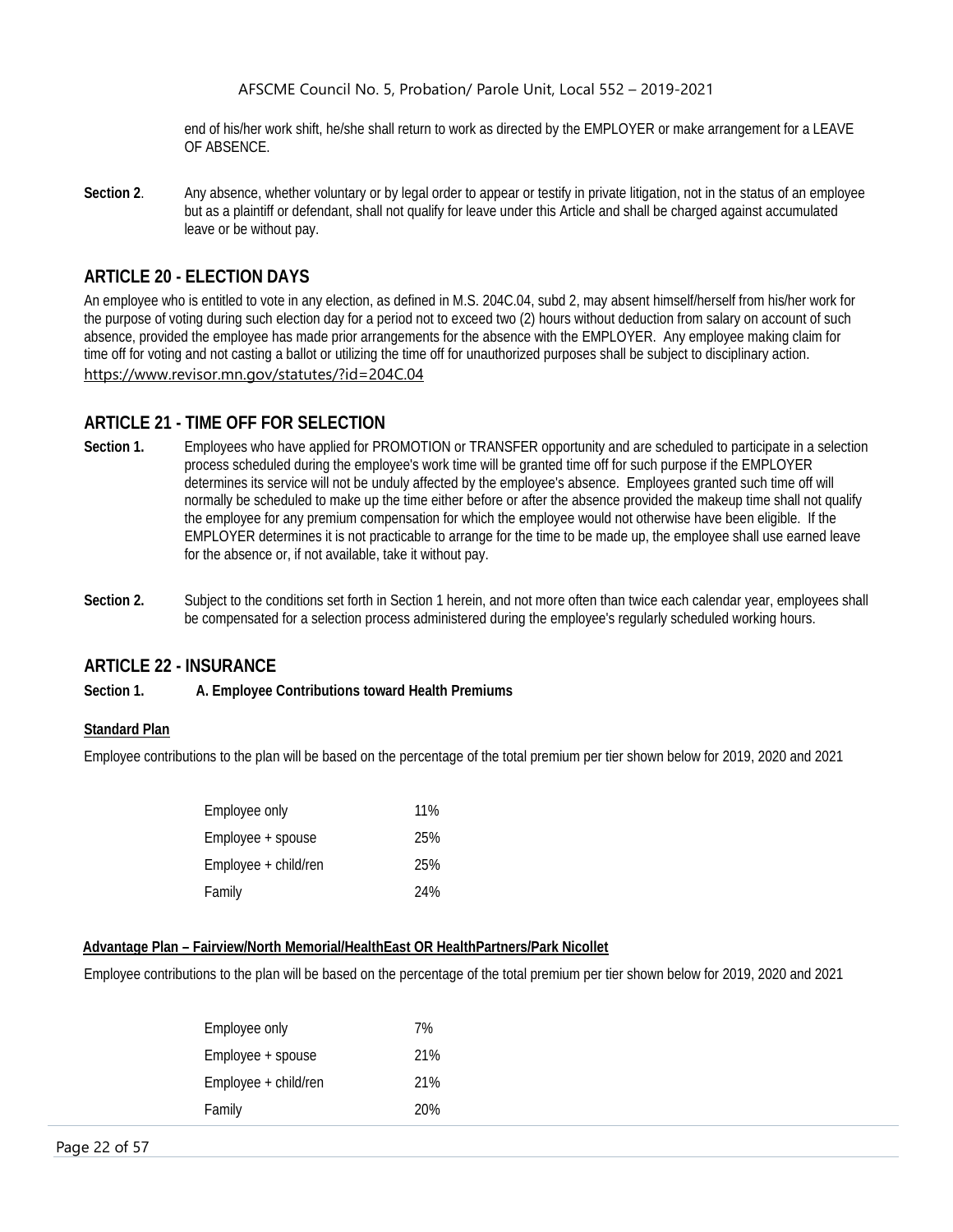end of his/her work shift, he/she shall return to work as directed by the EMPLOYER or make arrangement for a LEAVE OF ABSENCE.

**Section 2**. Any absence, whether voluntary or by legal order to appear or testify in private litigation, not in the status of an employee but as a plaintiff or defendant, shall not qualify for leave under this Article and shall be charged against accumulated leave or be without pay.

### <span id="page-22-0"></span>**ARTICLE 20 - ELECTION DAYS**

An employee who is entitled to vote in any election, as defined in M.S. 204C.04, subd 2, may absent himself/herself from his/her work for the purpose of voting during such election day for a period not to exceed two (2) hours without deduction from salary on account of such absence, provided the employee has made prior arrangements for the absence with the EMPLOYER. Any employee making claim for time off for voting and not casting a ballot or utilizing the time off for unauthorized purposes shall be subject to disciplinary action. <https://www.revisor.mn.gov/statutes/?id=204C.04>

#### <span id="page-22-1"></span>**ARTICLE 21 - TIME OFF FOR SELECTION**

- **Section 1.** Employees who have applied for PROMOTION or TRANSFER opportunity and are scheduled to participate in a selection process scheduled during the employee's work time will be granted time off for such purpose if the EMPLOYER determines its service will not be unduly affected by the employee's absence. Employees granted such time off will normally be scheduled to make up the time either before or after the absence provided the makeup time shall not qualify the employee for any premium compensation for which the employee would not otherwise have been eligible. If the EMPLOYER determines it is not practicable to arrange for the time to be made up, the employee shall use earned leave for the absence or, if not available, take it without pay.
- **Section 2.** Subject to the conditions set forth in Section 1 herein, and not more often than twice each calendar year, employees shall be compensated for a selection process administered during the employee's regularly scheduled working hours.

#### <span id="page-22-2"></span>**ARTICLE 22 - INSURANCE**

#### **Section 1. A. Employee Contributions toward Health Premiums**

#### **Standard Plan**

Employee contributions to the plan will be based on the percentage of the total premium per tier shown below for 2019, 2020 and 2021

| Employee only        | 11% |
|----------------------|-----|
| Employee + spouse    | 25% |
| Employee + child/ren | 25% |
| Family               | 24% |

#### **Advantage Plan – Fairview/North Memorial/HealthEast OR HealthPartners/Park Nicollet**

Employee contributions to the plan will be based on the percentage of the total premium per tier shown below for 2019, 2020 and 2021

| Employee only        | 7%  |
|----------------------|-----|
| Employee + spouse    | 21% |
| Employee + child/ren | 21% |
| Family               | 20% |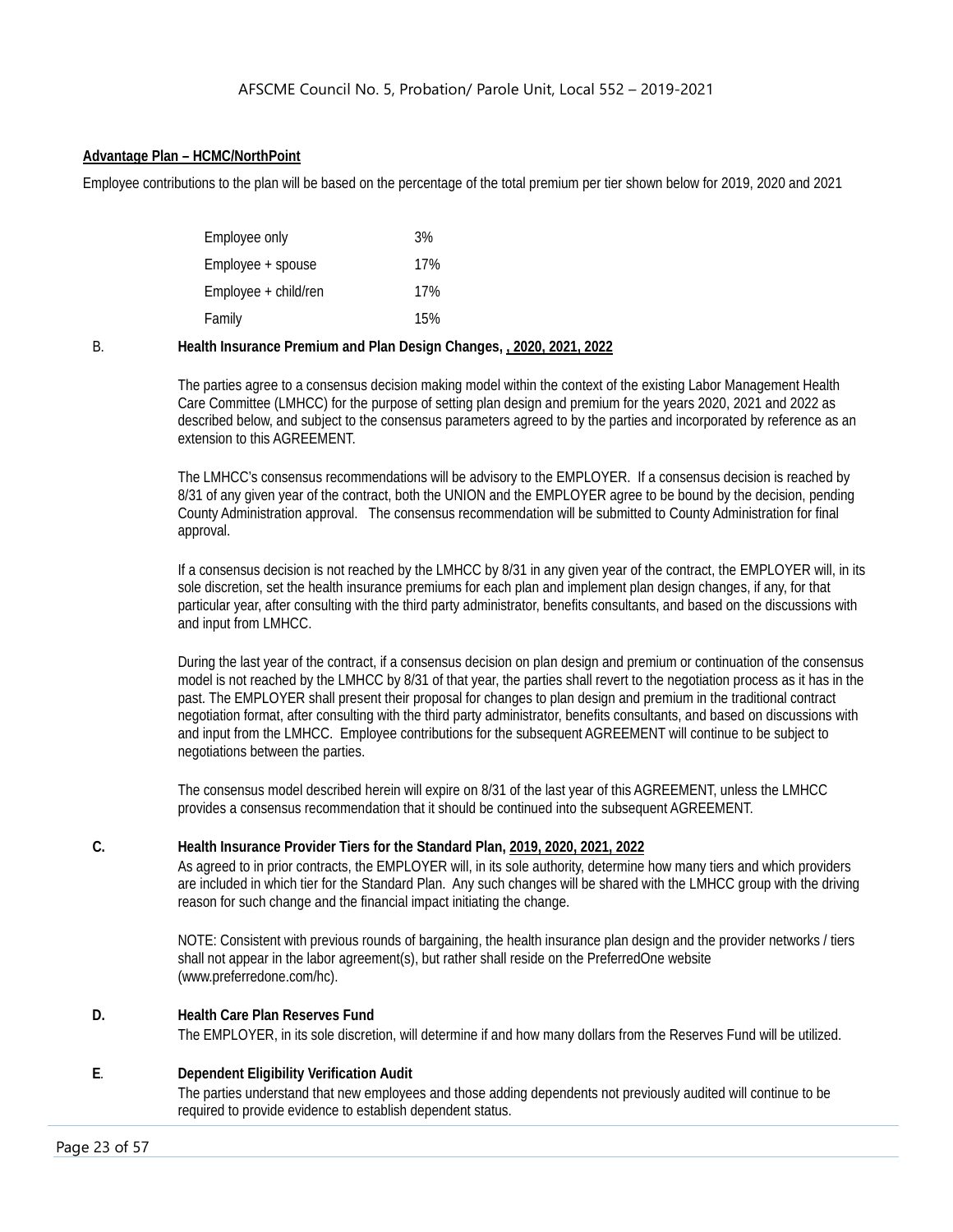#### **Advantage Plan – HCMC/NorthPoint**

Employee contributions to the plan will be based on the percentage of the total premium per tier shown below for 2019, 2020 and 2021

| Employee only        | 3%  |
|----------------------|-----|
| Employee + spouse    | 17% |
| Employee + child/ren | 17% |
| Family               | 15% |
|                      |     |

B. **Health Insurance Premium and Plan Design Changes, , 2020, 2021, 2022**

The parties agree to a consensus decision making model within the context of the existing Labor Management Health Care Committee (LMHCC) for the purpose of setting plan design and premium for the years 2020, 2021 and 2022 as described below, and subject to the consensus parameters agreed to by the parties and incorporated by reference as an extension to this AGREEMENT.

The LMHCC's consensus recommendations will be advisory to the EMPLOYER. If a consensus decision is reached by 8/31 of any given year of the contract, both the UNION and the EMPLOYER agree to be bound by the decision, pending County Administration approval. The consensus recommendation will be submitted to County Administration for final approval.

If a consensus decision is not reached by the LMHCC by 8/31 in any given year of the contract, the EMPLOYER will, in its sole discretion, set the health insurance premiums for each plan and implement plan design changes, if any, for that particular year, after consulting with the third party administrator, benefits consultants, and based on the discussions with and input from LMHCC.

During the last year of the contract, if a consensus decision on plan design and premium or continuation of the consensus model is not reached by the LMHCC by 8/31 of that year, the parties shall revert to the negotiation process as it has in the past. The EMPLOYER shall present their proposal for changes to plan design and premium in the traditional contract negotiation format, after consulting with the third party administrator, benefits consultants, and based on discussions with and input from the LMHCC. Employee contributions for the subsequent AGREEMENT will continue to be subject to negotiations between the parties.

The consensus model described herein will expire on 8/31 of the last year of this AGREEMENT, unless the LMHCC provides a consensus recommendation that it should be continued into the subsequent AGREEMENT.

#### **C. Health Insurance Provider Tiers for the Standard Plan, 2019, 2020, 2021, 2022**

As agreed to in prior contracts, the EMPLOYER will, in its sole authority, determine how many tiers and which providers are included in which tier for the Standard Plan. Any such changes will be shared with the LMHCC group with the driving reason for such change and the financial impact initiating the change.

NOTE: Consistent with previous rounds of bargaining, the health insurance plan design and the provider networks / tiers shall not appear in the labor agreement(s), but rather shall reside on the PreferredOne website (www.preferredone.com/hc).

#### **D. Health Care Plan Reserves Fund**

The EMPLOYER, in its sole discretion, will determine if and how many dollars from the Reserves Fund will be utilized.

#### **E***.* **Dependent Eligibility Verification Audit**

The parties understand that new employees and those adding dependents not previously audited will continue to be required to provide evidence to establish dependent status.

Page 23 of 57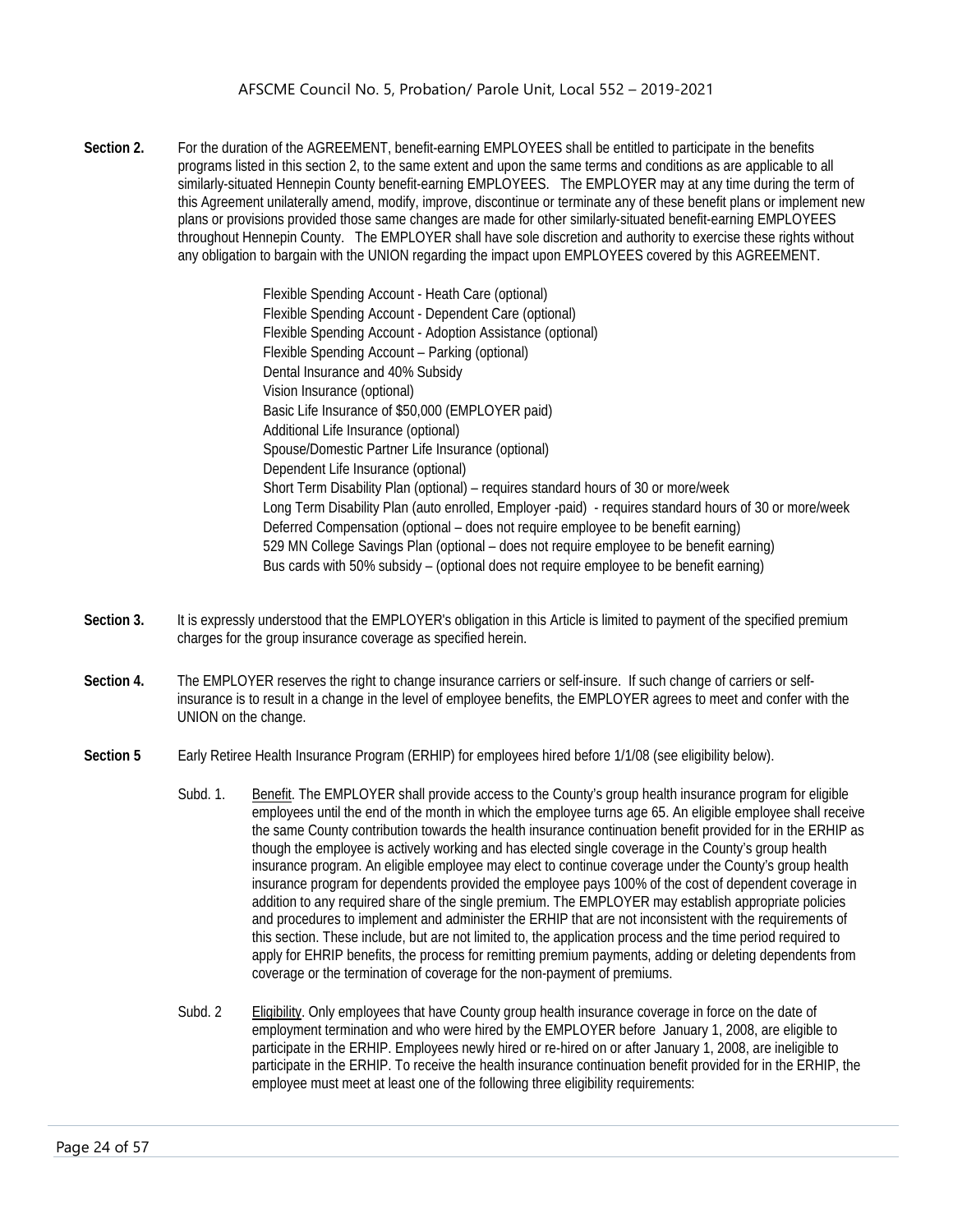**Section 2.** For the duration of the AGREEMENT, benefit-earning EMPLOYEES shall be entitled to participate in the benefits programs listed in this section 2, to the same extent and upon the same terms and conditions as are applicable to all similarly-situated Hennepin County benefit-earning EMPLOYEES. The EMPLOYER may at any time during the term of this Agreement unilaterally amend, modify, improve, discontinue or terminate any of these benefit plans or implement new plans or provisions provided those same changes are made for other similarly-situated benefit-earning EMPLOYEES throughout Hennepin County. The EMPLOYER shall have sole discretion and authority to exercise these rights without any obligation to bargain with the UNION regarding the impact upon EMPLOYEES covered by this AGREEMENT.

> Flexible Spending Account - Heath Care (optional) Flexible Spending Account - Dependent Care (optional) Flexible Spending Account - Adoption Assistance (optional) Flexible Spending Account – Parking (optional) Dental Insurance and 40% Subsidy Vision Insurance (optional) Basic Life Insurance of \$50,000 (EMPLOYER paid) Additional Life Insurance (optional) Spouse/Domestic Partner Life Insurance (optional) Dependent Life Insurance (optional) Short Term Disability Plan (optional) – requires standard hours of 30 or more/week Long Term Disability Plan (auto enrolled, Employer -paid) - requires standard hours of 30 or more/week Deferred Compensation (optional – does not require employee to be benefit earning) 529 MN College Savings Plan (optional – does not require employee to be benefit earning) Bus cards with 50% subsidy – (optional does not require employee to be benefit earning)

- **Section 3.** It is expressly understood that the EMPLOYER's obligation in this Article is limited to payment of the specified premium charges for the group insurance coverage as specified herein.
- **Section 4.** The EMPLOYER reserves the right to change insurance carriers or self-insure. If such change of carriers or selfinsurance is to result in a change in the level of employee benefits, the EMPLOYER agrees to meet and confer with the UNION on the change.
- **Section 5** Early Retiree Health Insurance Program (ERHIP) for employees hired before 1/1/08 (see eligibility below).
	- Subd. 1. Benefit. The EMPLOYER shall provide access to the County's group health insurance program for eligible employees until the end of the month in which the employee turns age 65. An eligible employee shall receive the same County contribution towards the health insurance continuation benefit provided for in the ERHIP as though the employee is actively working and has elected single coverage in the County's group health insurance program. An eligible employee may elect to continue coverage under the County's group health insurance program for dependents provided the employee pays 100% of the cost of dependent coverage in addition to any required share of the single premium. The EMPLOYER may establish appropriate policies and procedures to implement and administer the ERHIP that are not inconsistent with the requirements of this section. These include, but are not limited to, the application process and the time period required to apply for EHRIP benefits, the process for remitting premium payments, adding or deleting dependents from coverage or the termination of coverage for the non-payment of premiums.
	- Subd. 2 Eligibility. Only employees that have County group health insurance coverage in force on the date of employment termination and who were hired by the EMPLOYER before January 1, 2008, are eligible to participate in the ERHIP. Employees newly hired or re-hired on or after January 1, 2008, are ineligible to participate in the ERHIP. To receive the health insurance continuation benefit provided for in the ERHIP, the employee must meet at least one of the following three eligibility requirements: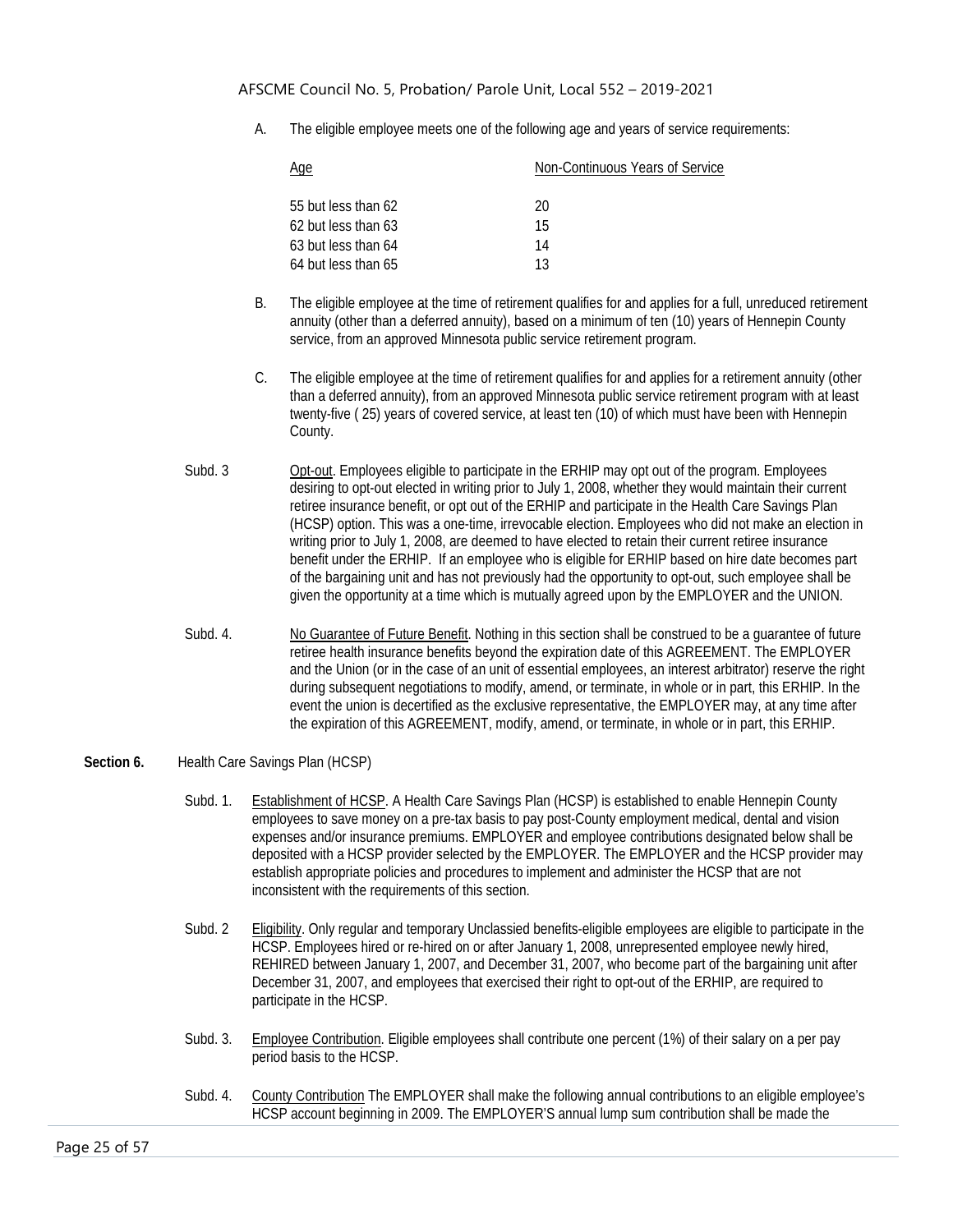A. The eligible employee meets one of the following age and years of service requirements:

| <u>Age</u>          | Non-Continuous Years of Service |
|---------------------|---------------------------------|
|                     |                                 |
| 55 but less than 62 | 20                              |
| 62 but less than 63 | 15                              |
| 63 but less than 64 | 14                              |
| 64 but less than 65 | 13                              |

- B. The eligible employee at the time of retirement qualifies for and applies for a full, unreduced retirement annuity (other than a deferred annuity), based on a minimum of ten (10) years of Hennepin County service, from an approved Minnesota public service retirement program.
- C. The eligible employee at the time of retirement qualifies for and applies for a retirement annuity (other than a deferred annuity), from an approved Minnesota public service retirement program with at least twenty-five ( 25) years of covered service, at least ten (10) of which must have been with Hennepin County.
- Subd. 3 Opt-out. Employees eligible to participate in the ERHIP may opt out of the program. Employees desiring to opt-out elected in writing prior to July 1, 2008, whether they would maintain their current retiree insurance benefit, or opt out of the ERHIP and participate in the Health Care Savings Plan (HCSP) option. This was a one-time, irrevocable election. Employees who did not make an election in writing prior to July 1, 2008, are deemed to have elected to retain their current retiree insurance benefit under the ERHIP. If an employee who is eligible for ERHIP based on hire date becomes part of the bargaining unit and has not previously had the opportunity to opt-out, such employee shall be given the opportunity at a time which is mutually agreed upon by the EMPLOYER and the UNION.
- Subd. 4. No Guarantee of Future Benefit. Nothing in this section shall be construed to be a guarantee of future retiree health insurance benefits beyond the expiration date of this AGREEMENT. The EMPLOYER and the Union (or in the case of an unit of essential employees, an interest arbitrator) reserve the right during subsequent negotiations to modify, amend, or terminate, in whole or in part, this ERHIP. In the event the union is decertified as the exclusive representative, the EMPLOYER may, at any time after the expiration of this AGREEMENT, modify, amend, or terminate, in whole or in part, this ERHIP.
- Section 6. Health Care Savings Plan (HCSP)
	- Subd. 1. Establishment of HCSP. A Health Care Savings Plan (HCSP) is established to enable Hennepin County employees to save money on a pre-tax basis to pay post-County employment medical, dental and vision expenses and/or insurance premiums. EMPLOYER and employee contributions designated below shall be deposited with a HCSP provider selected by the EMPLOYER. The EMPLOYER and the HCSP provider may establish appropriate policies and procedures to implement and administer the HCSP that are not inconsistent with the requirements of this section.
	- Subd. 2 Eligibility. Only regular and temporary Unclassied benefits-eligible employees are eligible to participate in the HCSP. Employees hired or re-hired on or after January 1, 2008, unrepresented employee newly hired, REHIRED between January 1, 2007, and December 31, 2007, who become part of the bargaining unit after December 31, 2007, and employees that exercised their right to opt-out of the ERHIP, are required to participate in the HCSP.
	- Subd. 3. Employee Contribution. Eligible employees shall contribute one percent (1%) of their salary on a per pay period basis to the HCSP.
	- Subd. 4. County Contribution The EMPLOYER shall make the following annual contributions to an eligible employee's HCSP account beginning in 2009. The EMPLOYER'S annual lump sum contribution shall be made the

Page 25 of 57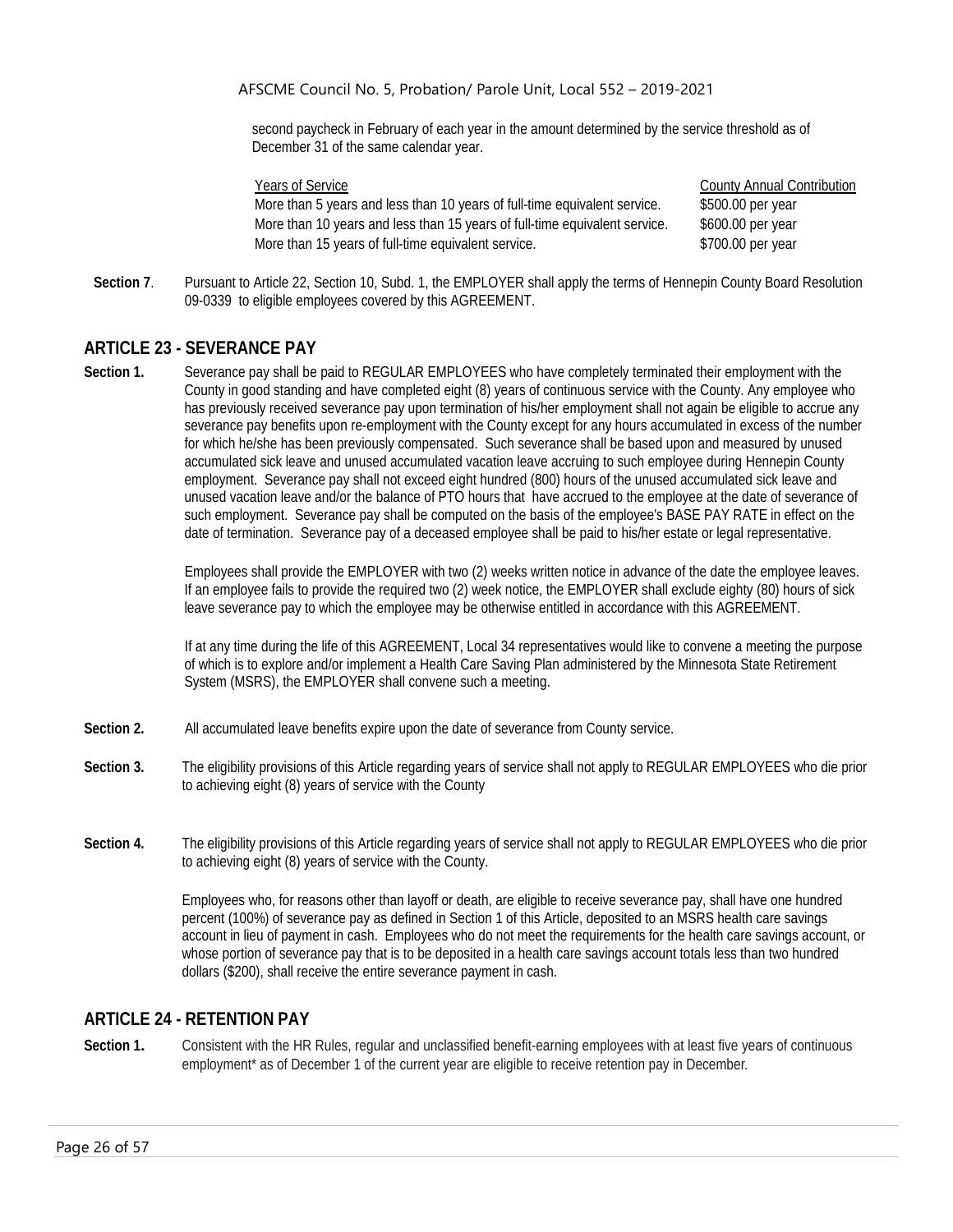second paycheck in February of each year in the amount determined by the service threshold as of December 31 of the same calendar year.

More than 5 years and less than 10 years of full-time equivalent service. \$500.00 per year More than 10 years and less than 15 years of full-time equivalent service. \$600.00 per year More than 15 years of full-time equivalent service.  $$300.00$  per year

Years of Service County Annual Contribution

**Section 7**. Pursuant to Article 22, Section 10, Subd. 1, the EMPLOYER shall apply the terms of Hennepin County Board Resolution 09-0339 to eligible employees covered by this AGREEMENT.

### <span id="page-26-0"></span>**ARTICLE 23 - SEVERANCE PAY**

**Section 1.** Severance pay shall be paid to REGULAR EMPLOYEES who have completely terminated their employment with the County in good standing and have completed eight (8) years of continuous service with the County. Any employee who has previously received severance pay upon termination of his/her employment shall not again be eligible to accrue any severance pay benefits upon re-employment with the County except for any hours accumulated in excess of the number for which he/she has been previously compensated. Such severance shall be based upon and measured by unused accumulated sick leave and unused accumulated vacation leave accruing to such employee during Hennepin County employment. Severance pay shall not exceed eight hundred (800) hours of the unused accumulated sick leave and unused vacation leave and/or the balance of PTO hours that have accrued to the employee at the date of severance of such employment. Severance pay shall be computed on the basis of the employee's BASE PAY RATE in effect on the date of termination. Severance pay of a deceased employee shall be paid to his/her estate or legal representative.

> Employees shall provide the EMPLOYER with two (2) weeks written notice in advance of the date the employee leaves. If an employee fails to provide the required two (2) week notice, the EMPLOYER shall exclude eighty (80) hours of sick leave severance pay to which the employee may be otherwise entitled in accordance with this AGREEMENT.

> If at any time during the life of this AGREEMENT, Local 34 representatives would like to convene a meeting the purpose of which is to explore and/or implement a Health Care Saving Plan administered by the Minnesota State Retirement System (MSRS), the EMPLOYER shall convene such a meeting.

- **Section 2.** All accumulated leave benefits expire upon the date of severance from County service.
- **Section 3.** The eligibility provisions of this Article regarding years of service shall not apply to REGULAR EMPLOYEES who die prior to achieving eight (8) years of service with the County
- **Section 4.** The eligibility provisions of this Article regarding years of service shall not apply to REGULAR EMPLOYEES who die prior to achieving eight (8) years of service with the County.

Employees who, for reasons other than layoff or death, are eligible to receive severance pay, shall have one hundred percent (100%) of severance pay as defined in Section 1 of this Article, deposited to an MSRS health care savings account in lieu of payment in cash. Employees who do not meet the requirements for the health care savings account, or whose portion of severance pay that is to be deposited in a health care savings account totals less than two hundred dollars (\$200), shall receive the entire severance payment in cash.

### <span id="page-26-1"></span>**ARTICLE 24 - RETENTION PAY**

**Section 1.** Consistent with the HR Rules, regular and unclassified benefit-earning employees with at least five years of continuous employment\* as of December 1 of the current year are eligible to receive retention pay in December.

Page 26 of 57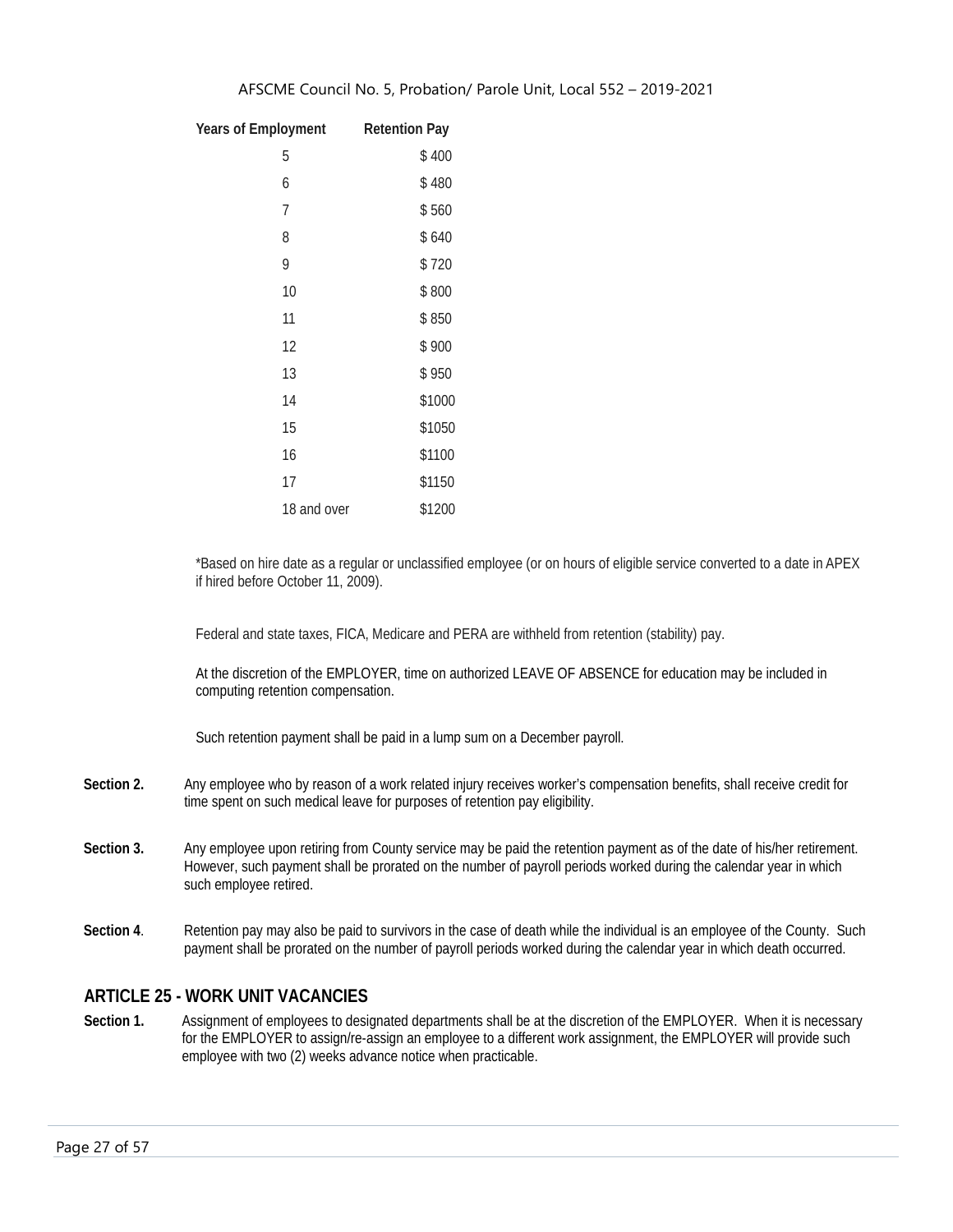| <b>Years of Employment</b> | <b>Retention Pay</b> |
|----------------------------|----------------------|
| 5                          | \$400                |
| 6                          | \$480                |
| 7                          | \$560                |
| 8                          | \$640                |
| 9                          | \$720                |
| 10                         | \$800                |
| 11                         | \$850                |
| 12                         | \$900                |
| 13                         | \$950                |
| 14                         | \$1000               |
| 15                         | \$1050               |
| 16                         | \$1100               |
| 17                         | \$1150               |
| 18 and over                | \$1200               |
|                            |                      |

\*Based on hire date as a regular or unclassified employee (or on hours of eligible service converted to a date in APEX if hired before October 11, 2009).

Federal and state taxes, FICA, Medicare and PERA are withheld from retention (stability) pay.

At the discretion of the EMPLOYER, time on authorized LEAVE OF ABSENCE for education may be included in computing retention compensation.

Such retention payment shall be paid in a lump sum on a December payroll.

- **Section 2.** Any employee who by reason of a work related injury receives worker's compensation benefits, shall receive credit for time spent on such medical leave for purposes of retention pay eligibility.
- **Section 3.** Any employee upon retiring from County service may be paid the retention payment as of the date of his/her retirement. However, such payment shall be prorated on the number of payroll periods worked during the calendar year in which such employee retired.
- **Section 4**. Retention pay may also be paid to survivors in the case of death while the individual is an employee of the County. Such payment shall be prorated on the number of payroll periods worked during the calendar year in which death occurred.

### <span id="page-27-0"></span>**ARTICLE 25 - WORK UNIT VACANCIES**

Section 1. Assignment of employees to designated departments shall be at the discretion of the EMPLOYER. When it is necessary for the EMPLOYER to assign/re-assign an employee to a different work assignment, the EMPLOYER will provide such employee with two (2) weeks advance notice when practicable.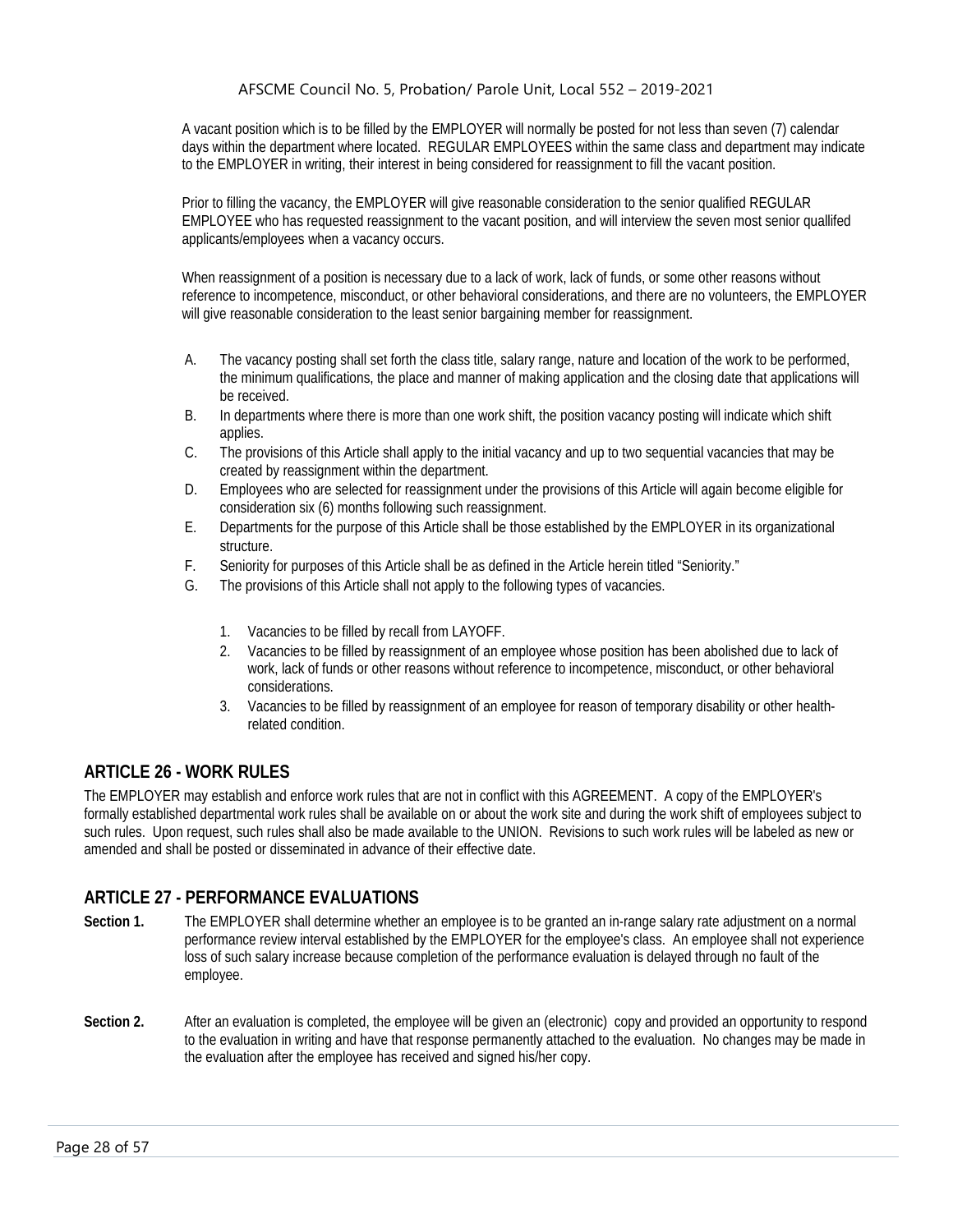A vacant position which is to be filled by the EMPLOYER will normally be posted for not less than seven (7) calendar days within the department where located. REGULAR EMPLOYEES within the same class and department may indicate to the EMPLOYER in writing, their interest in being considered for reassignment to fill the vacant position.

Prior to filling the vacancy, the EMPLOYER will give reasonable consideration to the senior qualified REGULAR EMPLOYEE who has requested reassignment to the vacant position, and will interview the seven most senior quallifed applicants/employees when a vacancy occurs.

When reassignment of a position is necessary due to a lack of work, lack of funds, or some other reasons without reference to incompetence, misconduct, or other behavioral considerations, and there are no volunteers, the EMPLOYER will give reasonable consideration to the least senior bargaining member for reassignment.

- A. The vacancy posting shall set forth the class title, salary range, nature and location of the work to be performed, the minimum qualifications, the place and manner of making application and the closing date that applications will be received.
- B. In departments where there is more than one work shift, the position vacancy posting will indicate which shift applies.
- C. The provisions of this Article shall apply to the initial vacancy and up to two sequential vacancies that may be created by reassignment within the department.
- D. Employees who are selected for reassignment under the provisions of this Article will again become eligible for consideration six (6) months following such reassignment.
- E. Departments for the purpose of this Article shall be those established by the EMPLOYER in its organizational structure.
- F. Seniority for purposes of this Article shall be as defined in the Article herein titled "Seniority."
- G. The provisions of this Article shall not apply to the following types of vacancies.
	- 1. Vacancies to be filled by recall from LAYOFF.
	- 2. Vacancies to be filled by reassignment of an employee whose position has been abolished due to lack of work, lack of funds or other reasons without reference to incompetence, misconduct, or other behavioral considerations.
	- 3. Vacancies to be filled by reassignment of an employee for reason of temporary disability or other healthrelated condition.

# <span id="page-28-0"></span>**ARTICLE 26 - WORK RULES**

The EMPLOYER may establish and enforce work rules that are not in conflict with this AGREEMENT. A copy of the EMPLOYER's formally established departmental work rules shall be available on or about the work site and during the work shift of employees subject to such rules. Upon request, such rules shall also be made available to the UNION. Revisions to such work rules will be labeled as new or amended and shall be posted or disseminated in advance of their effective date.

# <span id="page-28-1"></span>**ARTICLE 27 - PERFORMANCE EVALUATIONS**

- **Section 1.** The EMPLOYER shall determine whether an employee is to be granted an in-range salary rate adjustment on a normal performance review interval established by the EMPLOYER for the employee's class. An employee shall not experience loss of such salary increase because completion of the performance evaluation is delayed through no fault of the employee.
- Section 2. After an evaluation is completed, the employee will be given an (electronic) copy and provided an opportunity to respond to the evaluation in writing and have that response permanently attached to the evaluation. No changes may be made in the evaluation after the employee has received and signed his/her copy.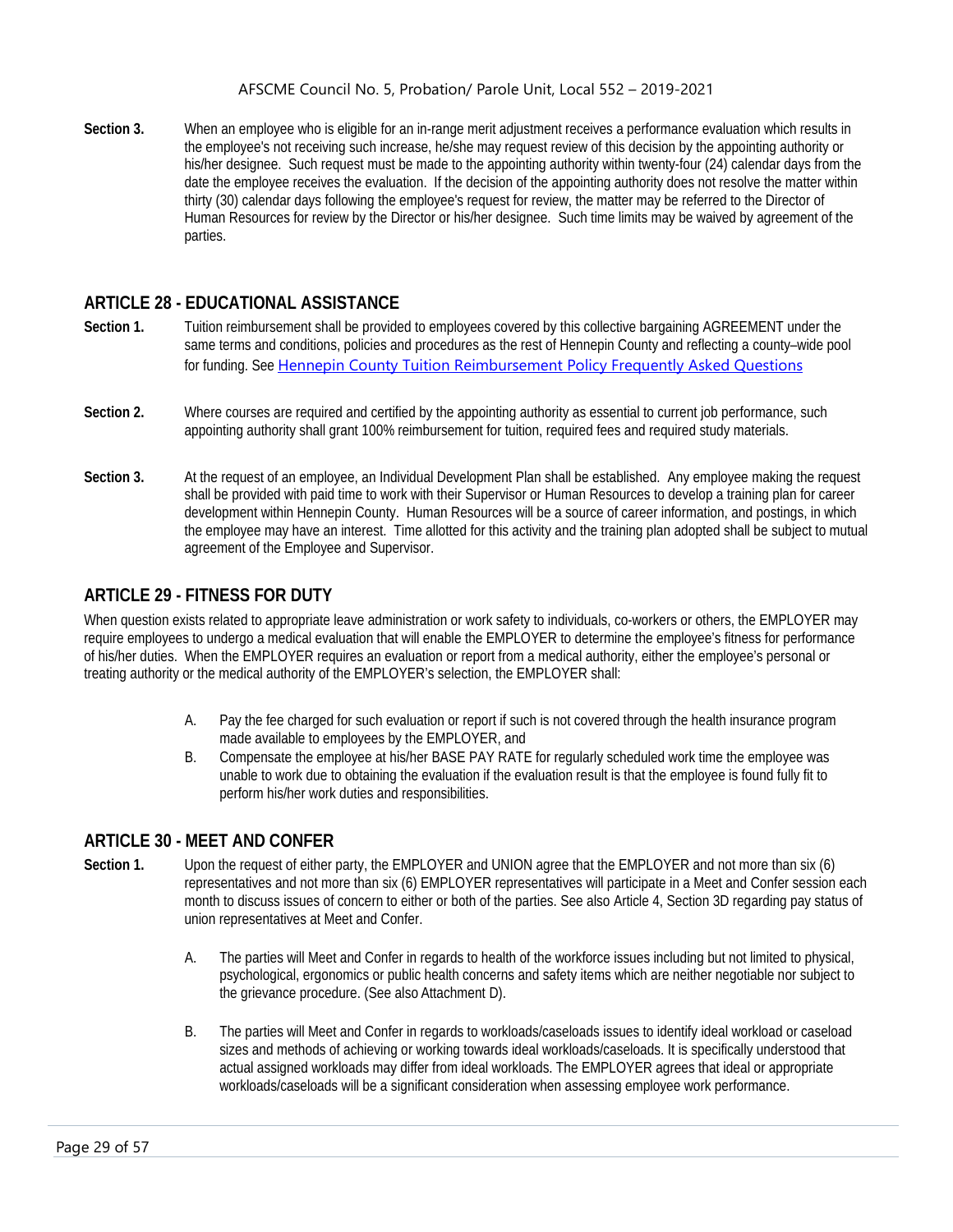**Section 3.** When an employee who is eligible for an in-range merit adjustment receives a performance evaluation which results in the employee's not receiving such increase, he/she may request review of this decision by the appointing authority or his/her designee. Such request must be made to the appointing authority within twenty-four (24) calendar days from the date the employee receives the evaluation. If the decision of the appointing authority does not resolve the matter within thirty (30) calendar days following the employee's request for review, the matter may be referred to the Director of Human Resources for review by the Director or his/her designee. Such time limits may be waived by agreement of the parties.

### <span id="page-29-0"></span>**ARTICLE 28 - EDUCATIONAL ASSISTANCE**

- **Section 1.** Tuition reimbursement shall be provided to employees covered by this collective bargaining AGREEMENT under the same terms and conditions, policies and procedures as the rest of Hennepin County and reflecting a county–wide pool for funding. See [Hennepin County Tuition Reimbursement Policy Frequently Asked Questions](https://hcconnect.hennepin.us/HR/_layouts/15/WopiFrame.aspx?sourcedoc=%7b0093CB30-B425-4200-9A0E-A4A739E630D1%7d&file=Tuition%20Reimbursement%20FAQs.docx&action=default&DefaultItemOpen=1)
- **Section 2.** Where courses are required and certified by the appointing authority as essential to current job performance, such appointing authority shall grant 100% reimbursement for tuition, required fees and required study materials.
- **Section 3.** At the request of an employee, an Individual Development Plan shall be established. Any employee making the request shall be provided with paid time to work with their Supervisor or Human Resources to develop a training plan for career development within Hennepin County. Human Resources will be a source of career information, and postings, in which the employee may have an interest. Time allotted for this activity and the training plan adopted shall be subject to mutual agreement of the Employee and Supervisor.

### <span id="page-29-1"></span>**ARTICLE 29 - FITNESS FOR DUTY**

When question exists related to appropriate leave administration or work safety to individuals, co-workers or others, the EMPLOYER may require employees to undergo a medical evaluation that will enable the EMPLOYER to determine the employee's fitness for performance of his/her duties. When the EMPLOYER requires an evaluation or report from a medical authority, either the employee's personal or treating authority or the medical authority of the EMPLOYER's selection, the EMPLOYER shall:

- A. Pay the fee charged for such evaluation or report if such is not covered through the health insurance program made available to employees by the EMPLOYER, and
- B. Compensate the employee at his/her BASE PAY RATE for regularly scheduled work time the employee was unable to work due to obtaining the evaluation if the evaluation result is that the employee is found fully fit to perform his/her work duties and responsibilities.

#### <span id="page-29-2"></span>**ARTICLE 30 - MEET AND CONFER**

- **Section 1.** Upon the request of either party, the EMPLOYER and UNION agree that the EMPLOYER and not more than six (6) representatives and not more than six (6) EMPLOYER representatives will participate in a Meet and Confer session each month to discuss issues of concern to either or both of the parties. See also Article 4, Section 3D regarding pay status of union representatives at Meet and Confer.
	- A. The parties will Meet and Confer in regards to health of the workforce issues including but not limited to physical, psychological, ergonomics or public health concerns and safety items which are neither negotiable nor subject to the grievance procedure. (See also Attachment D).
	- B. The parties will Meet and Confer in regards to workloads/caseloads issues to identify ideal workload or caseload sizes and methods of achieving or working towards ideal workloads/caseloads. It is specifically understood that actual assigned workloads may differ from ideal workloads. The EMPLOYER agrees that ideal or appropriate workloads/caseloads will be a significant consideration when assessing employee work performance.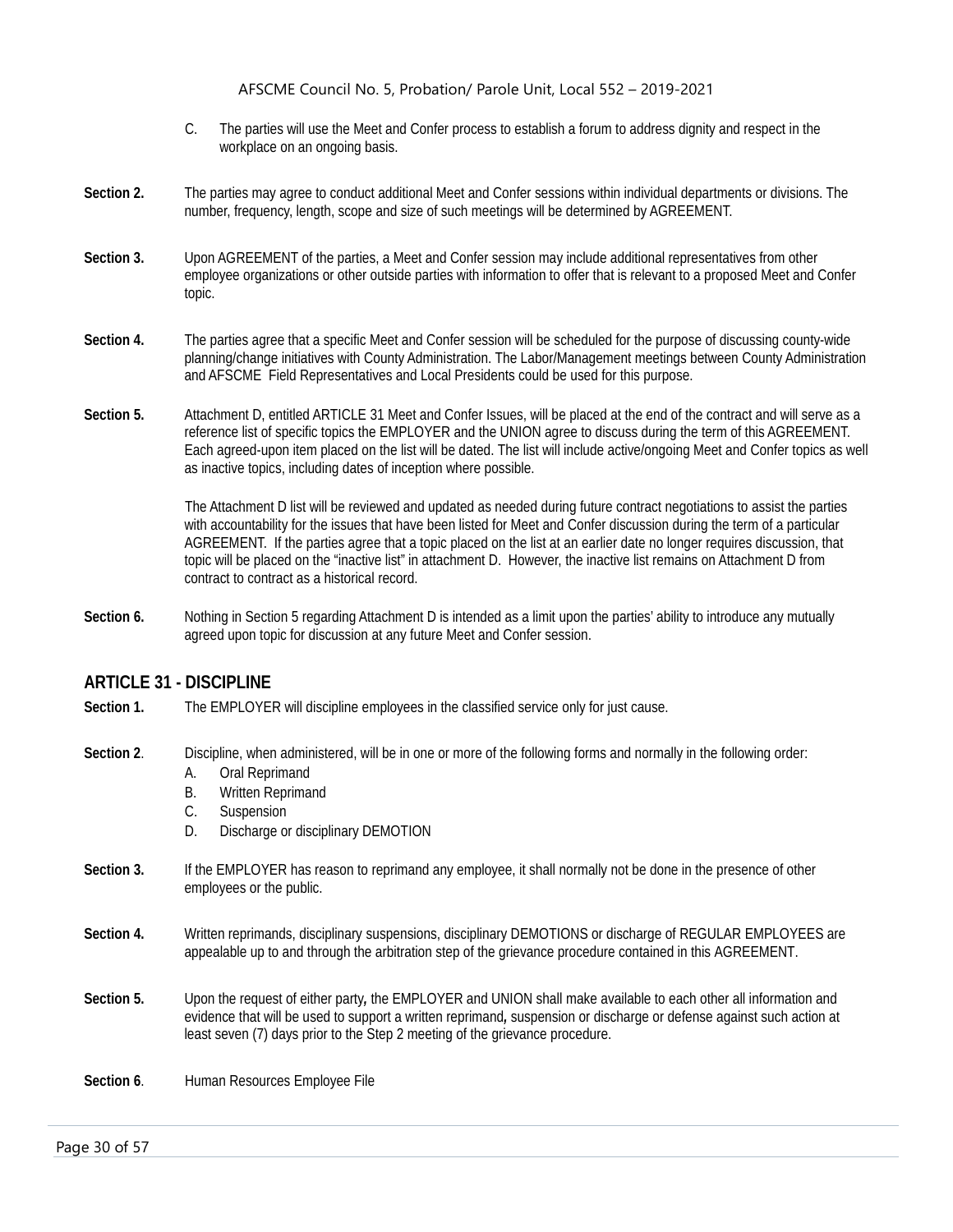- C. The parties will use the Meet and Confer process to establish a forum to address dignity and respect in the workplace on an ongoing basis.
- **Section 2.** The parties may agree to conduct additional Meet and Confer sessions within individual departments or divisions. The number, frequency, length, scope and size of such meetings will be determined by AGREEMENT.
- **Section 3.** Upon AGREEMENT of the parties, a Meet and Confer session may include additional representatives from other employee organizations or other outside parties with information to offer that is relevant to a proposed Meet and Confer topic.
- **Section 4.** The parties agree that a specific Meet and Confer session will be scheduled for the purpose of discussing county-wide planning/change initiatives with County Administration. The Labor/Management meetings between County Administration and AFSCME Field Representatives and Local Presidents could be used for this purpose.
- **Section 5.** Attachment D, entitled ARTICLE 31 Meet and Confer Issues, will be placed at the end of the contract and will serve as a reference list of specific topics the EMPLOYER and the UNION agree to discuss during the term of this AGREEMENT. Each agreed-upon item placed on the list will be dated. The list will include active/ongoing Meet and Confer topics as well as inactive topics, including dates of inception where possible.

The Attachment D list will be reviewed and updated as needed during future contract negotiations to assist the parties with accountability for the issues that have been listed for Meet and Confer discussion during the term of a particular AGREEMENT. If the parties agree that a topic placed on the list at an earlier date no longer requires discussion, that topic will be placed on the "inactive list" in attachment D. However, the inactive list remains on Attachment D from contract to contract as a historical record.

**Section 6.** Nothing in Section 5 regarding Attachment D is intended as a limit upon the parties' ability to introduce any mutually agreed upon topic for discussion at any future Meet and Confer session.

#### <span id="page-30-0"></span>**ARTICLE 31 - DISCIPLINE**

Section 1. The EMPLOYER will discipline employees in the classified service only for just cause.

**Section 2**. Discipline, when administered, will be in one or more of the following forms and normally in the following order:

- A. Oral Reprimand
- B. Written Reprimand
- C. Suspension
- D. Discharge or disciplinary DEMOTION
- **Section 3.** If the EMPLOYER has reason to reprimand any employee, it shall normally not be done in the presence of other employees or the public.
- **Section 4.** Written reprimands, disciplinary suspensions, disciplinary DEMOTIONS or discharge of REGULAR EMPLOYEES are appealable up to and through the arbitration step of the grievance procedure contained in this AGREEMENT.
- **Section 5.** Upon the request of either party*,* the EMPLOYER and UNION shall make available to each other all information and evidence that will be used to support a written reprimand*,* suspension or discharge or defense against such action at least seven (7) days prior to the Step 2 meeting of the grievance procedure.

**Section 6.** Human Resources Employee File

Page 30 of 57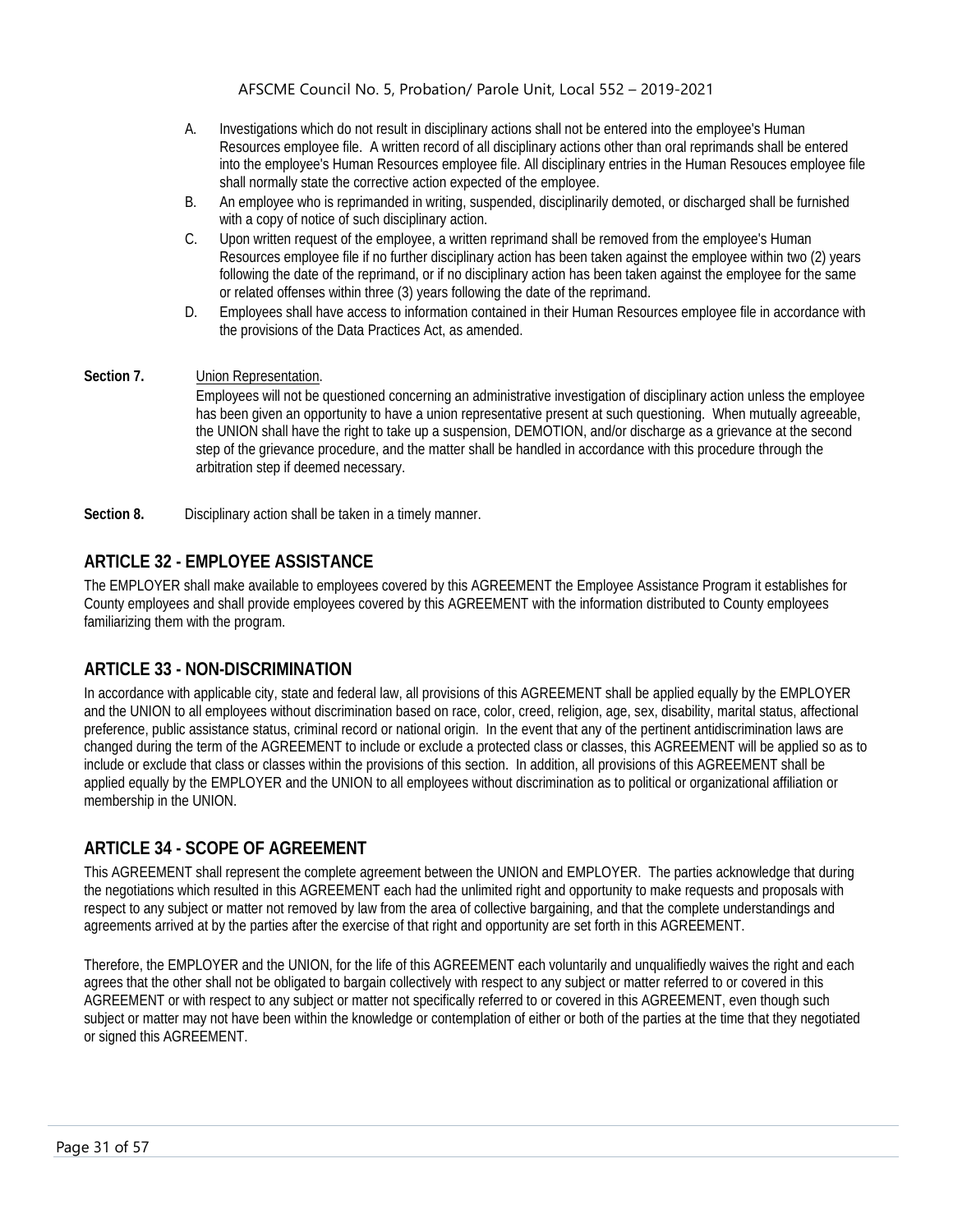- A. Investigations which do not result in disciplinary actions shall not be entered into the employee's Human Resources employee file. A written record of all disciplinary actions other than oral reprimands shall be entered into the employee's Human Resources employee file. All disciplinary entries in the Human Resouces employee file shall normally state the corrective action expected of the employee.
- B. An employee who is reprimanded in writing, suspended, disciplinarily demoted, or discharged shall be furnished with a copy of notice of such disciplinary action.
- C. Upon written request of the employee, a written reprimand shall be removed from the employee's Human Resources employee file if no further disciplinary action has been taken against the employee within two (2) years following the date of the reprimand, or if no disciplinary action has been taken against the employee for the same or related offenses within three (3) years following the date of the reprimand.
- D. Employees shall have access to information contained in their Human Resources employee file in accordance with the provisions of the Data Practices Act, as amended.
- **Section 7.** Union Representation.

Employees will not be questioned concerning an administrative investigation of disciplinary action unless the employee has been given an opportunity to have a union representative present at such questioning. When mutually agreeable, the UNION shall have the right to take up a suspension, DEMOTION, and/or discharge as a grievance at the second step of the grievance procedure, and the matter shall be handled in accordance with this procedure through the arbitration step if deemed necessary.

<span id="page-31-0"></span>**Section 8.** Disciplinary action shall be taken in a timely manner.

# **ARTICLE 32 - EMPLOYEE ASSISTANCE**

The EMPLOYER shall make available to employees covered by this AGREEMENT the Employee Assistance Program it establishes for County employees and shall provide employees covered by this AGREEMENT with the information distributed to County employees familiarizing them with the program.

# <span id="page-31-1"></span>**ARTICLE 33 - NON-DISCRIMINATION**

In accordance with applicable city, state and federal law, all provisions of this AGREEMENT shall be applied equally by the EMPLOYER and the UNION to all employees without discrimination based on race, color, creed, religion, age, sex, disability, marital status, affectional preference, public assistance status, criminal record or national origin. In the event that any of the pertinent antidiscrimination laws are changed during the term of the AGREEMENT to include or exclude a protected class or classes, this AGREEMENT will be applied so as to include or exclude that class or classes within the provisions of this section. In addition, all provisions of this AGREEMENT shall be applied equally by the EMPLOYER and the UNION to all employees without discrimination as to political or organizational affiliation or membership in the UNION.

# <span id="page-31-2"></span>**ARTICLE 34 - SCOPE OF AGREEMENT**

This AGREEMENT shall represent the complete agreement between the UNION and EMPLOYER. The parties acknowledge that during the negotiations which resulted in this AGREEMENT each had the unlimited right and opportunity to make requests and proposals with respect to any subject or matter not removed by law from the area of collective bargaining, and that the complete understandings and agreements arrived at by the parties after the exercise of that right and opportunity are set forth in this AGREEMENT.

Therefore, the EMPLOYER and the UNION, for the life of this AGREEMENT each voluntarily and unqualifiedly waives the right and each agrees that the other shall not be obligated to bargain collectively with respect to any subject or matter referred to or covered in this AGREEMENT or with respect to any subject or matter not specifically referred to or covered in this AGREEMENT, even though such subject or matter may not have been within the knowledge or contemplation of either or both of the parties at the time that they negotiated or signed this AGREEMENT.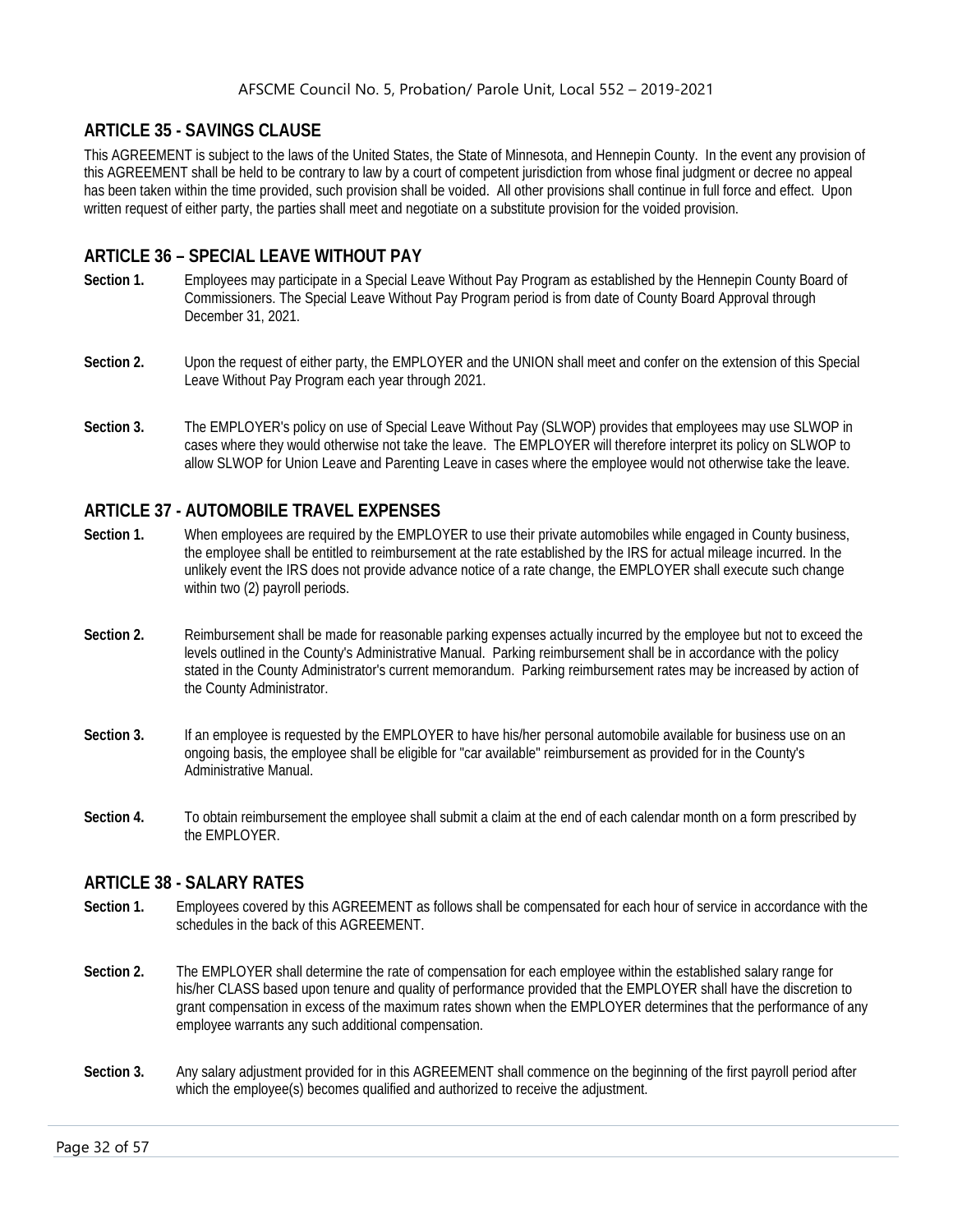# <span id="page-32-0"></span>**ARTICLE 35 - SAVINGS CLAUSE**

This AGREEMENT is subject to the laws of the United States, the State of Minnesota, and Hennepin County. In the event any provision of this AGREEMENT shall be held to be contrary to law by a court of competent jurisdiction from whose final judgment or decree no appeal has been taken within the time provided, such provision shall be voided. All other provisions shall continue in full force and effect. Upon written request of either party, the parties shall meet and negotiate on a substitute provision for the voided provision.

# <span id="page-32-1"></span>**ARTICLE 36 – SPECIAL LEAVE WITHOUT PAY**

- **Section 1.** Employees may participate in a Special Leave Without Pay Program as established by the Hennepin County Board of Commissioners. The Special Leave Without Pay Program period is from date of County Board Approval through December 31, 2021.
- **Section 2.** Upon the request of either party, the EMPLOYER and the UNION shall meet and confer on the extension of this Special Leave Without Pay Program each year through 2021.
- **Section 3.** The EMPLOYER's policy on use of Special Leave Without Pay (SLWOP) provides that employees may use SLWOP in cases where they would otherwise not take the leave. The EMPLOYER will therefore interpret its policy on SLWOP to allow SLWOP for Union Leave and Parenting Leave in cases where the employee would not otherwise take the leave.

# <span id="page-32-2"></span>**ARTICLE 37 - AUTOMOBILE TRAVEL EXPENSES**

- **Section 1.** When employees are required by the EMPLOYER to use their private automobiles while engaged in County business, the employee shall be entitled to reimbursement at the rate established by the IRS for actual mileage incurred. In the unlikely event the IRS does not provide advance notice of a rate change, the EMPLOYER shall execute such change within two (2) payroll periods.
- **Section 2.** Reimbursement shall be made for reasonable parking expenses actually incurred by the employee but not to exceed the levels outlined in the County's Administrative Manual. Parking reimbursement shall be in accordance with the policy stated in the County Administrator's current memorandum. Parking reimbursement rates may be increased by action of the County Administrator.
- **Section 3.** If an employee is requested by the EMPLOYER to have his/her personal automobile available for business use on an ongoing basis, the employee shall be eligible for "car available" reimbursement as provided for in the County's Administrative Manual.
- **Section 4.** To obtain reimbursement the employee shall submit a claim at the end of each calendar month on a form prescribed by the EMPLOYER.

# <span id="page-32-3"></span>**ARTICLE 38 - SALARY RATES**

- **Section 1.** Employees covered by this AGREEMENT as follows shall be compensated for each hour of service in accordance with the schedules in the back of this AGREEMENT.
- **Section 2.** The EMPLOYER shall determine the rate of compensation for each employee within the established salary range for his/her CLASS based upon tenure and quality of performance provided that the EMPLOYER shall have the discretion to grant compensation in excess of the maximum rates shown when the EMPLOYER determines that the performance of any employee warrants any such additional compensation.
- **Section 3.** Any salary adjustment provided for in this AGREEMENT shall commence on the beginning of the first payroll period after which the employee(s) becomes qualified and authorized to receive the adjustment.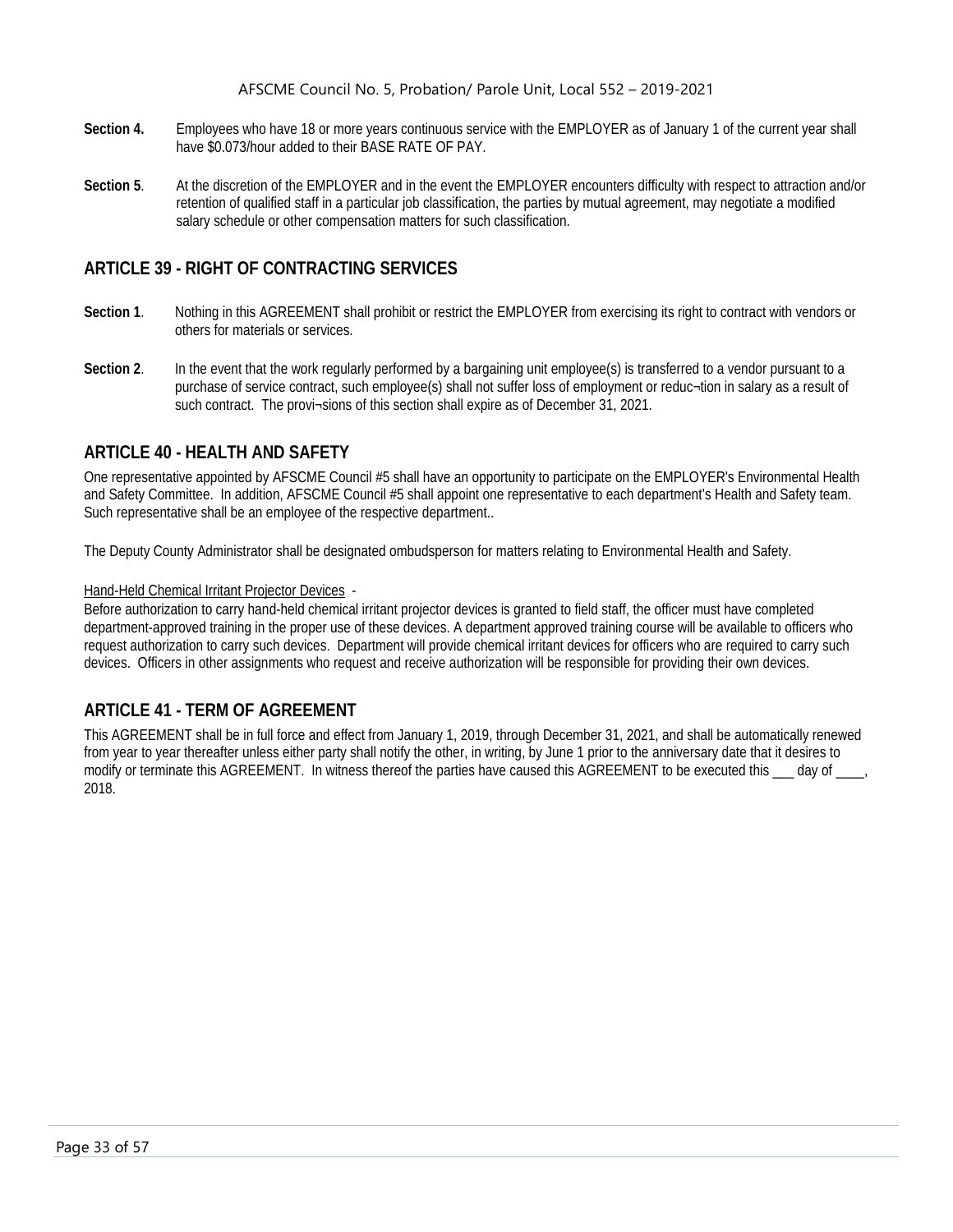- **Section 4.** Employees who have 18 or more years continuous service with the EMPLOYER as of January 1 of the current year shall have \$0.073/hour added to their BASE RATE OF PAY.
- **Section 5**. At the discretion of the EMPLOYER and in the event the EMPLOYER encounters difficulty with respect to attraction and/or retention of qualified staff in a particular job classification, the parties by mutual agreement, may negotiate a modified salary schedule or other compensation matters for such classification.

# <span id="page-33-0"></span>**ARTICLE 39 - RIGHT OF CONTRACTING SERVICES**

- **Section 1**. Nothing in this AGREEMENT shall prohibit or restrict the EMPLOYER from exercising its right to contract with vendors or others for materials or services.
- Section 2. In the event that the work regularly performed by a bargaining unit employee(s) is transferred to a vendor pursuant to a purchase of service contract, such employee(s) shall not suffer loss of employment or reduc¬tion in salary as a result of such contract. The provi-sions of this section shall expire as of December 31, 2021.

# <span id="page-33-1"></span>**ARTICLE 40 - HEALTH AND SAFETY**

One representative appointed by AFSCME Council #5 shall have an opportunity to participate on the EMPLOYER's Environmental Health and Safety Committee. In addition, AFSCME Council #5 shall appoint one representative to each department's Health and Safety team. Such representative shall be an employee of the respective department..

The Deputy County Administrator shall be designated ombudsperson for matters relating to Environmental Health and Safety.

#### Hand-Held Chemical Irritant Projector Devices -

Before authorization to carry hand-held chemical irritant projector devices is granted to field staff, the officer must have completed department-approved training in the proper use of these devices. A department approved training course will be available to officers who request authorization to carry such devices. Department will provide chemical irritant devices for officers who are required to carry such devices. Officers in other assignments who request and receive authorization will be responsible for providing their own devices.

# <span id="page-33-2"></span>**ARTICLE 41 - TERM OF AGREEMENT**

This AGREEMENT shall be in full force and effect from January 1, 2019, through December 31, 2021, and shall be automatically renewed from year to year thereafter unless either party shall notify the other, in writing, by June 1 prior to the anniversary date that it desires to modify or terminate this AGREEMENT. In witness thereof the parties have caused this AGREEMENT to be executed this  $\_\_$  day of  $\_\_$ 2018.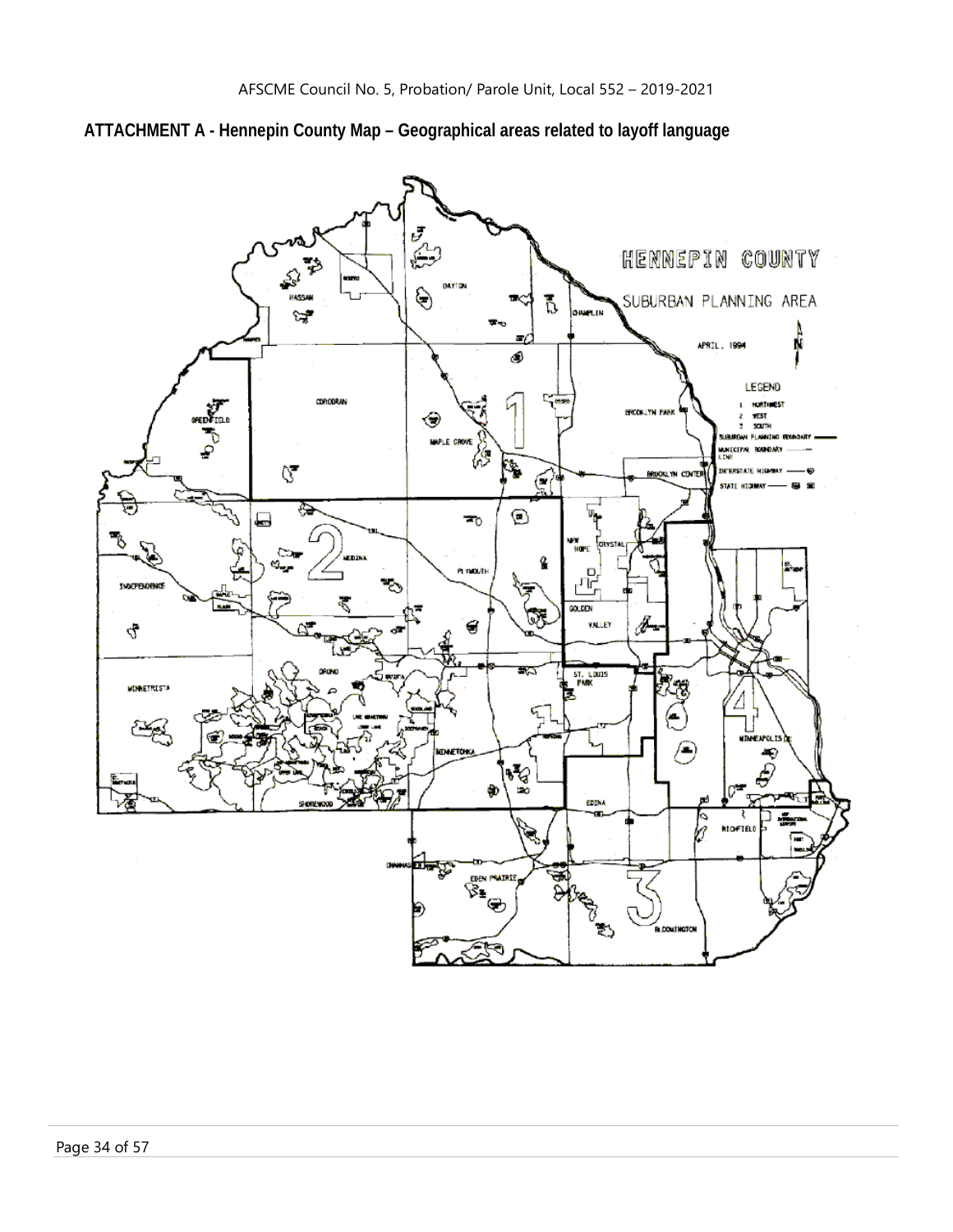

# <span id="page-34-0"></span>**ATTACHMENT A - Hennepin County Map – Geographical areas related to layoff language**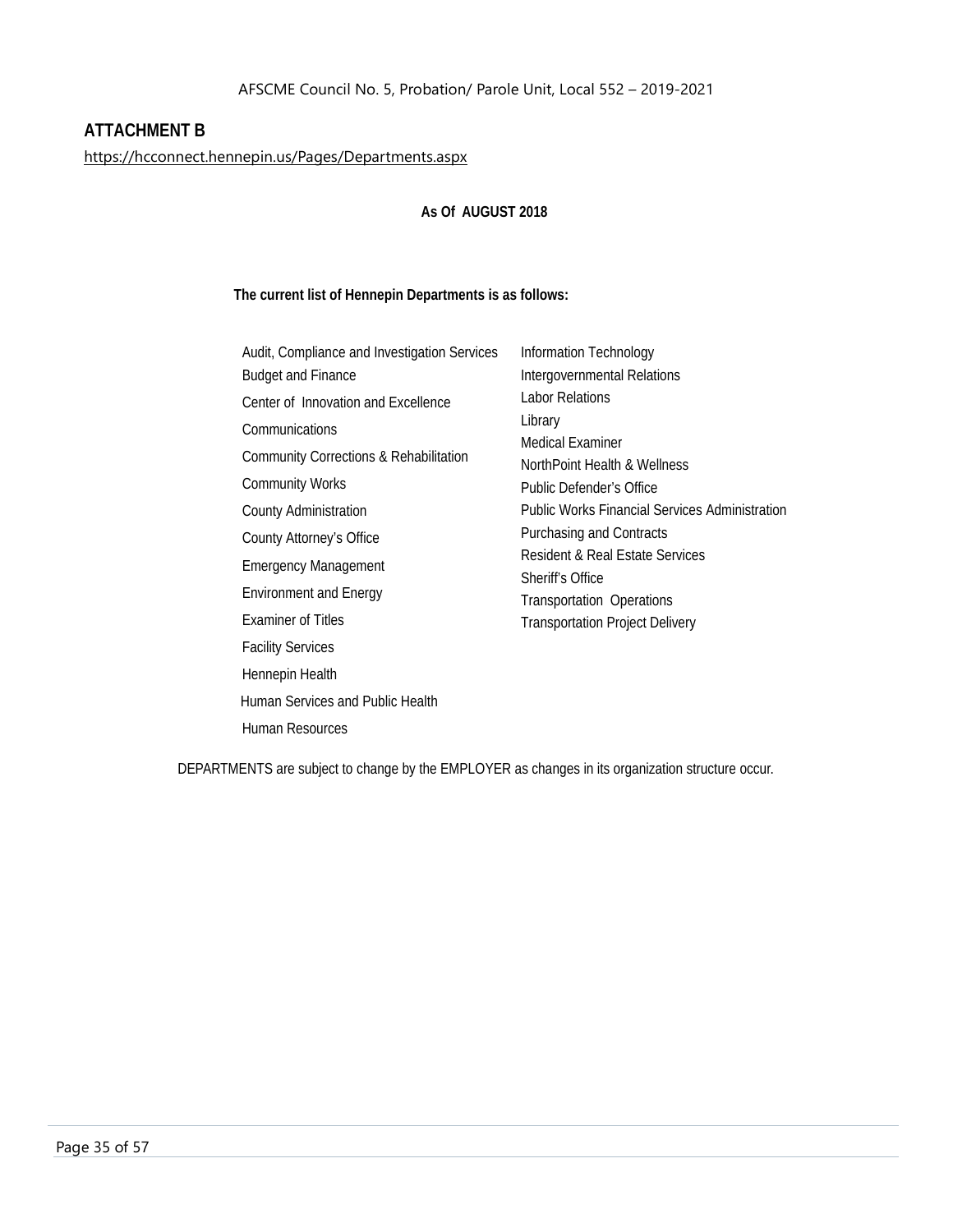# <span id="page-35-0"></span>**ATTACHMENT B**

<https://hcconnect.hennepin.us/Pages/Departments.aspx>

#### **As Of AUGUST 2018**

#### **The current list of Hennepin Departments is as follows:**

DEPARTMENTS are subject to change by the EMPLOYER as changes in its organization structure occur.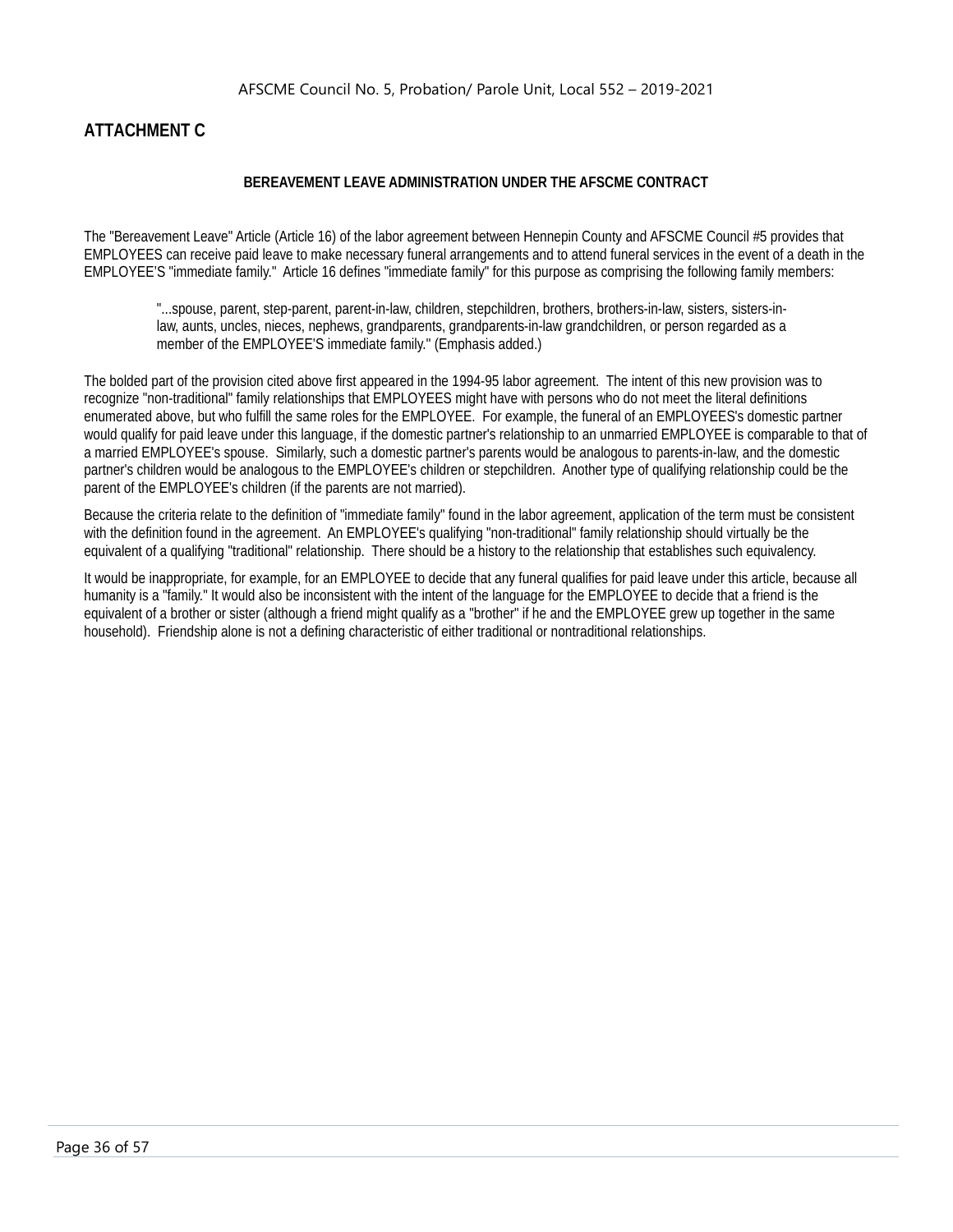# <span id="page-36-0"></span>**ATTACHMENT C**

#### **BEREAVEMENT LEAVE ADMINISTRATION UNDER THE AFSCME CONTRACT**

The "Bereavement Leave" Article (Article 16) of the labor agreement between Hennepin County and AFSCME Council #5 provides that EMPLOYEES can receive paid leave to make necessary funeral arrangements and to attend funeral services in the event of a death in the EMPLOYEE'S "immediate family." Article 16 defines "immediate family" for this purpose as comprising the following family members:

"...spouse, parent, step-parent, parent-in-law, children, stepchildren, brothers, brothers-in-law, sisters, sisters-inlaw, aunts, uncles, nieces, nephews, grandparents, grandparents-in-law grandchildren, or person regarded as a member of the EMPLOYEE'S immediate family.'' (Emphasis added.)

The bolded part of the provision cited above first appeared in the 1994-95 labor agreement. The intent of this new provision was to recognize "non-traditional" family relationships that EMPLOYEES might have with persons who do not meet the literal definitions enumerated above, but who fulfill the same roles for the EMPLOYEE. For example, the funeral of an EMPLOYEES's domestic partner would qualify for paid leave under this language, if the domestic partner's relationship to an unmarried EMPLOYEE is comparable to that of a married EMPLOYEE's spouse. Similarly, such a domestic partner's parents would be analogous to parents-in-law, and the domestic partner's children would be analogous to the EMPLOYEE's children or stepchildren. Another type of qualifying relationship could be the parent of the EMPLOYEE's children (if the parents are not married).

Because the criteria relate to the definition of "immediate family" found in the labor agreement, application of the term must be consistent with the definition found in the agreement. An EMPLOYEE's qualifying "non-traditional" family relationship should virtually be the equivalent of a qualifying "traditional" relationship. There should be a history to the relationship that establishes such equivalency.

It would be inappropriate, for example, for an EMPLOYEE to decide that any funeral qualifies for paid leave under this article, because all humanity is a "family." It would also be inconsistent with the intent of the language for the EMPLOYEE to decide that a friend is the equivalent of a brother or sister (although a friend might qualify as a "brother" if he and the EMPLOYEE grew up together in the same household). Friendship alone is not a defining characteristic of either traditional or nontraditional relationships.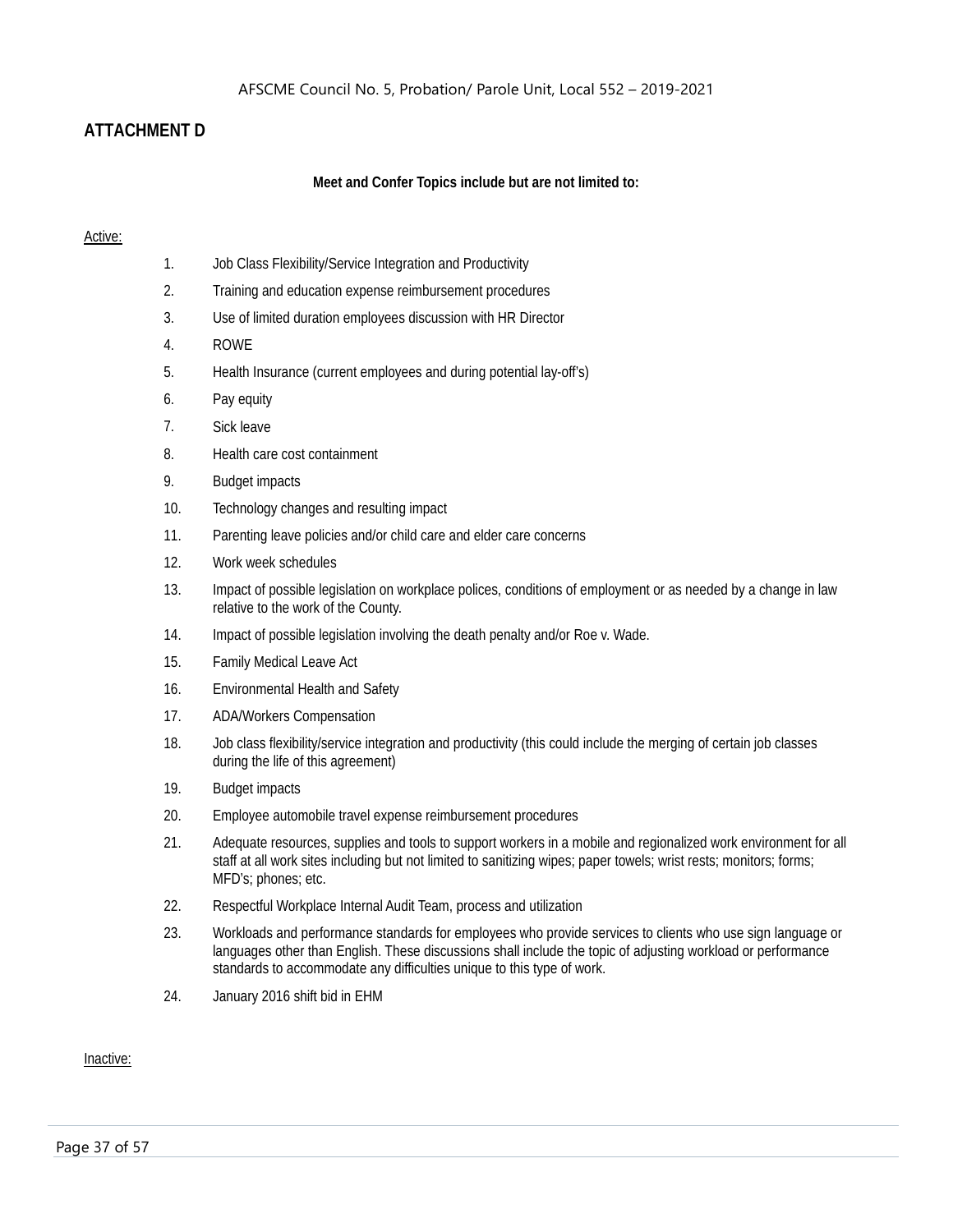# <span id="page-37-0"></span>**ATTACHMENT D**

#### **Meet and Confer Topics include but are not limited to:**

#### Active:

- 1. Job Class Flexibility/Service Integration and Productivity
- 2. Training and education expense reimbursement procedures
- 3. Use of limited duration employees discussion with HR Director
- 4. ROWE
- 5. Health Insurance (current employees and during potential lay-off's)
- 6. Pay equity
- 7. Sick leave
- 8. Health care cost containment
- 9. Budget impacts
- 10. Technology changes and resulting impact
- 11. Parenting leave policies and/or child care and elder care concerns
- 12. Work week schedules
- 13. Impact of possible legislation on workplace polices, conditions of employment or as needed by a change in law relative to the work of the County.
- 14. Impact of possible legislation involving the death penalty and/or Roe v. Wade.
- 15. Family Medical Leave Act
- 16. Environmental Health and Safety
- 17. ADA/Workers Compensation
- 18. Job class flexibility/service integration and productivity (this could include the merging of certain job classes during the life of this agreement)
- 19. Budget impacts
- 20. Employee automobile travel expense reimbursement procedures
- 21. Adequate resources, supplies and tools to support workers in a mobile and regionalized work environment for all staff at all work sites including but not limited to sanitizing wipes; paper towels; wrist rests; monitors; forms; MFD's; phones; etc.
- 22. Respectful Workplace Internal Audit Team, process and utilization
- 23. Workloads and performance standards for employees who provide services to clients who use sign language or languages other than English. These discussions shall include the topic of adjusting workload or performance standards to accommodate any difficulties unique to this type of work.
- 24. January 2016 shift bid in EHM

Inactive: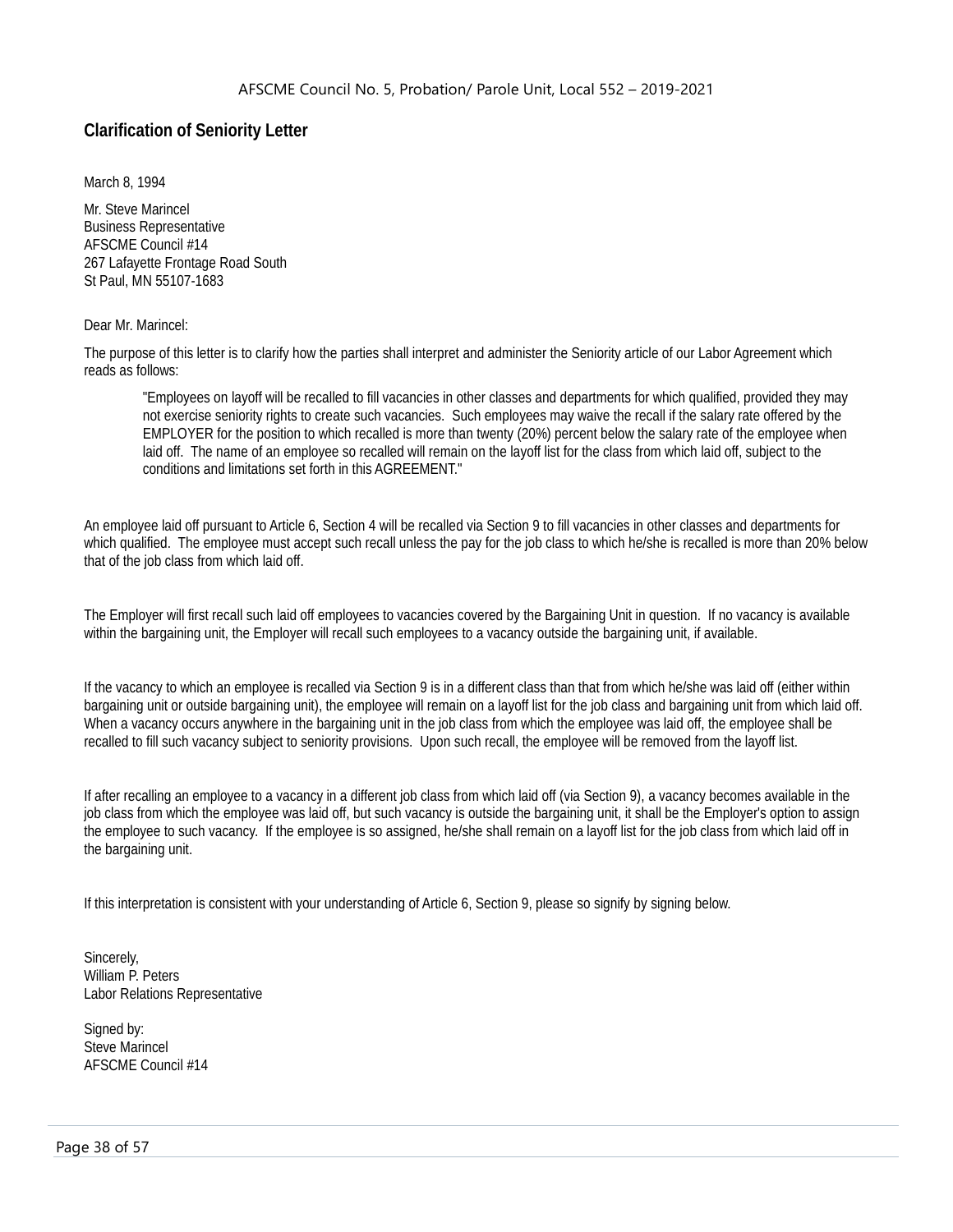# <span id="page-38-0"></span>**Clarification of Seniority Letter**

March 8, 1994

Mr. Steve Marincel Business Representative AFSCME Council #14 267 Lafayette Frontage Road South St Paul, MN 55107-1683

#### Dear Mr. Marincel:

The purpose of this letter is to clarify how the parties shall interpret and administer the Seniority article of our Labor Agreement which reads as follows:

"Employees on layoff will be recalled to fill vacancies in other classes and departments for which qualified, provided they may not exercise seniority rights to create such vacancies. Such employees may waive the recall if the salary rate offered by the EMPLOYER for the position to which recalled is more than twenty (20%) percent below the salary rate of the employee when laid off. The name of an employee so recalled will remain on the layoff list for the class from which laid off, subject to the conditions and limitations set forth in this AGREEMENT."

An employee laid off pursuant to Article 6, Section 4 will be recalled via Section 9 to fill vacancies in other classes and departments for which qualified. The employee must accept such recall unless the pay for the job class to which he/she is recalled is more than 20% below that of the job class from which laid off.

The Employer will first recall such laid off employees to vacancies covered by the Bargaining Unit in question. If no vacancy is available within the bargaining unit, the Employer will recall such employees to a vacancy outside the bargaining unit, if available.

If the vacancy to which an employee is recalled via Section 9 is in a different class than that from which he/she was laid off (either within bargaining unit or outside bargaining unit), the employee will remain on a layoff list for the job class and bargaining unit from which laid off. When a vacancy occurs anywhere in the bargaining unit in the job class from which the employee was laid off, the employee shall be recalled to fill such vacancy subject to seniority provisions. Upon such recall, the employee will be removed from the layoff list.

If after recalling an employee to a vacancy in a different job class from which laid off (via Section 9), a vacancy becomes available in the job class from which the employee was laid off, but such vacancy is outside the bargaining unit, it shall be the Employer's option to assign the employee to such vacancy. If the employee is so assigned, he/she shall remain on a layoff list for the job class from which laid off in the bargaining unit.

If this interpretation is consistent with your understanding of Article 6, Section 9, please so signify by signing below.

Sincerely, William P. Peters Labor Relations Representative

Signed by: Steve Marincel AFSCME Council #14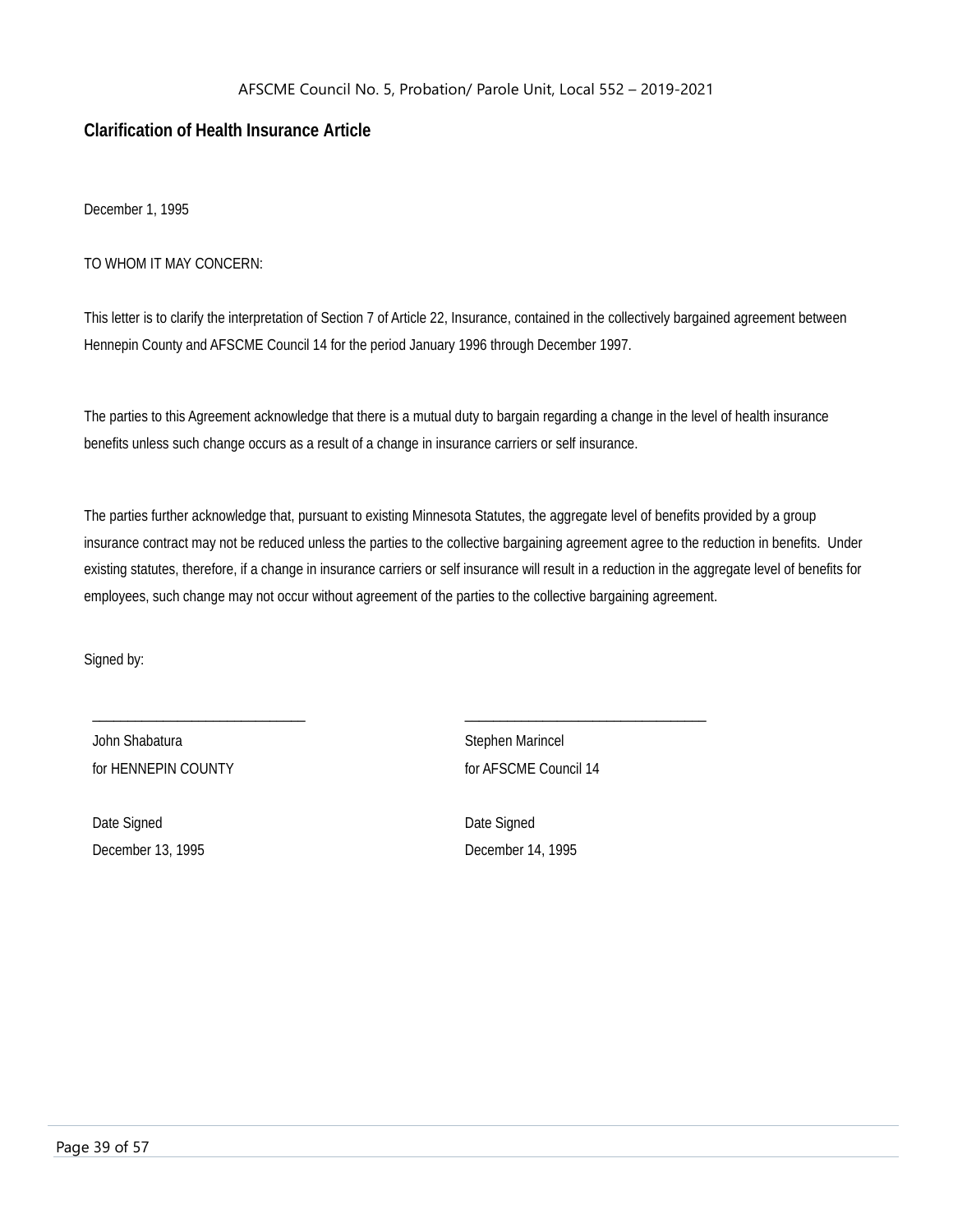#### <span id="page-39-0"></span>**Clarification of Health Insurance Article**

December 1, 1995

#### TO WHOM IT MAY CONCERN:

This letter is to clarify the interpretation of Section 7 of Article 22, Insurance, contained in the collectively bargained agreement between Hennepin County and AFSCME Council 14 for the period January 1996 through December 1997.

The parties to this Agreement acknowledge that there is a mutual duty to bargain regarding a change in the level of health insurance benefits unless such change occurs as a result of a change in insurance carriers or self insurance.

The parties further acknowledge that, pursuant to existing Minnesota Statutes, the aggregate level of benefits provided by a group insurance contract may not be reduced unless the parties to the collective bargaining agreement agree to the reduction in benefits. Under existing statutes, therefore, if a change in insurance carriers or self insurance will result in a reduction in the aggregate level of benefits for employees, such change may not occur without agreement of the parties to the collective bargaining agreement.

\_\_\_\_\_\_\_\_\_\_\_\_\_\_\_\_\_\_\_\_\_\_\_\_\_\_\_\_\_\_ \_\_\_\_\_\_\_\_\_\_\_\_\_\_\_\_\_\_\_\_\_\_\_\_\_\_\_\_\_\_\_\_\_\_

Signed by:

John Shabatura **Stephen Marincel** for HENNEPIN COUNTY **for AFSCME Council 14** 

Date Signed Date Signed December 13, 1995 December 14, 1995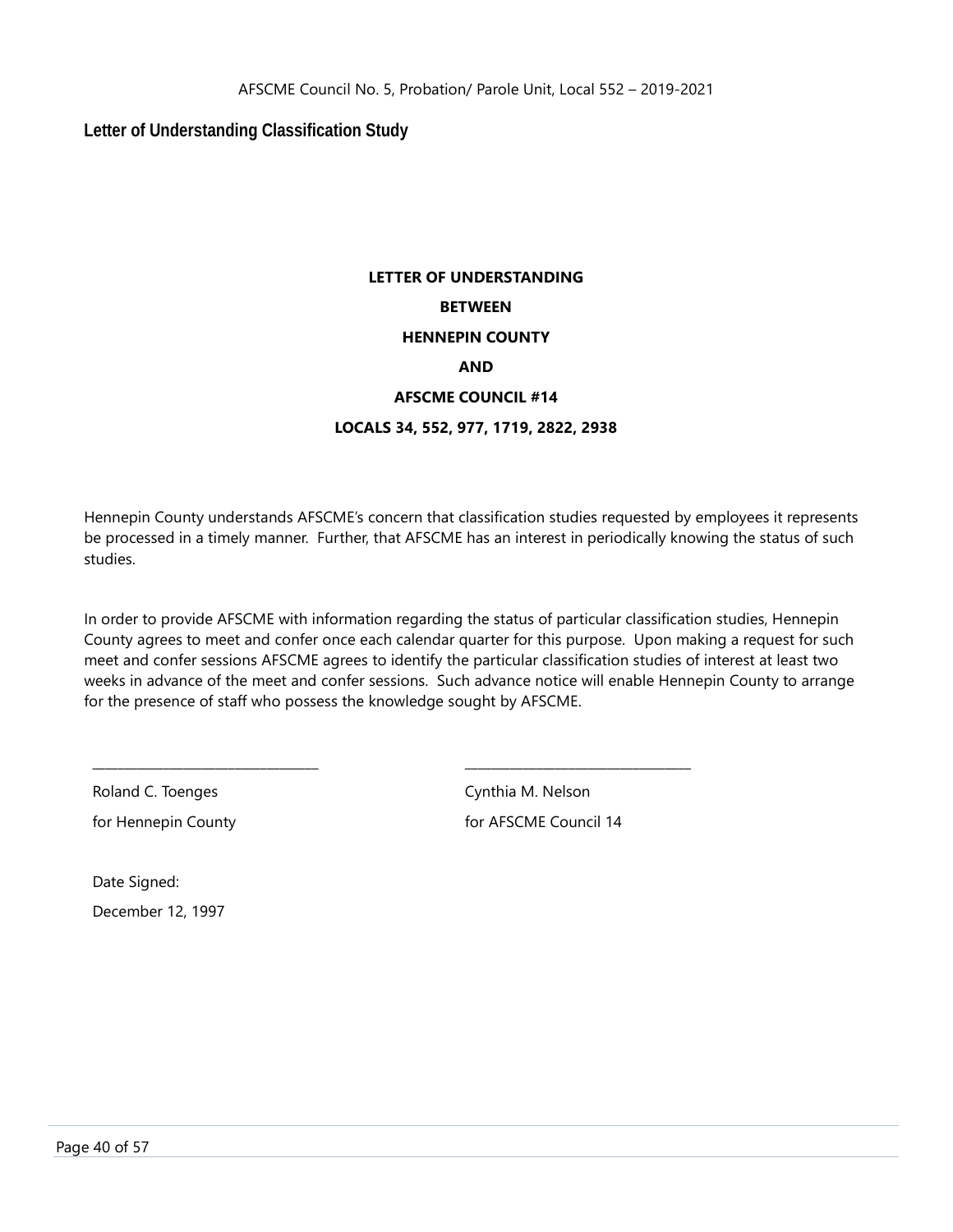<span id="page-40-0"></span>**Letter of Understanding Classification Study**

# **LETTER OF UNDERSTANDING BETWEEN HENNEPIN COUNTY AND AFSCME COUNCIL #14 LOCALS 34, 552, 977, 1719, 2822, 2938**

Hennepin County understands AFSCME's concern that classification studies requested by employees it represents be processed in a timely manner. Further, that AFSCME has an interest in periodically knowing the status of such studies.

In order to provide AFSCME with information regarding the status of particular classification studies, Hennepin County agrees to meet and confer once each calendar quarter for this purpose. Upon making a request for such meet and confer sessions AFSCME agrees to identify the particular classification studies of interest at least two weeks in advance of the meet and confer sessions. Such advance notice will enable Hennepin County to arrange for the presence of staff who possess the knowledge sought by AFSCME.

\_\_\_\_\_\_\_\_\_\_\_\_\_\_\_\_\_\_\_\_\_\_\_\_\_\_\_\_\_\_\_\_\_\_\_ \_\_\_\_\_\_\_\_\_\_\_\_\_\_\_\_\_\_\_\_\_\_\_\_\_\_\_\_\_\_\_\_\_\_\_

Roland C. Toenges Cynthia M. Nelson

for Hennepin County **for AFSCME** Council 14

Date Signed: December 12, 1997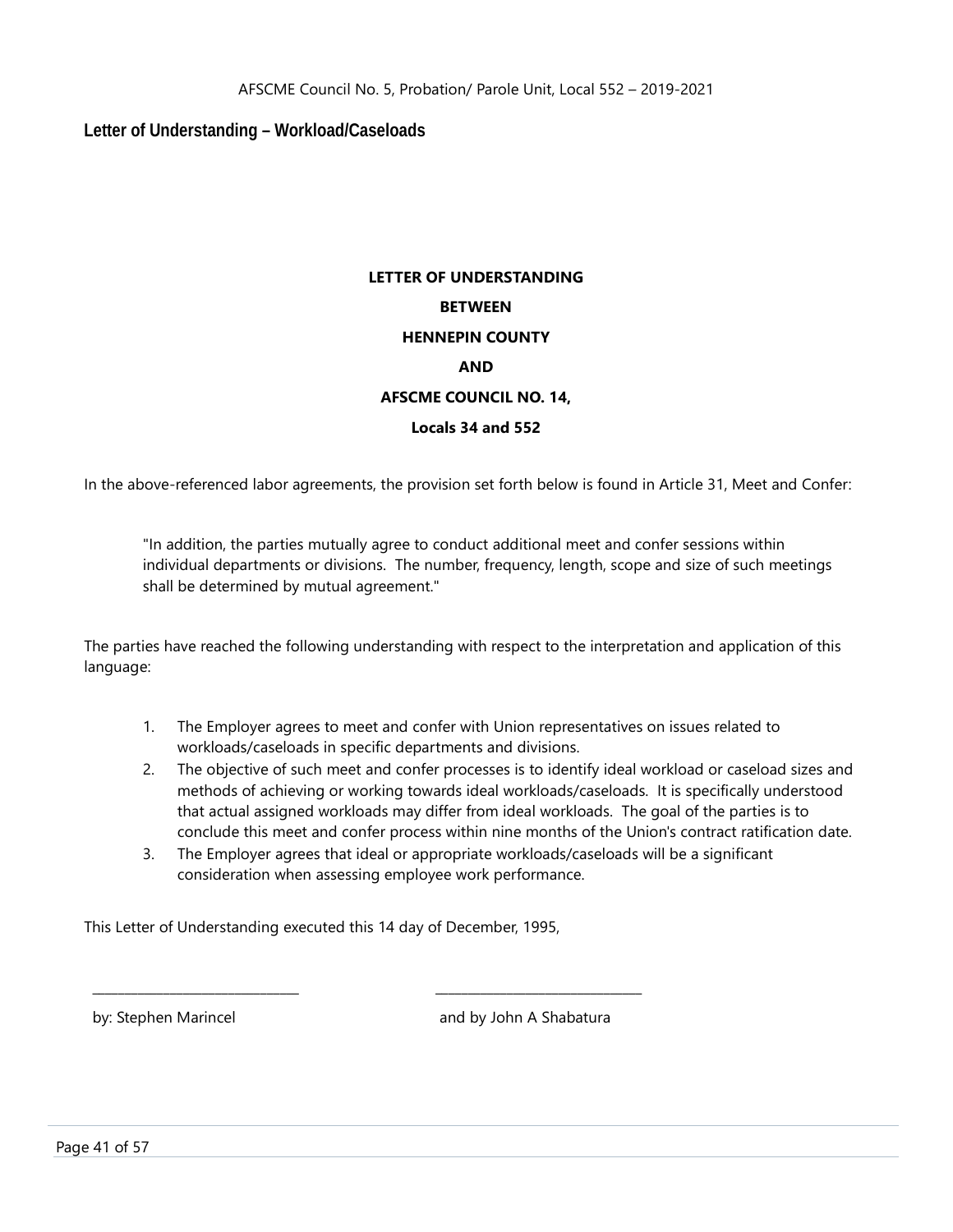### <span id="page-41-0"></span>**Letter of Understanding – Workload/Caseloads**

# **LETTER OF UNDERSTANDING BETWEEN HENNEPIN COUNTY AND AFSCME COUNCIL NO. 14, Locals 34 and 552**

In the above-referenced labor agreements, the provision set forth below is found in Article 31, Meet and Confer:

"In addition, the parties mutually agree to conduct additional meet and confer sessions within individual departments or divisions. The number, frequency, length, scope and size of such meetings shall be determined by mutual agreement."

The parties have reached the following understanding with respect to the interpretation and application of this language:

- 1. The Employer agrees to meet and confer with Union representatives on issues related to workloads/caseloads in specific departments and divisions.
- 2. The objective of such meet and confer processes is to identify ideal workload or caseload sizes and methods of achieving or working towards ideal workloads/caseloads. It is specifically understood that actual assigned workloads may differ from ideal workloads. The goal of the parties is to conclude this meet and confer process within nine months of the Union's contract ratification date.
- 3. The Employer agrees that ideal or appropriate workloads/caseloads will be a significant consideration when assessing employee work performance.

This Letter of Understanding executed this 14 day of December, 1995,

\_\_\_\_\_\_\_\_\_\_\_\_\_\_\_\_\_\_\_\_\_\_\_\_\_\_\_\_\_\_\_\_ \_\_\_\_\_\_\_\_\_\_\_\_\_\_\_\_\_\_\_\_\_\_\_\_\_\_\_\_\_\_\_\_

by: Stephen Marincel and by John A Shabatura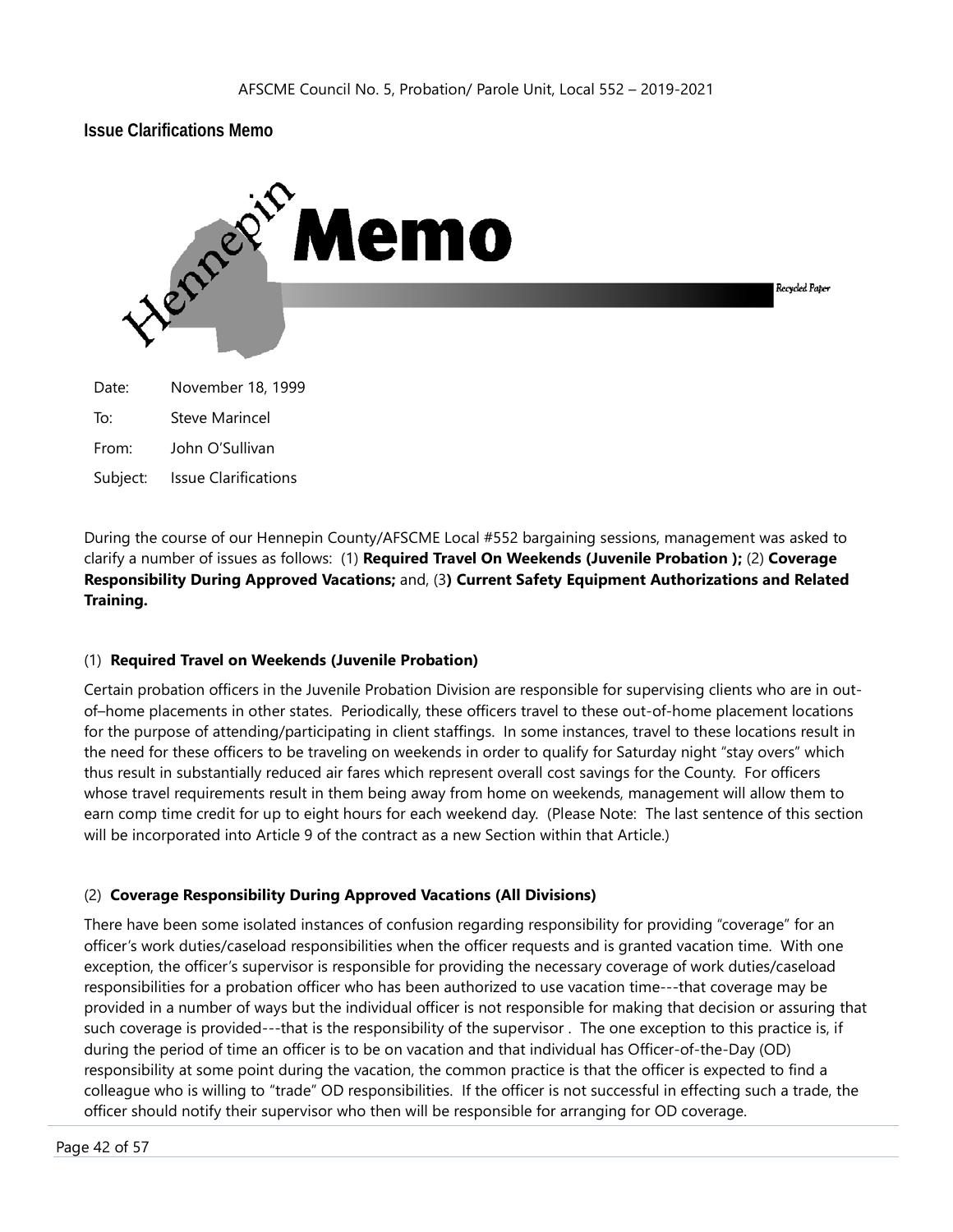<span id="page-42-0"></span>

Subject: Issue Clarifications

During the course of our Hennepin County/AFSCME Local #552 bargaining sessions, management was asked to clarify a number of issues as follows: (1) **Required Travel On Weekends (Juvenile Probation );** (2) **Coverage Responsibility During Approved Vacations;** and, (3**) Current Safety Equipment Authorizations and Related Training.**

#### (1) **Required Travel on Weekends (Juvenile Probation)**

Certain probation officers in the Juvenile Probation Division are responsible for supervising clients who are in outof–home placements in other states. Periodically, these officers travel to these out-of-home placement locations for the purpose of attending/participating in client staffings. In some instances, travel to these locations result in the need for these officers to be traveling on weekends in order to qualify for Saturday night "stay overs" which thus result in substantially reduced air fares which represent overall cost savings for the County. For officers whose travel requirements result in them being away from home on weekends, management will allow them to earn comp time credit for up to eight hours for each weekend day. (Please Note: The last sentence of this section will be incorporated into Article 9 of the contract as a new Section within that Article.)

#### (2) **Coverage Responsibility During Approved Vacations (All Divisions)**

There have been some isolated instances of confusion regarding responsibility for providing "coverage" for an officer's work duties/caseload responsibilities when the officer requests and is granted vacation time. With one exception, the officer's supervisor is responsible for providing the necessary coverage of work duties/caseload responsibilities for a probation officer who has been authorized to use vacation time---that coverage may be provided in a number of ways but the individual officer is not responsible for making that decision or assuring that such coverage is provided---that is the responsibility of the supervisor . The one exception to this practice is, if during the period of time an officer is to be on vacation and that individual has Officer-of-the-Day (OD) responsibility at some point during the vacation, the common practice is that the officer is expected to find a colleague who is willing to "trade" OD responsibilities. If the officer is not successful in effecting such a trade, the officer should notify their supervisor who then will be responsible for arranging for OD coverage.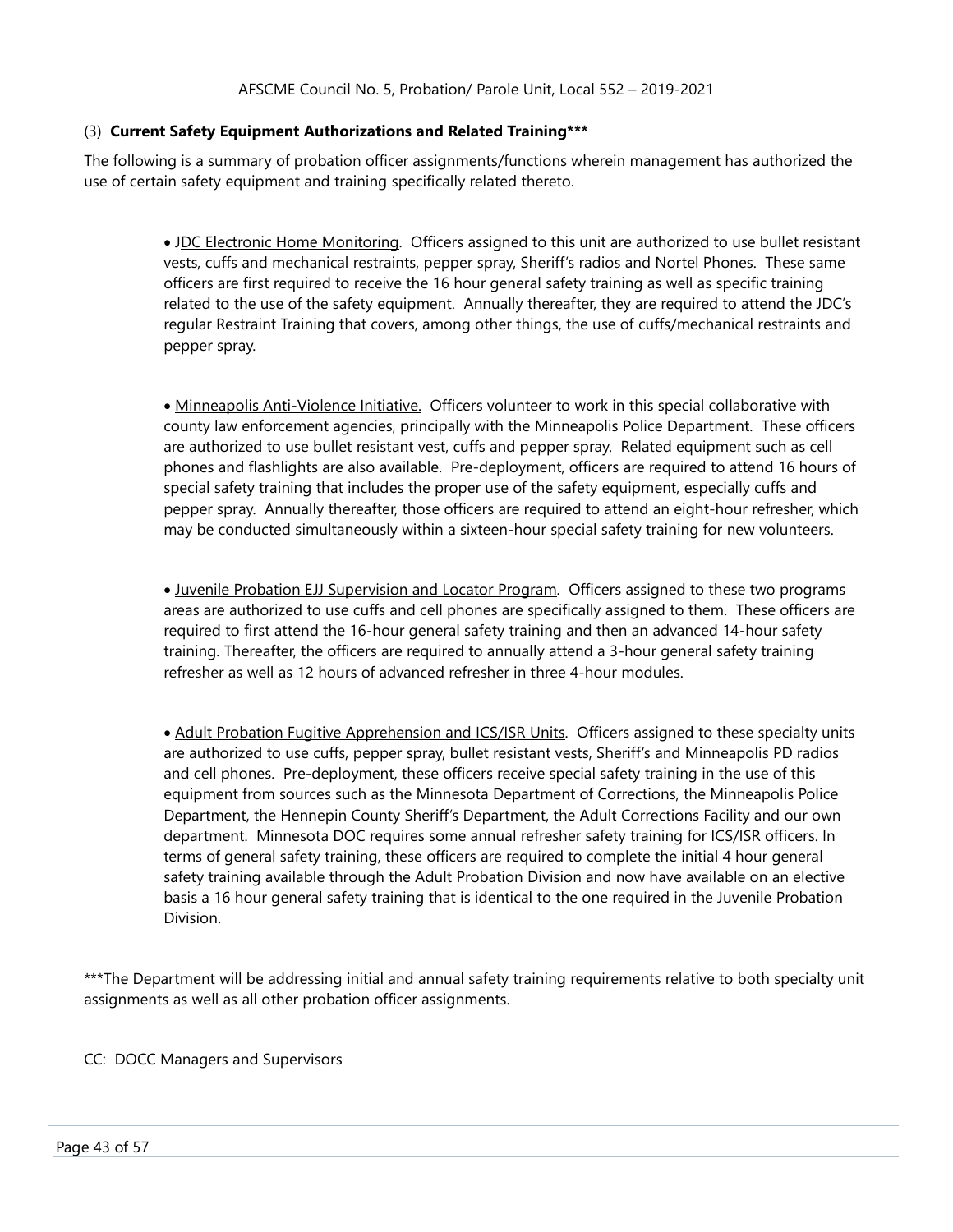#### (3) **Current Safety Equipment Authorizations and Related Training\*\*\***

The following is a summary of probation officer assignments/functions wherein management has authorized the use of certain safety equipment and training specifically related thereto.

> • JDC Electronic Home Monitoring. Officers assigned to this unit are authorized to use bullet resistant vests, cuffs and mechanical restraints, pepper spray, Sheriff's radios and Nortel Phones. These same officers are first required to receive the 16 hour general safety training as well as specific training related to the use of the safety equipment. Annually thereafter, they are required to attend the JDC's regular Restraint Training that covers, among other things, the use of cuffs/mechanical restraints and pepper spray.

> • Minneapolis Anti-Violence Initiative. Officers volunteer to work in this special collaborative with county law enforcement agencies, principally with the Minneapolis Police Department. These officers are authorized to use bullet resistant vest, cuffs and pepper spray. Related equipment such as cell phones and flashlights are also available. Pre-deployment, officers are required to attend 16 hours of special safety training that includes the proper use of the safety equipment, especially cuffs and pepper spray. Annually thereafter, those officers are required to attend an eight-hour refresher, which may be conducted simultaneously within a sixteen-hour special safety training for new volunteers.

> • Juvenile Probation EJJ Supervision and Locator Program. Officers assigned to these two programs areas are authorized to use cuffs and cell phones are specifically assigned to them. These officers are required to first attend the 16-hour general safety training and then an advanced 14-hour safety training. Thereafter, the officers are required to annually attend a 3-hour general safety training refresher as well as 12 hours of advanced refresher in three 4-hour modules.

> • Adult Probation Fugitive Apprehension and ICS/ISR Units. Officers assigned to these specialty units are authorized to use cuffs, pepper spray, bullet resistant vests, Sheriff's and Minneapolis PD radios and cell phones. Pre-deployment, these officers receive special safety training in the use of this equipment from sources such as the Minnesota Department of Corrections, the Minneapolis Police Department, the Hennepin County Sheriff's Department, the Adult Corrections Facility and our own department. Minnesota DOC requires some annual refresher safety training for ICS/ISR officers. In terms of general safety training, these officers are required to complete the initial 4 hour general safety training available through the Adult Probation Division and now have available on an elective basis a 16 hour general safety training that is identical to the one required in the Juvenile Probation Division.

\*\*\*The Department will be addressing initial and annual safety training requirements relative to both specialty unit assignments as well as all other probation officer assignments.

#### CC: DOCC Managers and Supervisors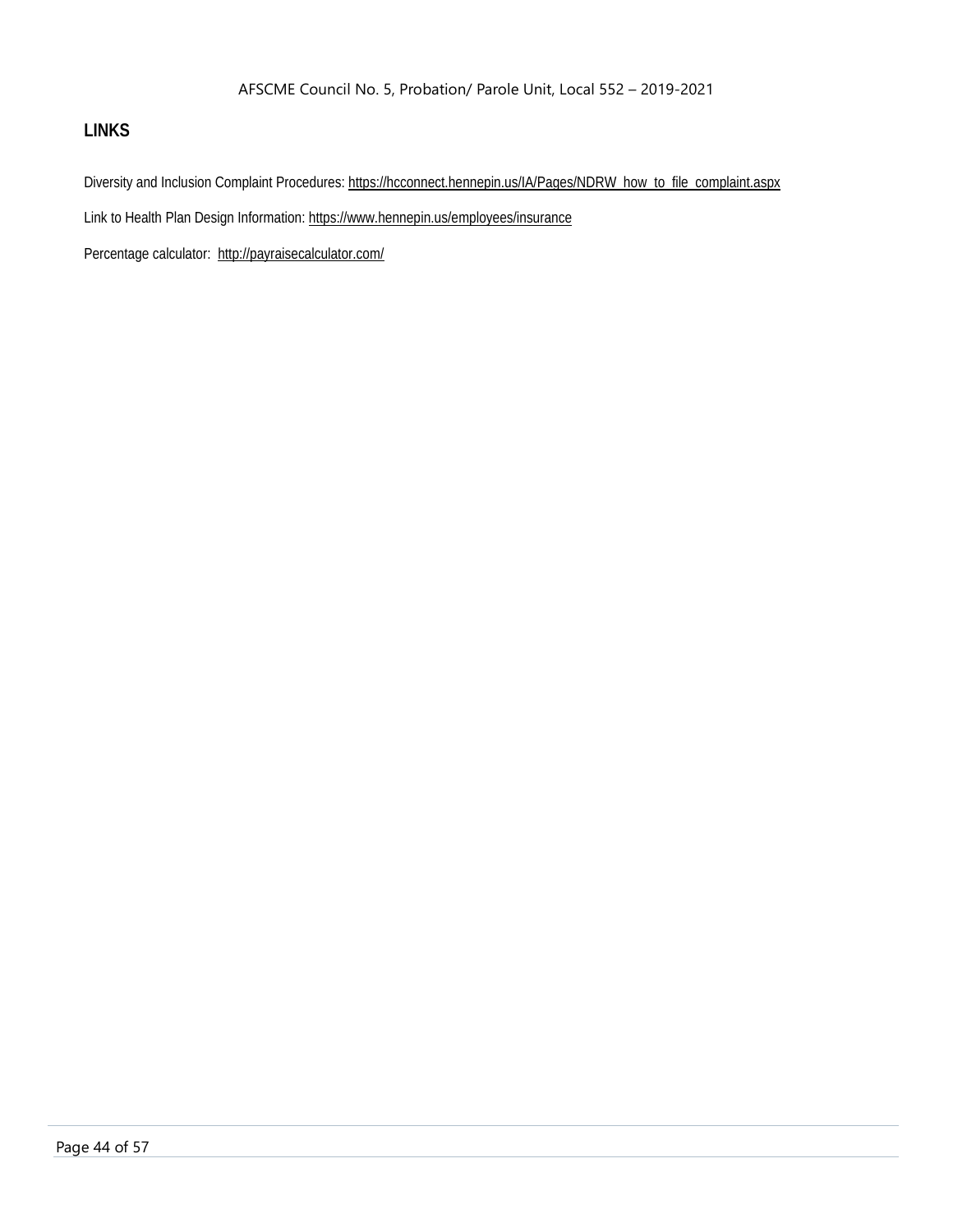# <span id="page-44-0"></span>**LINKS**

Diversity and Inclusion Complaint Procedures: [https://hcconnect.hennepin.us/IA/Pages/NDRW\\_how\\_to\\_file\\_complaint.aspx](https://hcconnect.hennepin.us/IA/Pages/NDRW_how_to_file_complaint.aspx)

Link to Health Plan Design Information[: https://www.hennepin.us/employees/insurance](https://www.hennepin.us/employees/insurance)

Percentage calculator: <http://payraisecalculator.com/>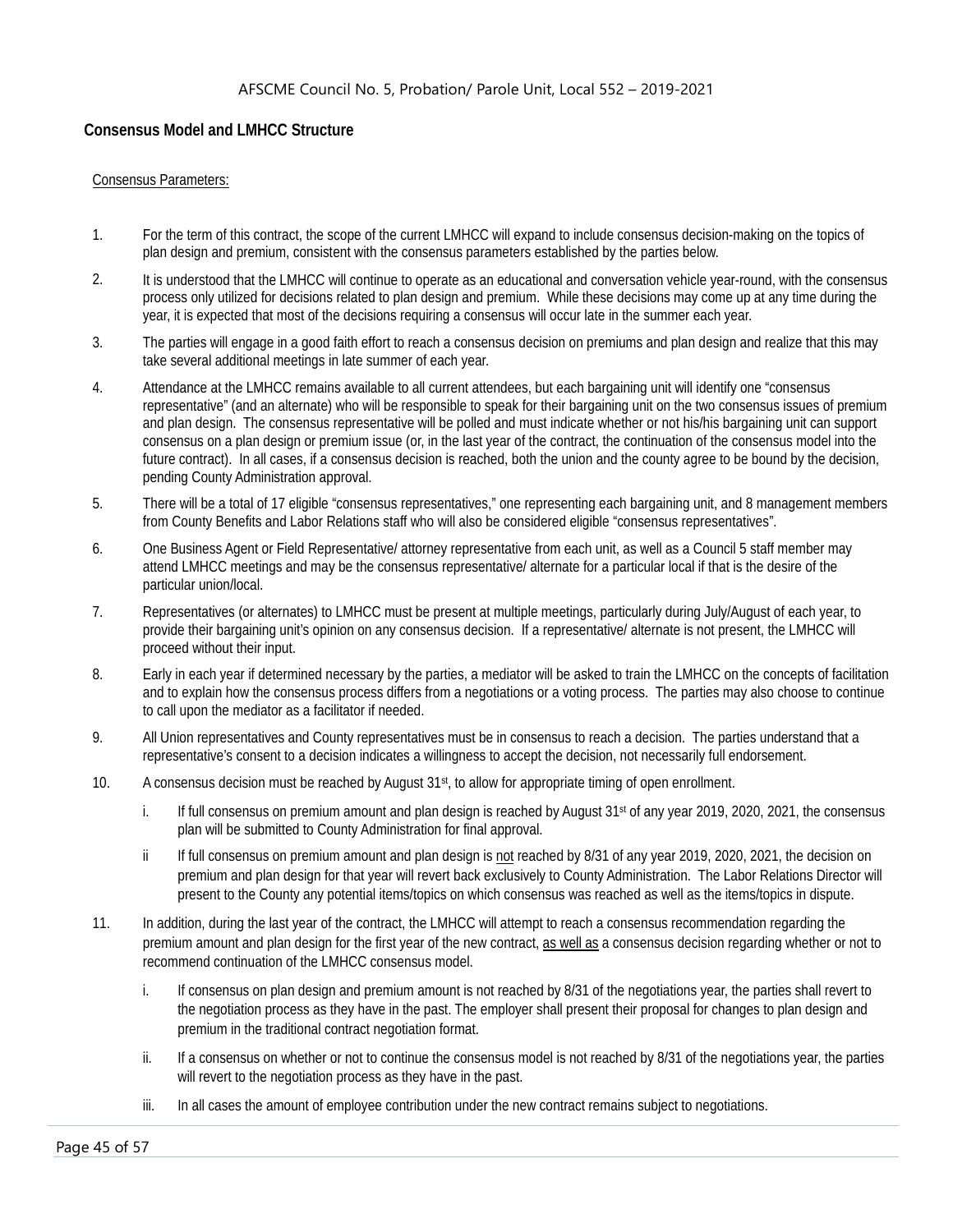#### <span id="page-45-0"></span>**Consensus Model and LMHCC Structure**

#### Consensus Parameters:

- 1. For the term of this contract, the scope of the current LMHCC will expand to include consensus decision-making on the topics of plan design and premium, consistent with the consensus parameters established by the parties below.
- 2. It is understood that the LMHCC will continue to operate as an educational and conversation vehicle year-round, with the consensus process only utilized for decisions related to plan design and premium. While these decisions may come up at any time during the year, it is expected that most of the decisions requiring a consensus will occur late in the summer each year.
- 3. The parties will engage in a good faith effort to reach a consensus decision on premiums and plan design and realize that this may take several additional meetings in late summer of each year.
- 4. Attendance at the LMHCC remains available to all current attendees, but each bargaining unit will identify one "consensus representative" (and an alternate) who will be responsible to speak for their bargaining unit on the two consensus issues of premium and plan design. The consensus representative will be polled and must indicate whether or not his/his bargaining unit can support consensus on a plan design or premium issue (or, in the last year of the contract, the continuation of the consensus model into the future contract). In all cases, if a consensus decision is reached, both the union and the county agree to be bound by the decision, pending County Administration approval.
- 5. There will be a total of 17 eligible "consensus representatives," one representing each bargaining unit, and 8 management members from County Benefits and Labor Relations staff who will also be considered eligible "consensus representatives".
- 6. One Business Agent or Field Representative/ attorney representative from each unit, as well as a Council 5 staff member may attend LMHCC meetings and may be the consensus representative/ alternate for a particular local if that is the desire of the particular union/local.
- 7. Representatives (or alternates) to LMHCC must be present at multiple meetings, particularly during July/August of each year, to provide their bargaining unit's opinion on any consensus decision. If a representative/ alternate is not present, the LMHCC will proceed without their input.
- 8. Early in each year if determined necessary by the parties, a mediator will be asked to train the LMHCC on the concepts of facilitation and to explain how the consensus process differs from a negotiations or a voting process. The parties may also choose to continue to call upon the mediator as a facilitator if needed.
- 9. All Union representatives and County representatives must be in consensus to reach a decision. The parties understand that a representative's consent to a decision indicates a willingness to accept the decision, not necessarily full endorsement.
- 10. A consensus decision must be reached by August  $31st$ , to allow for appropriate timing of open enrollment.
	- i. If full consensus on premium amount and plan design is reached by August  $31<sup>st</sup>$  of any year 2019, 2020, 2021, the consensus plan will be submitted to County Administration for final approval.
	- ii If full consensus on premium amount and plan design is not reached by 8/31 of any year 2019, 2020, 2021, the decision on premium and plan design for that year will revert back exclusively to County Administration. The Labor Relations Director will present to the County any potential items/topics on which consensus was reached as well as the items/topics in dispute.
- 11. In addition, during the last year of the contract, the LMHCC will attempt to reach a consensus recommendation regarding the premium amount and plan design for the first year of the new contract, as well as a consensus decision regarding whether or not to recommend continuation of the LMHCC consensus model.
	- i. If consensus on plan design and premium amount is not reached by 8/31 of the negotiations year, the parties shall revert to the negotiation process as they have in the past. The employer shall present their proposal for changes to plan design and premium in the traditional contract negotiation format.
	- ii. If a consensus on whether or not to continue the consensus model is not reached by 8/31 of the negotiations year, the parties will revert to the negotiation process as they have in the past.
	- iii. In all cases the amount of employee contribution under the new contract remains subject to negotiations.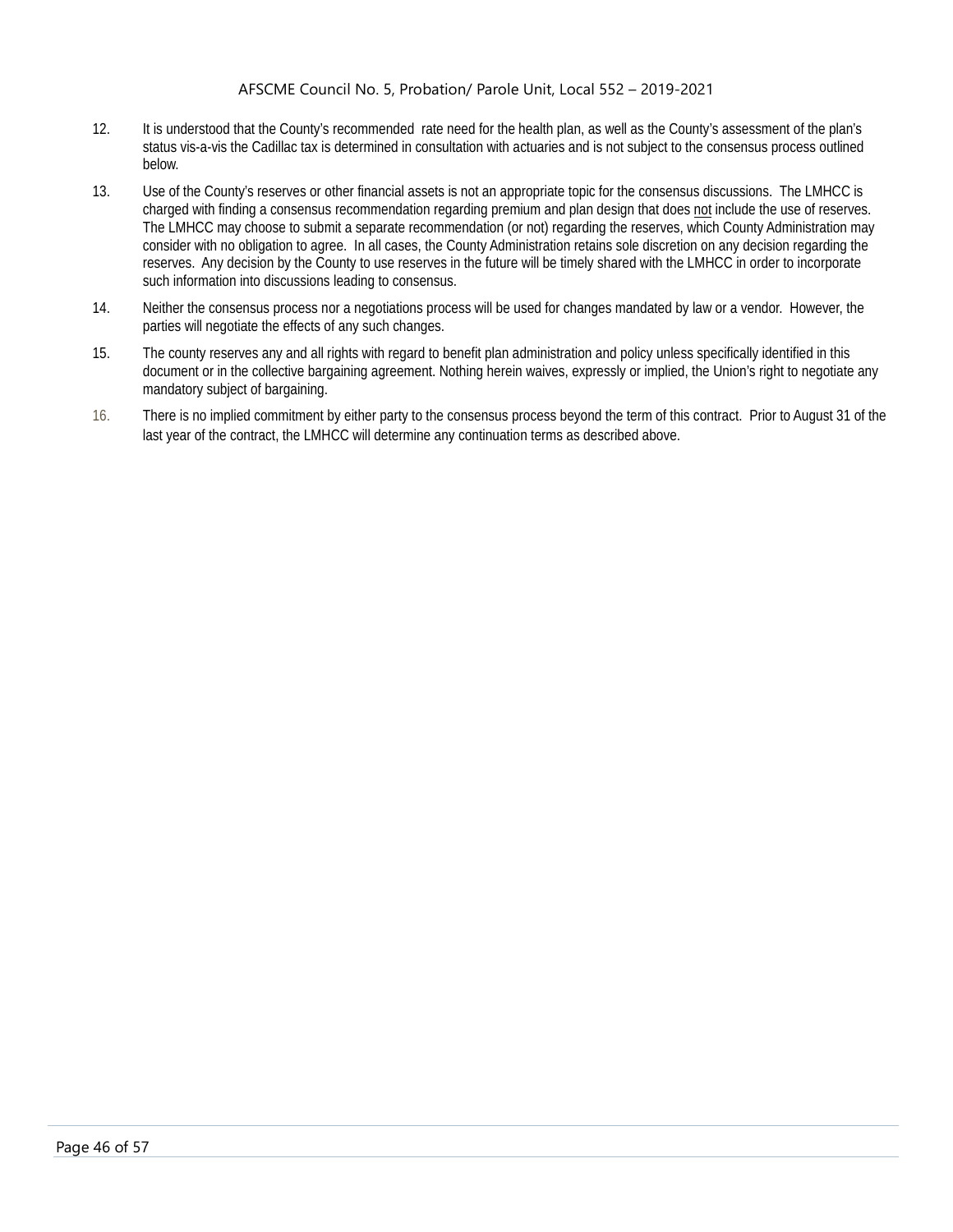- 12. It is understood that the County's recommended rate need for the health plan, as well as the County's assessment of the plan's status vis-a-vis the Cadillac tax is determined in consultation with actuaries and is not subject to the consensus process outlined below.
- 13. Use of the County's reserves or other financial assets is not an appropriate topic for the consensus discussions. The LMHCC is charged with finding a consensus recommendation regarding premium and plan design that does not include the use of reserves. The LMHCC may choose to submit a separate recommendation (or not) regarding the reserves, which County Administration may consider with no obligation to agree. In all cases, the County Administration retains sole discretion on any decision regarding the reserves. Any decision by the County to use reserves in the future will be timely shared with the LMHCC in order to incorporate such information into discussions leading to consensus.
- 14. Neither the consensus process nor a negotiations process will be used for changes mandated by law or a vendor. However, the parties will negotiate the effects of any such changes.
- 15. The county reserves any and all rights with regard to benefit plan administration and policy unless specifically identified in this document or in the collective bargaining agreement. Nothing herein waives, expressly or implied, the Union's right to negotiate any mandatory subject of bargaining.
- 16. There is no implied commitment by either party to the consensus process beyond the term of this contract. Prior to August 31 of the last year of the contract, the LMHCC will determine any continuation terms as described above.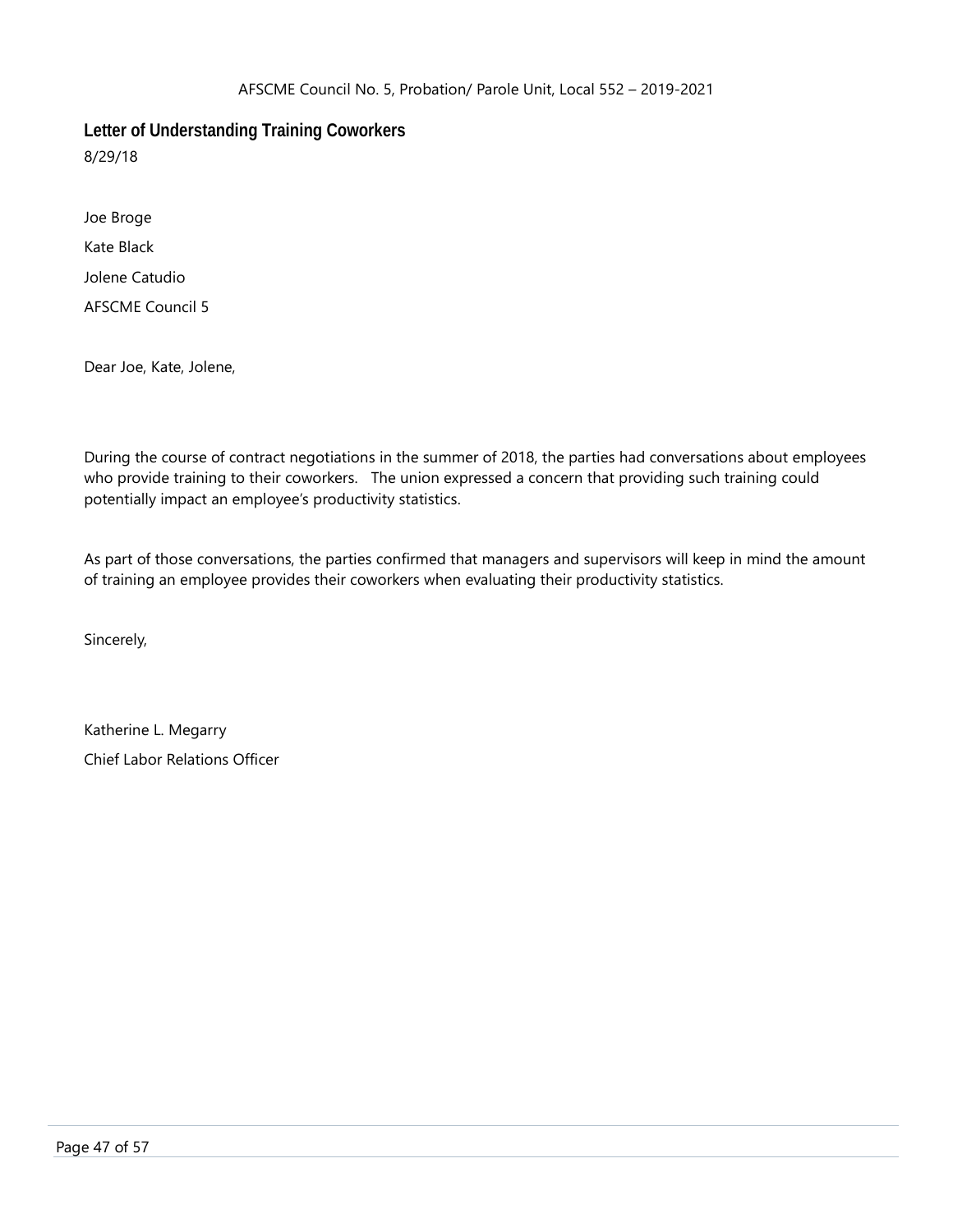<span id="page-47-0"></span>**Letter of Understanding Training Coworkers**

8/29/18

Joe Broge Kate Black Jolene Catudio AFSCME Council 5

Dear Joe, Kate, Jolene,

During the course of contract negotiations in the summer of 2018, the parties had conversations about employees who provide training to their coworkers. The union expressed a concern that providing such training could potentially impact an employee's productivity statistics.

As part of those conversations, the parties confirmed that managers and supervisors will keep in mind the amount of training an employee provides their coworkers when evaluating their productivity statistics.

Sincerely,

Katherine L. Megarry Chief Labor Relations Officer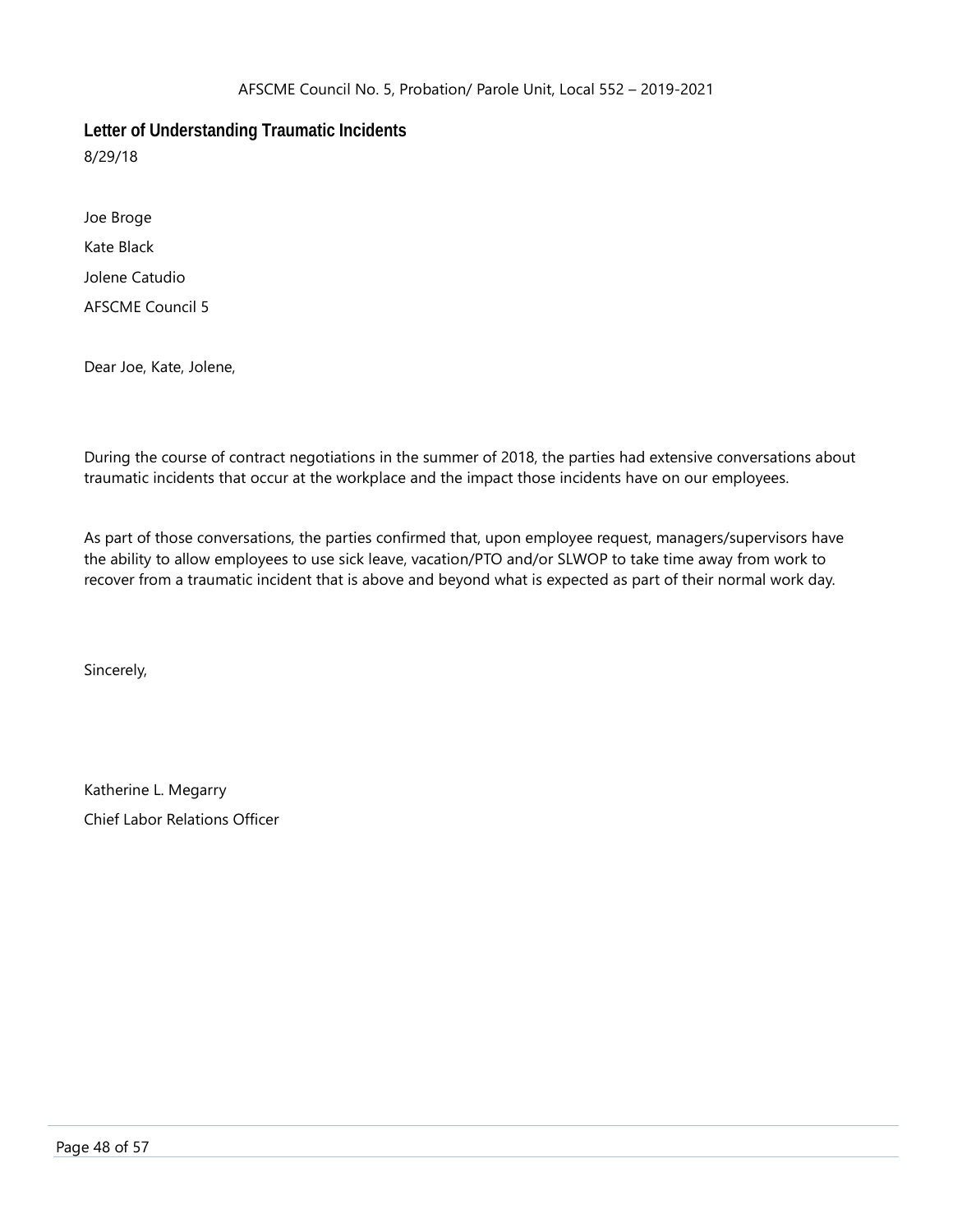<span id="page-48-0"></span>**Letter of Understanding Traumatic Incidents**

8/29/18

Joe Broge Kate Black Jolene Catudio AFSCME Council 5

Dear Joe, Kate, Jolene,

During the course of contract negotiations in the summer of 2018, the parties had extensive conversations about traumatic incidents that occur at the workplace and the impact those incidents have on our employees.

As part of those conversations, the parties confirmed that, upon employee request, managers/supervisors have the ability to allow employees to use sick leave, vacation/PTO and/or SLWOP to take time away from work to recover from a traumatic incident that is above and beyond what is expected as part of their normal work day.

Sincerely,

Katherine L. Megarry Chief Labor Relations Officer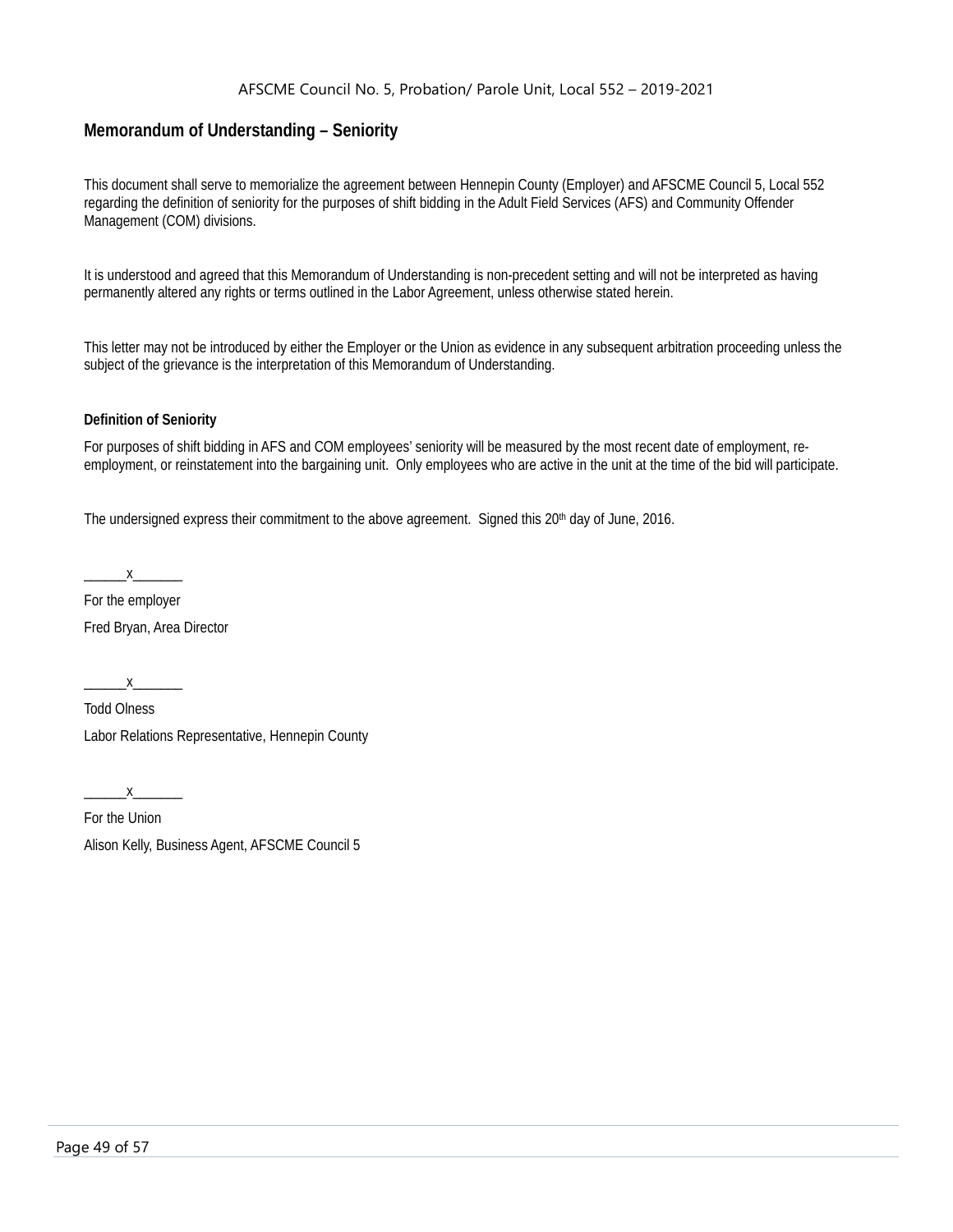# <span id="page-49-0"></span>**Memorandum of Understanding – Seniority**

This document shall serve to memorialize the agreement between Hennepin County (Employer) and AFSCME Council 5, Local 552 regarding the definition of seniority for the purposes of shift bidding in the Adult Field Services (AFS) and Community Offender Management (COM) divisions.

It is understood and agreed that this Memorandum of Understanding is non-precedent setting and will not be interpreted as having permanently altered any rights or terms outlined in the Labor Agreement, unless otherwise stated herein.

This letter may not be introduced by either the Employer or the Union as evidence in any subsequent arbitration proceeding unless the subject of the grievance is the interpretation of this Memorandum of Understanding.

#### **Definition of Seniority**

For purposes of shift bidding in AFS and COM employees' seniority will be measured by the most recent date of employment, reemployment, or reinstatement into the bargaining unit. Only employees who are active in the unit at the time of the bid will participate.

The undersigned express their commitment to the above agreement. Signed this  $20<sup>th</sup>$  day of June, 2016.

 $X$ 

For the employer Fred Bryan, Area Director

 $x$ 

Todd Olness Labor Relations Representative, Hennepin County

 $X_{-}$ 

For the Union Alison Kelly, Business Agent, AFSCME Council 5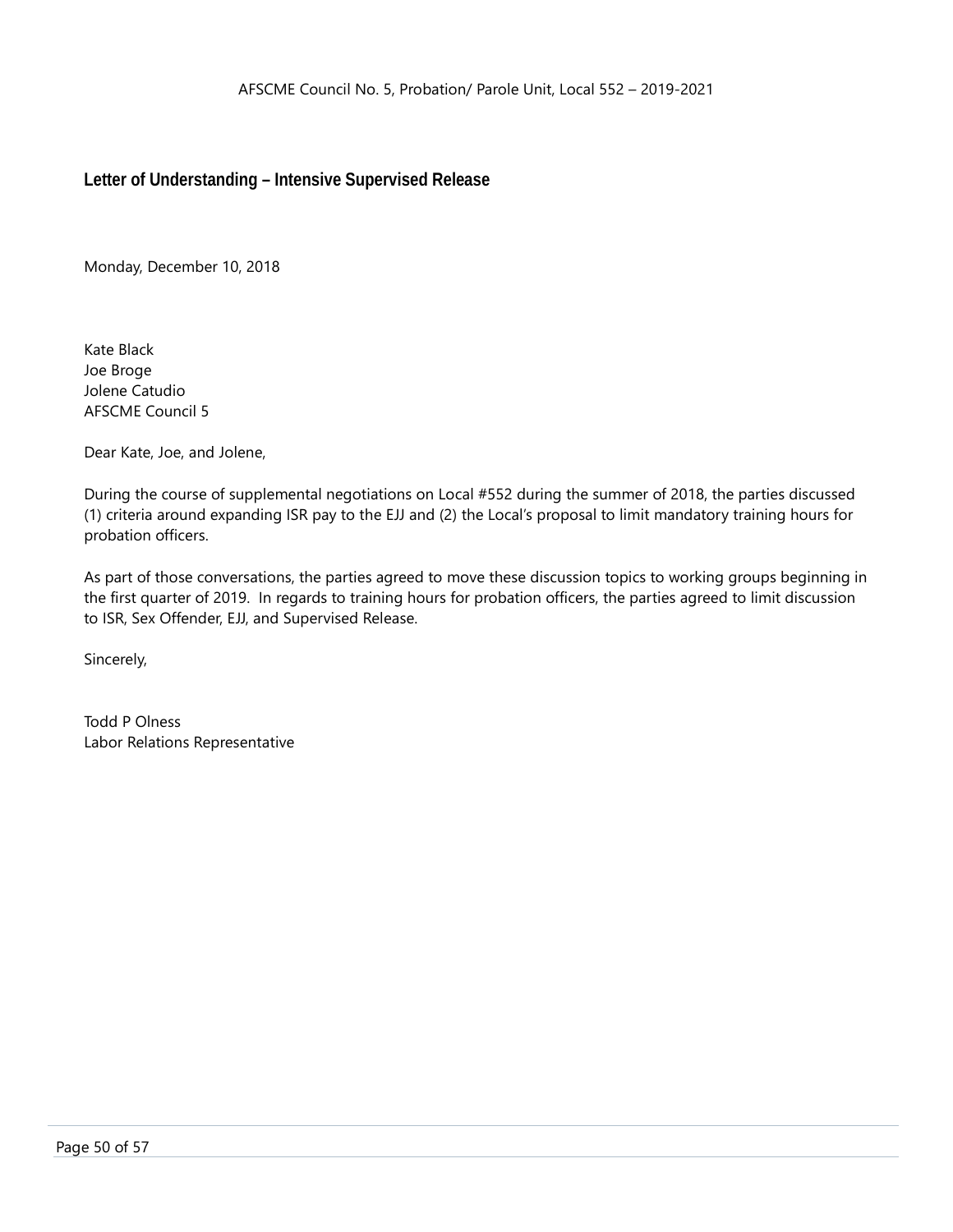<span id="page-50-0"></span>**Letter of Understanding – Intensive Supervised Release**

Monday, December 10, 2018

Kate Black Joe Broge Jolene Catudio AFSCME Council 5

Dear Kate, Joe, and Jolene,

During the course of supplemental negotiations on Local #552 during the summer of 2018, the parties discussed (1) criteria around expanding ISR pay to the EJJ and (2) the Local's proposal to limit mandatory training hours for probation officers.

As part of those conversations, the parties agreed to move these discussion topics to working groups beginning in the first quarter of 2019. In regards to training hours for probation officers, the parties agreed to limit discussion to ISR, Sex Offender, EJJ, and Supervised Release.

Sincerely,

Todd P Olness Labor Relations Representative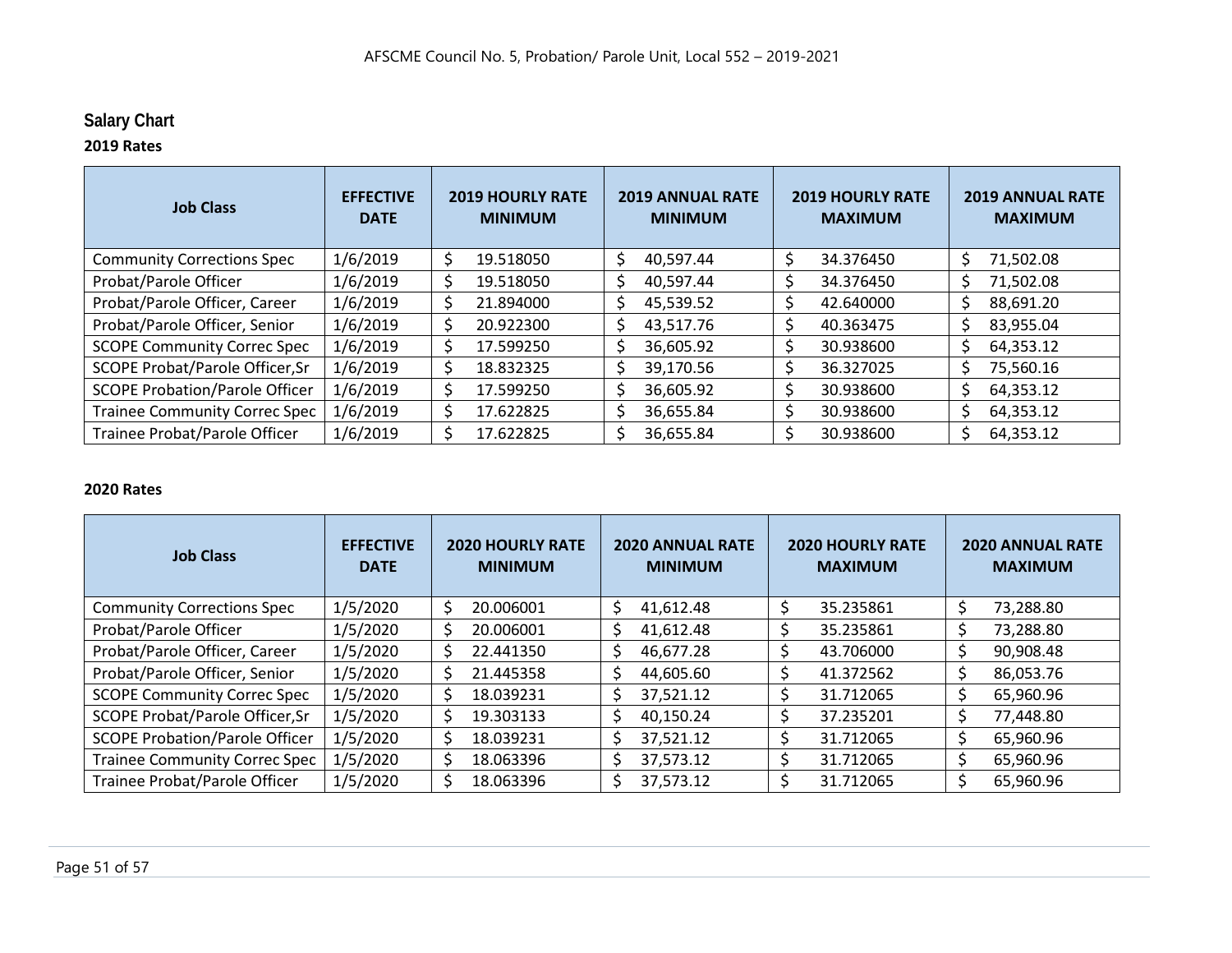# **Salary Chart**

# **2019 Rates**

| <b>Job Class</b>                      | <b>EFFECTIVE</b><br><b>DATE</b> | <b>2019 HOURLY RATE</b><br><b>MINIMUM</b> | <b>2019 ANNUAL RATE</b><br><b>MINIMUM</b> | <b>2019 HOURLY RATE</b><br><b>MAXIMUM</b> | <b>2019 ANNUAL RATE</b><br><b>MAXIMUM</b> |
|---------------------------------------|---------------------------------|-------------------------------------------|-------------------------------------------|-------------------------------------------|-------------------------------------------|
| <b>Community Corrections Spec</b>     | 1/6/2019                        | \$<br>19.518050                           | 40,597.44<br>S                            | 34.376450                                 | Ŝ<br>71,502.08                            |
| Probat/Parole Officer                 | 1/6/2019                        | \$<br>19.518050                           | 40,597.44<br>$\varsigma$                  | 34.376450                                 | 71,502.08                                 |
| Probat/Parole Officer, Career         | 1/6/2019                        | \$<br>21.894000                           | 45,539.52                                 | 42.640000                                 | 88,691.20<br>Ŝ                            |
| Probat/Parole Officer, Senior         | 1/6/2019                        | \$<br>20.922300                           | 43,517.76<br>S                            | Ś<br>40.363475                            | 83,955.04<br>S                            |
| <b>SCOPE Community Correc Spec</b>    | 1/6/2019                        | \$<br>17.599250                           | 36,605.92<br>S                            | 30.938600                                 | Ś.<br>64,353.12                           |
| SCOPE Probat/Parole Officer, Sr       | 1/6/2019                        | \$<br>18.832325                           | 39,170.56                                 | 36.327025                                 | 75,560.16                                 |
| <b>SCOPE Probation/Parole Officer</b> | 1/6/2019                        | \$<br>17.599250                           | 36,605.92                                 | 30.938600                                 | Ŝ<br>64,353.12                            |
| <b>Trainee Community Correc Spec</b>  | 1/6/2019                        | \$<br>17.622825                           | 36,655.84                                 | 30.938600                                 | 64,353.12<br><sup>\$</sup>                |
| Trainee Probat/Parole Officer         | 1/6/2019                        | Ś.<br>17.622825                           | 36,655.84                                 | 30.938600                                 | 64,353.12                                 |

# <span id="page-51-0"></span>**2020 Rates**

| <b>Job Class</b>                      | <b>EFFECTIVE</b><br><b>DATE</b> | <b>2020 HOURLY RATE</b><br><b>MINIMUM</b> | <b>2020 ANNUAL RATE</b><br><b>MINIMUM</b> | <b>2020 HOURLY RATE</b><br><b>MAXIMUM</b> | <b>2020 ANNUAL RATE</b><br><b>MAXIMUM</b> |
|---------------------------------------|---------------------------------|-------------------------------------------|-------------------------------------------|-------------------------------------------|-------------------------------------------|
| <b>Community Corrections Spec</b>     | 1/5/2020                        | \$<br>20.006001                           | Ś<br>41,612.48                            | 35.235861                                 | Ś<br>73,288.80                            |
| Probat/Parole Officer                 | 1/5/2020                        | \$<br>20.006001                           | S<br>41,612.48                            | 35.235861                                 | Ś<br>73,288.80                            |
| Probat/Parole Officer, Career         | 1/5/2020                        | \$<br>22.441350                           | Ś<br>46,677.28                            | 43.706000                                 | Ś<br>90,908.48                            |
| Probat/Parole Officer, Senior         | 1/5/2020                        | \$<br>21.445358                           | \$<br>44,605.60                           | 41.372562                                 | 86,053.76                                 |
| <b>SCOPE Community Correc Spec</b>    | 1/5/2020                        | Ś<br>18.039231                            | 37,521.12<br>\$                           | 31.712065                                 | 65,960.96                                 |
| SCOPE Probat/Parole Officer, Sr       | 1/5/2020                        | \$<br>19.303133                           | Ś<br>40,150.24                            | 37.235201                                 | Ś<br>77,448.80                            |
| <b>SCOPE Probation/Parole Officer</b> | 1/5/2020                        | \$<br>18.039231                           | 37,521.12<br>Ś                            | 31.712065                                 | Ś<br>65,960.96                            |
| <b>Trainee Community Correc Spec</b>  | 1/5/2020                        | \$<br>18.063396                           | Ś<br>37,573.12                            | 31.712065                                 | 65,960.96                                 |
| Trainee Probat/Parole Officer         | 1/5/2020                        | \$<br>18.063396                           | 37,573.12<br>Ś                            | 31.712065                                 | 65,960.96                                 |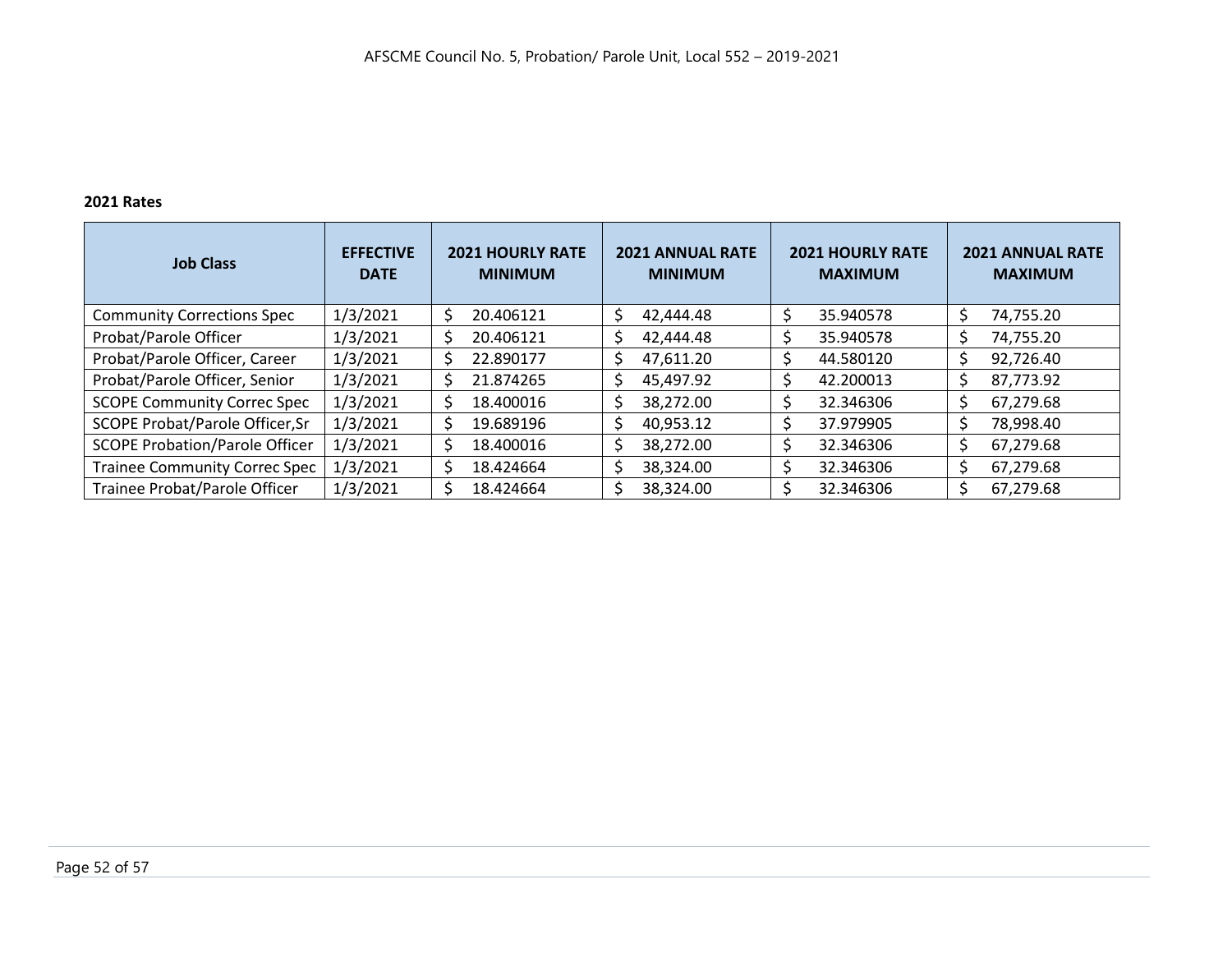# **2021 Rates**

| <b>Job Class</b>                       | <b>EFFECTIVE</b><br><b>DATE</b> | <b>2021 HOURLY RATE</b><br><b>MINIMUM</b> | <b>2021 ANNUAL RATE</b><br><b>MINIMUM</b> | <b>2021 HOURLY RATE</b><br><b>MAXIMUM</b> | <b>2021 ANNUAL RATE</b><br><b>MAXIMUM</b> |
|----------------------------------------|---------------------------------|-------------------------------------------|-------------------------------------------|-------------------------------------------|-------------------------------------------|
| <b>Community Corrections Spec</b>      | 1/3/2021                        | 20.406121<br>\$                           | 42,444.48                                 | 35.940578                                 | 74,755.20                                 |
| Probat/Parole Officer                  | 1/3/2021                        | 20.406121<br>\$                           | <sup>\$</sup><br>42,444.48                | 35.940578                                 | 74,755.20                                 |
| Probat/Parole Officer, Career          | 1/3/2021                        | 22.890177<br>\$                           | 47,611.20<br><sup>\$</sup>                | 44.580120                                 | 92,726.40                                 |
| Probat/Parole Officer, Senior          | 1/3/2021                        | \$<br>21.874265                           | 45,497.92<br><sup>\$</sup>                | 42.200013                                 | 87,773.92<br>S                            |
| <b>SCOPE Community Correc Spec</b>     | 1/3/2021                        | \$<br>18.400016                           | 38,272.00<br><sup>\$</sup>                | 32.346306                                 | 67,279.68                                 |
| <b>SCOPE Probat/Parole Officer, Sr</b> | 1/3/2021                        | \$<br>19.689196                           | 40,953.12<br><sup>S</sup>                 | 37.979905                                 | 78,998.40                                 |
| <b>SCOPE Probation/Parole Officer</b>  | 1/3/2021                        | \$<br>18.400016                           | 38,272.00                                 | 32.346306                                 | 67,279.68                                 |
| <b>Trainee Community Correc Spec</b>   | 1/3/2021                        | \$<br>18.424664                           | 38,324.00<br>Ŝ                            | 32.346306                                 | 67,279.68                                 |
| Trainee Probat/Parole Officer          | 1/3/2021                        | 18.424664<br>\$                           | 38,324.00                                 | 32.346306                                 | 67,279.68                                 |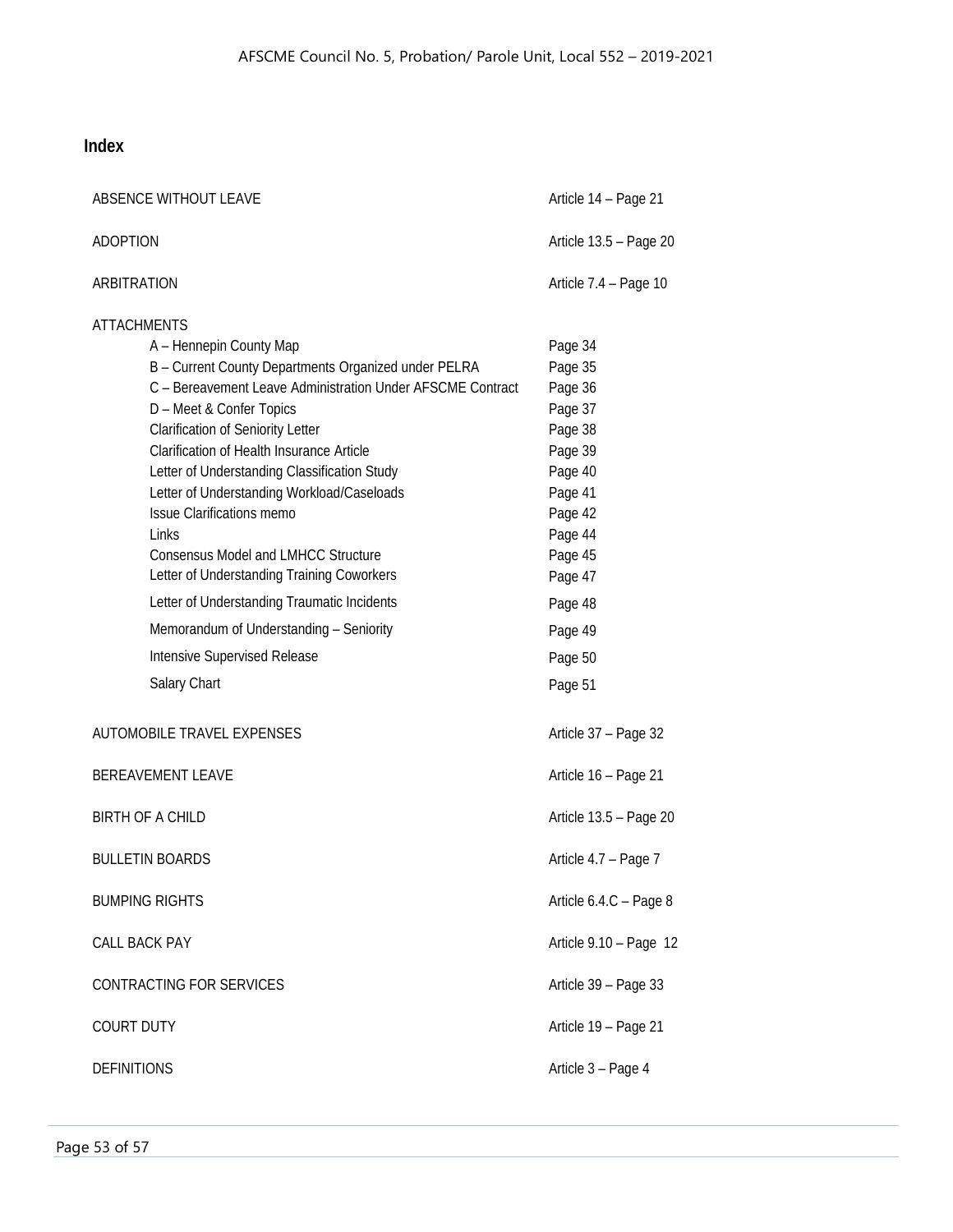# <span id="page-53-0"></span>**Index**

| ABSENCE WITHOUT LEAVE       | Article 14 - Page 21                                                                                                                                                                                                                                                                                                                                                                                                                                                                                                                                                                                                                |                                                                                                                                                                              |
|-----------------------------|-------------------------------------------------------------------------------------------------------------------------------------------------------------------------------------------------------------------------------------------------------------------------------------------------------------------------------------------------------------------------------------------------------------------------------------------------------------------------------------------------------------------------------------------------------------------------------------------------------------------------------------|------------------------------------------------------------------------------------------------------------------------------------------------------------------------------|
| ADOPTION                    |                                                                                                                                                                                                                                                                                                                                                                                                                                                                                                                                                                                                                                     | Article 13.5 - Page 20                                                                                                                                                       |
| ARBITRATION                 |                                                                                                                                                                                                                                                                                                                                                                                                                                                                                                                                                                                                                                     | Article 7.4 - Page 10                                                                                                                                                        |
| <b>ATTACHMENTS</b><br>Links | A - Hennepin County Map<br>B - Current County Departments Organized under PELRA<br>C - Bereavement Leave Administration Under AFSCME Contract<br>D - Meet & Confer Topics<br>Clarification of Seniority Letter<br>Clarification of Health Insurance Article<br>Letter of Understanding Classification Study<br>Letter of Understanding Workload/Caseloads<br><b>Issue Clarifications memo</b><br><b>Consensus Model and LMHCC Structure</b><br>Letter of Understanding Training Coworkers<br>Letter of Understanding Traumatic Incidents<br>Memorandum of Understanding - Seniority<br>Intensive Supervised Release<br>Salary Chart | Page 34<br>Page 35<br>Page 36<br>Page 37<br>Page 38<br>Page 39<br>Page 40<br>Page 41<br>Page 42<br>Page 44<br>Page 45<br>Page 47<br>Page 48<br>Page 49<br>Page 50<br>Page 51 |
|                             | <b>AUTOMOBILE TRAVEL EXPENSES</b>                                                                                                                                                                                                                                                                                                                                                                                                                                                                                                                                                                                                   | Article 37 - Page 32                                                                                                                                                         |
| <b>BEREAVEMENT LEAVE</b>    |                                                                                                                                                                                                                                                                                                                                                                                                                                                                                                                                                                                                                                     | Article 16 - Page 21                                                                                                                                                         |
| <b>BIRTH OF A CHILD</b>     |                                                                                                                                                                                                                                                                                                                                                                                                                                                                                                                                                                                                                                     | Article 13.5 - Page 20                                                                                                                                                       |
| <b>BULLETIN BOARDS</b>      |                                                                                                                                                                                                                                                                                                                                                                                                                                                                                                                                                                                                                                     | Article 4.7 - Page 7                                                                                                                                                         |
| <b>BUMPING RIGHTS</b>       |                                                                                                                                                                                                                                                                                                                                                                                                                                                                                                                                                                                                                                     | Article 6.4.C - Page 8                                                                                                                                                       |
| CALL BACK PAY               |                                                                                                                                                                                                                                                                                                                                                                                                                                                                                                                                                                                                                                     | Article 9.10 - Page 12                                                                                                                                                       |
|                             | CONTRACTING FOR SERVICES                                                                                                                                                                                                                                                                                                                                                                                                                                                                                                                                                                                                            | Article 39 - Page 33                                                                                                                                                         |
| <b>COURT DUTY</b>           | Article 19 - Page 21                                                                                                                                                                                                                                                                                                                                                                                                                                                                                                                                                                                                                |                                                                                                                                                                              |
| <b>DEFINITIONS</b>          | Article 3 - Page 4                                                                                                                                                                                                                                                                                                                                                                                                                                                                                                                                                                                                                  |                                                                                                                                                                              |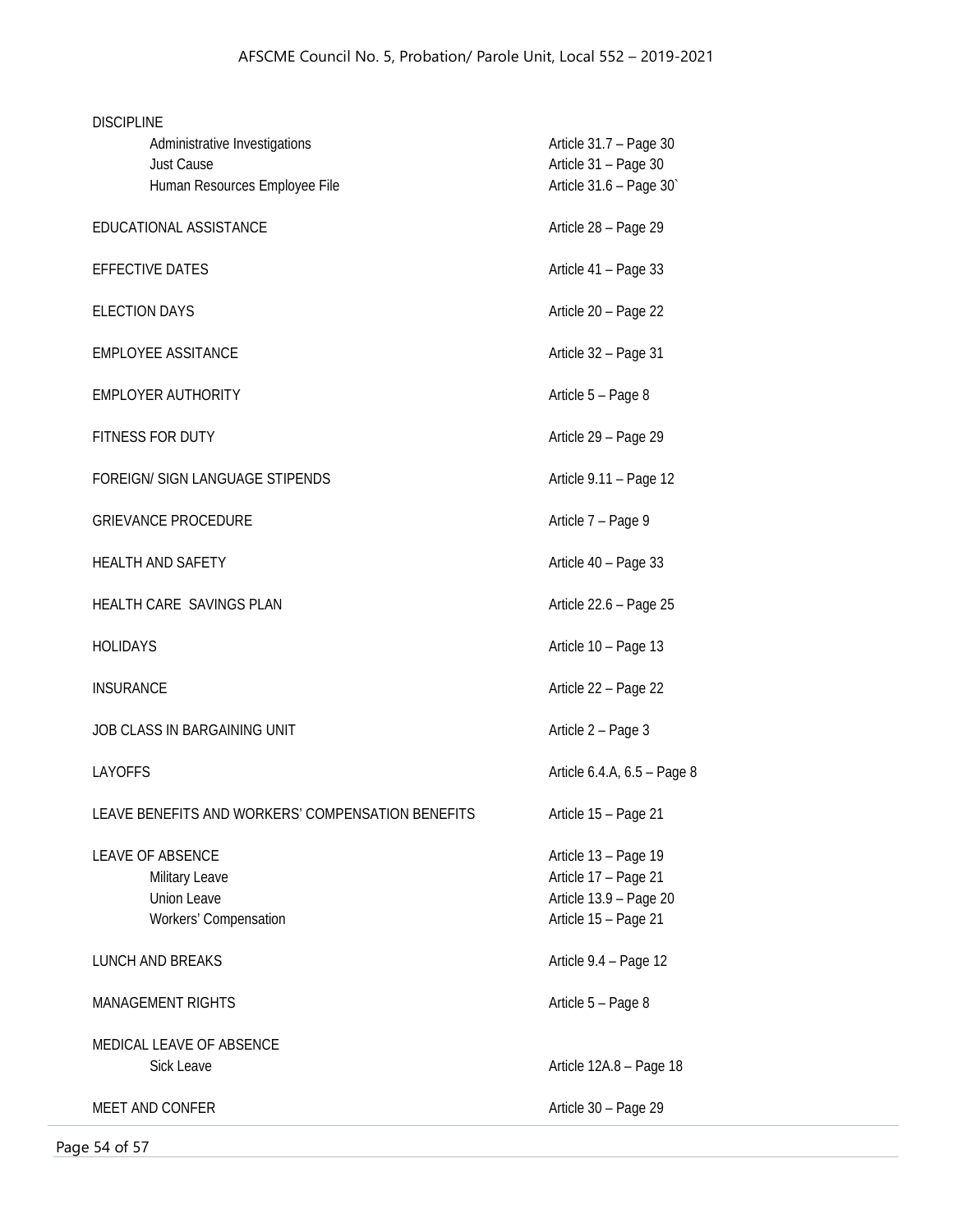| <b>DISCIPLINE</b>                                  |                                                |  |  |
|----------------------------------------------------|------------------------------------------------|--|--|
| Administrative Investigations<br><b>Just Cause</b> | Article 31.7 - Page 30<br>Article 31 - Page 30 |  |  |
| Human Resources Employee File                      | Article 31.6 - Page 30                         |  |  |
| EDUCATIONAL ASSISTANCE                             | Article 28 - Page 29                           |  |  |
|                                                    |                                                |  |  |
| <b>EFFECTIVE DATES</b>                             | Article 41 - Page 33                           |  |  |
| <b>ELECTION DAYS</b>                               | Article 20 - Page 22                           |  |  |
| <b>EMPLOYEE ASSITANCE</b>                          | Article 32 - Page 31                           |  |  |
| <b>EMPLOYER AUTHORITY</b>                          | Article 5 - Page 8                             |  |  |
| FITNESS FOR DUTY                                   | Article 29 - Page 29                           |  |  |
| FOREIGN/ SIGN LANGUAGE STIPENDS                    | Article 9.11 - Page 12                         |  |  |
| <b>GRIEVANCE PROCEDURE</b>                         | Article 7 - Page 9                             |  |  |
| <b>HEALTH AND SAFETY</b>                           | Article 40 - Page 33                           |  |  |
| HEALTH CARE SAVINGS PLAN                           | Article 22.6 - Page 25                         |  |  |
| <b>HOLIDAYS</b>                                    | Article 10 - Page 13                           |  |  |
| <b>INSURANCE</b>                                   | Article 22 - Page 22                           |  |  |
| JOB CLASS IN BARGAINING UNIT                       | Article 2 - Page 3                             |  |  |
| <b>LAYOFFS</b>                                     | Article 6.4.A, 6.5 - Page 8                    |  |  |
| LEAVE BENEFITS AND WORKERS' COMPENSATION BENEFITS  | Article 15 - Page 21                           |  |  |
| <b>LEAVE OF ABSENCE</b>                            | Article 13 - Page 19                           |  |  |
| Military Leave                                     | Article 17 - Page 21                           |  |  |
| <b>Union Leave</b>                                 | Article 13.9 - Page 20                         |  |  |
| Workers' Compensation                              | Article 15 - Page 21                           |  |  |
| <b>LUNCH AND BREAKS</b>                            | Article 9.4 - Page 12                          |  |  |
| <b>MANAGEMENT RIGHTS</b>                           | Article 5 - Page 8                             |  |  |
| MEDICAL LEAVE OF ABSENCE                           |                                                |  |  |
| Sick Leave                                         | Article 12A.8 - Page 18                        |  |  |
| MEET AND CONFER                                    | Article 30 - Page 29                           |  |  |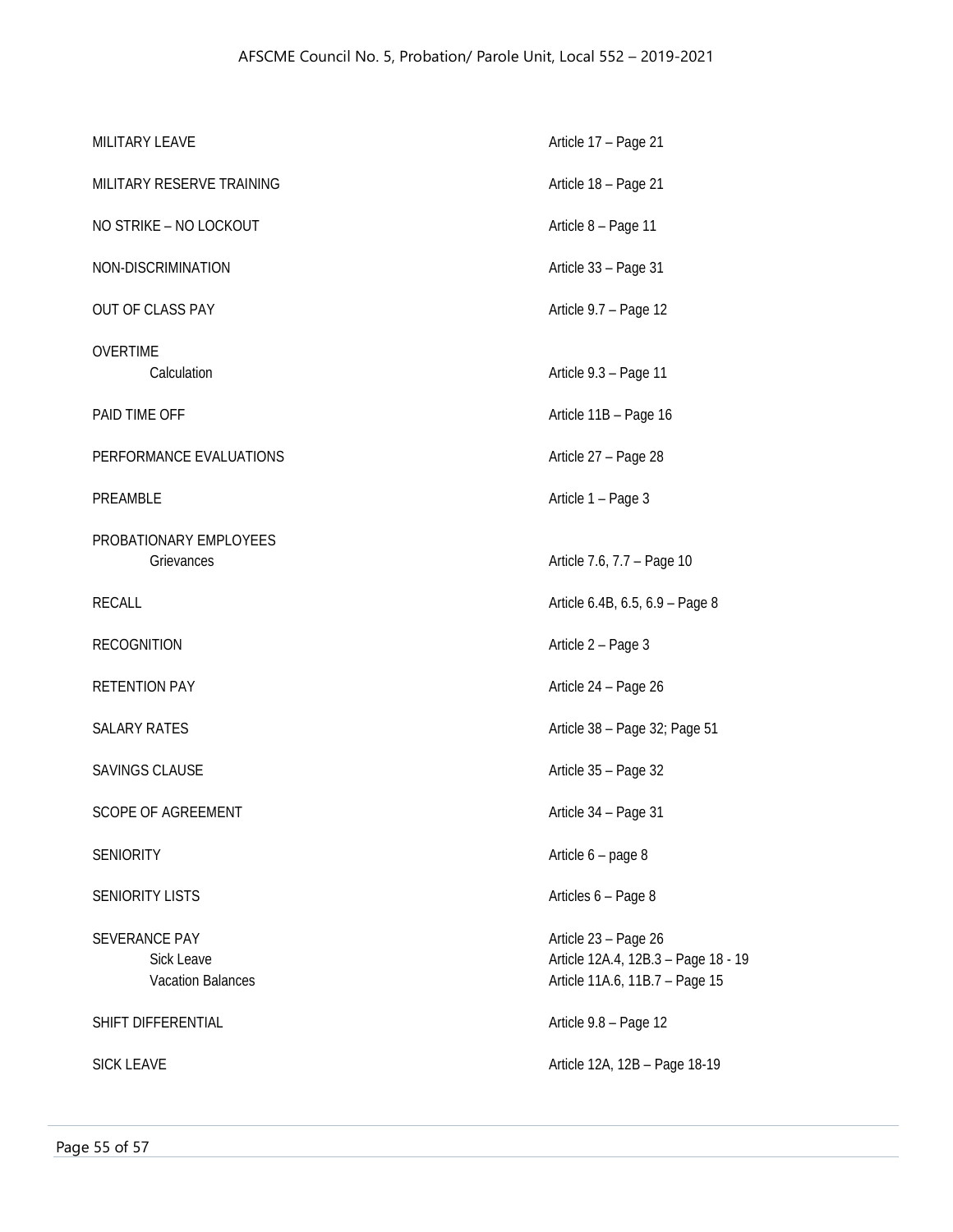| MILITARY LEAVE                                          | Article 17 - Page 21                                                                          |
|---------------------------------------------------------|-----------------------------------------------------------------------------------------------|
| MILITARY RESERVE TRAINING                               | Article 18 - Page 21                                                                          |
| NO STRIKE - NO LOCKOUT                                  | Article 8 - Page 11                                                                           |
| NON-DISCRIMINATION                                      | Article 33 - Page 31                                                                          |
| OUT OF CLASS PAY                                        | Article 9.7 - Page 12                                                                         |
| <b>OVERTIME</b><br>Calculation                          | Article 9.3 - Page 11                                                                         |
| PAID TIME OFF                                           | Article 11B - Page 16                                                                         |
| PERFORMANCE EVALUATIONS                                 | Article 27 - Page 28                                                                          |
| PREAMBLE                                                | Article 1 - Page 3                                                                            |
| PROBATIONARY EMPLOYEES<br>Grievances                    | Article 7.6, 7.7 - Page 10                                                                    |
| <b>RECALL</b>                                           | Article 6.4B, 6.5, 6.9 - Page 8                                                               |
| <b>RECOGNITION</b>                                      | Article 2 - Page 3                                                                            |
| <b>RETENTION PAY</b>                                    | Article 24 - Page 26                                                                          |
| <b>SALARY RATES</b>                                     | Article 38 - Page 32; Page 51                                                                 |
| <b>SAVINGS CLAUSE</b>                                   | Article 35 - Page 32                                                                          |
| <b>SCOPE OF AGREEMENT</b>                               | Article 34 - Page 31                                                                          |
| <b>SENIORITY</b>                                        | Article 6 - page 8                                                                            |
| <b>SENIORITY LISTS</b>                                  | Articles 6 - Page 8                                                                           |
| SEVERANCE PAY<br>Sick Leave<br><b>Vacation Balances</b> | Article 23 - Page 26<br>Article 12A.4, 12B.3 - Page 18 - 19<br>Article 11A.6, 11B.7 - Page 15 |
| SHIFT DIFFERENTIAL                                      | Article 9.8 - Page 12                                                                         |
| <b>SICK LEAVE</b>                                       | Article 12A, 12B - Page 18-19                                                                 |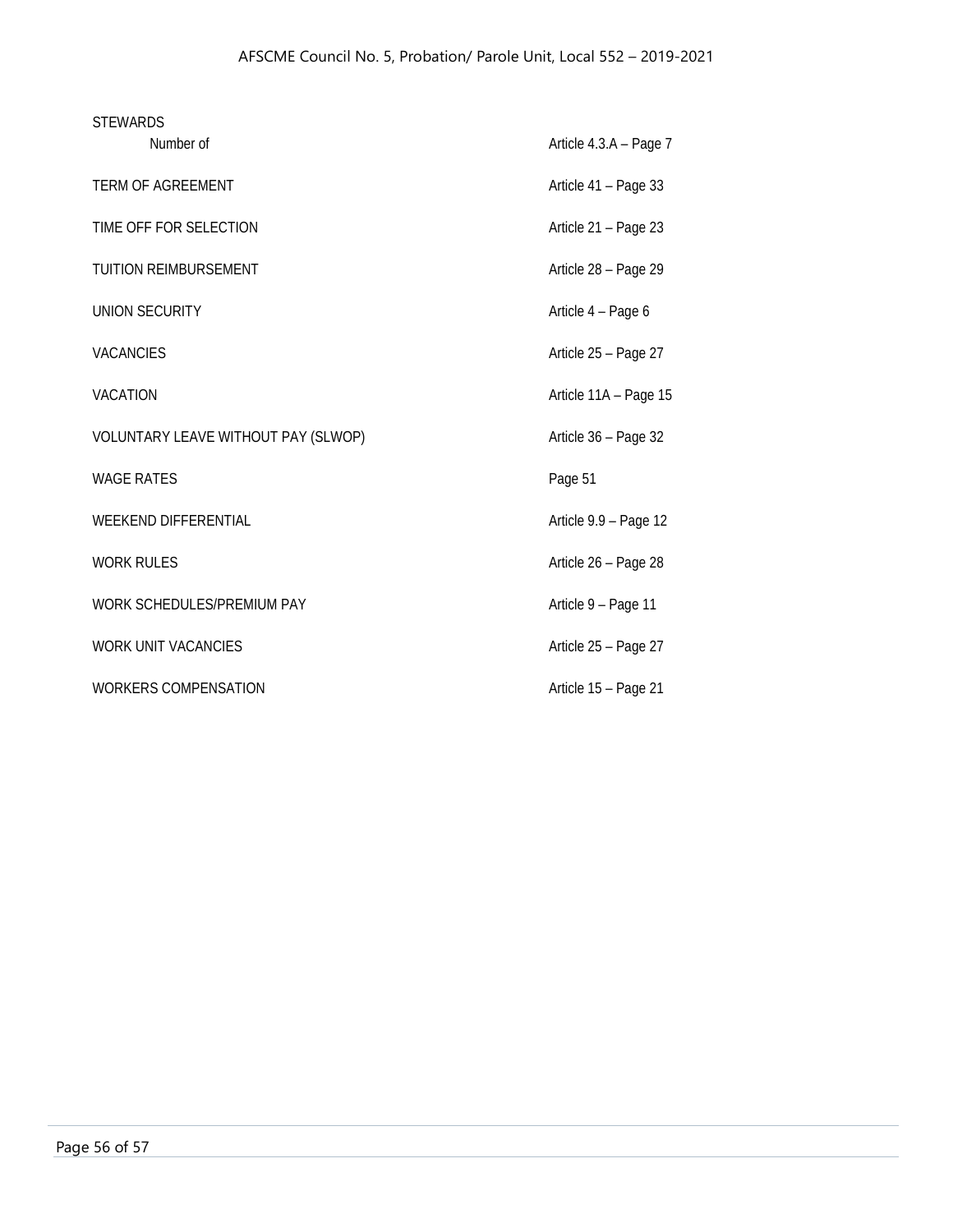| <b>STEWARDS</b>   |                                     |                        |
|-------------------|-------------------------------------|------------------------|
|                   | Number of                           | Article 4.3.A - Page 7 |
|                   | <b>TERM OF AGREEMENT</b>            | Article 41 - Page 33   |
|                   | TIME OFF FOR SELECTION              | Article 21 - Page 23   |
|                   | <b>TUITION REIMBURSEMENT</b>        | Article 28 - Page 29   |
|                   | <b>UNION SECURITY</b>               | Article 4 - Page 6     |
| <b>VACANCIES</b>  |                                     | Article 25 - Page 27   |
| <b>VACATION</b>   |                                     | Article 11A - Page 15  |
|                   | VOLUNTARY LEAVE WITHOUT PAY (SLWOP) | Article 36 - Page 32   |
| <b>WAGE RATES</b> |                                     | Page 51                |
|                   | <b>WEEKEND DIFFERENTIAL</b>         | Article 9.9 - Page 12  |
| <b>WORK RULES</b> |                                     | Article 26 - Page 28   |
|                   | WORK SCHEDULES/PREMIUM PAY          | Article 9 - Page 11    |
|                   | <b>WORK UNIT VACANCIES</b>          | Article 25 - Page 27   |
|                   | WORKERS COMPENSATION                | Article 15 - Page 21   |